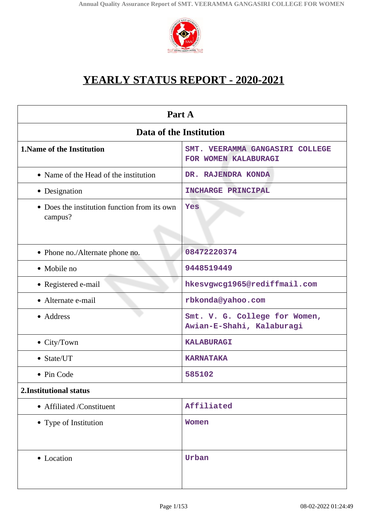

# **YEARLY STATUS REPORT - 2020-2021**

| Part A                                                  |                                                            |  |
|---------------------------------------------------------|------------------------------------------------------------|--|
| Data of the Institution                                 |                                                            |  |
| <b>1. Name of the Institution</b>                       | SMT. VEERAMMA GANGASIRI COLLEGE<br>FOR WOMEN KALABURAGI    |  |
| • Name of the Head of the institution                   | DR. RAJENDRA KONDA                                         |  |
| • Designation                                           | <b>INCHARGE PRINCIPAL</b>                                  |  |
| • Does the institution function from its own<br>campus? | Yes                                                        |  |
| • Phone no./Alternate phone no.                         | 08472220374                                                |  |
| • Mobile no                                             | 9448519449                                                 |  |
| • Registered e-mail                                     | hkesvgwcg1965@rediffmail.com                               |  |
| • Alternate e-mail                                      | rbkonda@yahoo.com                                          |  |
| • Address                                               | Smt. V. G. College for Women,<br>Awian-E-Shahi, Kalaburagi |  |
| $\bullet$ City/Town                                     | <b>KALABURAGI</b>                                          |  |
| • State/UT                                              | <b>KARNATAKA</b>                                           |  |
| • Pin Code                                              | 585102                                                     |  |
| 2. Institutional status                                 |                                                            |  |
| • Affiliated /Constituent                               | Affiliated                                                 |  |
| • Type of Institution                                   | <b>Women</b>                                               |  |
| • Location                                              | Urban                                                      |  |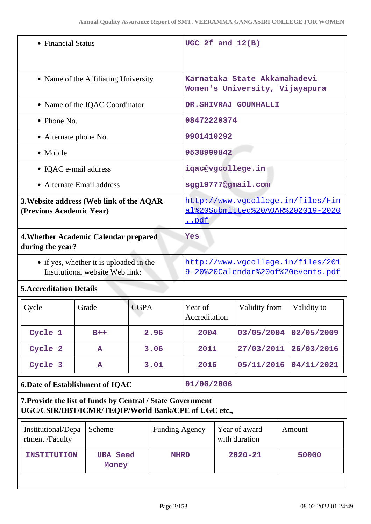| • Financial Status                                                         | UGC 2 $f$ and $12(B)$                                                                |
|----------------------------------------------------------------------------|--------------------------------------------------------------------------------------|
| • Name of the Affiliating University                                       | Karnataka State Akkamahadevi<br>Women's University, Vijayapura                       |
| • Name of the IQAC Coordinator                                             | DR. SHIVRAJ GOUNHALLI                                                                |
| $\bullet$ Phone No.                                                        | 08472220374                                                                          |
| • Alternate phone No.                                                      | 9901410292                                                                           |
| • Mobile                                                                   | 9538999842                                                                           |
| • IQAC e-mail address                                                      | iqac@vgcollege.in                                                                    |
| • Alternate Email address                                                  | sgg19777@gmail.com                                                                   |
| 3. Website address (Web link of the AQAR<br>(Previous Academic Year)       | http://www.vgcollege.in/files/Fin<br>al%20Submitted%20AOAR%202019-2020<br><u>pdf</u> |
| 4. Whether Academic Calendar prepared<br>during the year?                  | Yes                                                                                  |
| • if yes, whether it is uploaded in the<br>Institutional website Web link: | http://www.vqcollege.in/files/201<br>9-20%20Calendar%20of%20events.pdf               |
|                                                                            |                                                                                      |

# **5.Accreditation Details**

| Cycle                                  | Grade | <b>CGPA</b> | Year of<br>Accreditation | Validity from | Validity to |
|----------------------------------------|-------|-------------|--------------------------|---------------|-------------|
| Cycle 1                                | $B++$ | 2.96        | 2004                     | 03/05/2004    | 02/05/2009  |
| Cycle 2                                | A     | 3.06        | 2011                     | 27/03/2011    | 26/03/2016  |
| Cycle 3                                | A     | 3.01        | 2016                     | 05/11/2016    | 04/11/2021  |
| <b>6.Date of Establishment of IOAC</b> |       |             | 01/06/2006               |               |             |

# **7.Provide the list of funds by Central / State Government UGC/CSIR/DBT/ICMR/TEQIP/World Bank/CPE of UGC etc.,**

| Institutional/Depa<br>rtment /Faculty | Scheme                   | <b>Funding Agency</b> | Year of award<br>with duration | Amount |
|---------------------------------------|--------------------------|-----------------------|--------------------------------|--------|
| <b>INSTITUTION</b>                    | <b>UBA Seed</b><br>Money | <b>MHRD</b>           | $2020 - 21$                    | 50000  |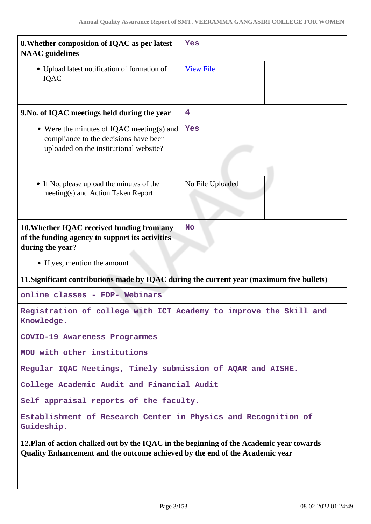| 8. Whether composition of IQAC as per latest<br><b>NAAC</b> guidelines                                                                                                   | Yes              |  |
|--------------------------------------------------------------------------------------------------------------------------------------------------------------------------|------------------|--|
| • Upload latest notification of formation of<br>IQAC                                                                                                                     | <b>View File</b> |  |
| 9. No. of IQAC meetings held during the year                                                                                                                             | 4                |  |
| • Were the minutes of IQAC meeting(s) and<br>compliance to the decisions have been<br>uploaded on the institutional website?                                             | Yes              |  |
| • If No, please upload the minutes of the<br>meeting(s) and Action Taken Report                                                                                          | No File Uploaded |  |
| 10. Whether IQAC received funding from any<br>of the funding agency to support its activities<br>during the year?                                                        | <b>No</b>        |  |
| • If yes, mention the amount                                                                                                                                             |                  |  |
| 11. Significant contributions made by IQAC during the current year (maximum five bullets)                                                                                |                  |  |
| online classes - FDP- Webinars                                                                                                                                           |                  |  |
| Registration of college with ICT Academy to improve the Skill and<br>Knowledge.                                                                                          |                  |  |
| COVID-19 Awareness Programmes                                                                                                                                            |                  |  |
| MOU with other institutions                                                                                                                                              |                  |  |
| Regular IQAC Meetings, Timely submission of AQAR and AISHE.                                                                                                              |                  |  |
| College Academic Audit and Financial Audit                                                                                                                               |                  |  |
| Self appraisal reports of the faculty.                                                                                                                                   |                  |  |
| Establishment of Research Center in Physics and Recognition of<br>Guideship.                                                                                             |                  |  |
| 12. Plan of action chalked out by the IQAC in the beginning of the Academic year towards<br>Quality Enhancement and the outcome achieved by the end of the Academic year |                  |  |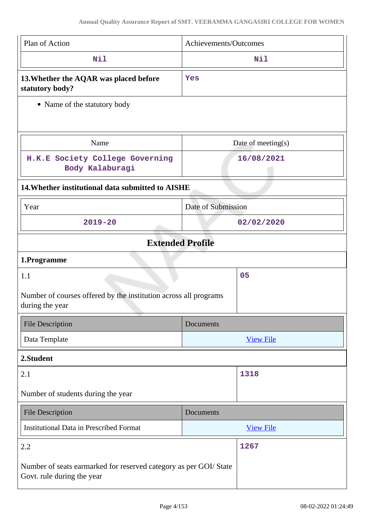| Plan of Action                                                                                  | Achievements/Outcomes |  |
|-------------------------------------------------------------------------------------------------|-----------------------|--|
| Nil                                                                                             | Nil                   |  |
| 13. Whether the AQAR was placed before<br>statutory body?                                       | Yes                   |  |
| • Name of the statutory body                                                                    |                       |  |
|                                                                                                 |                       |  |
| Name                                                                                            | Date of meeting $(s)$ |  |
| H.K.E Society College Governing<br>Body Kalaburagi                                              | 16/08/2021            |  |
| 14. Whether institutional data submitted to AISHE                                               |                       |  |
| Year                                                                                            | Date of Submission    |  |
| $2019 - 20$                                                                                     | 02/02/2020            |  |
| <b>Extended Profile</b>                                                                         |                       |  |
| 1.Programme                                                                                     |                       |  |
| 1.1                                                                                             | 05                    |  |
| Number of courses offered by the institution across all programs<br>during the year             |                       |  |
| <b>File Description</b>                                                                         | Documents             |  |
| Data Template                                                                                   | <b>View File</b>      |  |
| 2.Student                                                                                       |                       |  |
| 2.1                                                                                             | 1318                  |  |
| Number of students during the year                                                              |                       |  |
| <b>File Description</b>                                                                         | Documents             |  |
| <b>Institutional Data in Prescribed Format</b>                                                  | <b>View File</b>      |  |
| 2.2                                                                                             | 1267                  |  |
| Number of seats earmarked for reserved category as per GOI/ State<br>Govt. rule during the year |                       |  |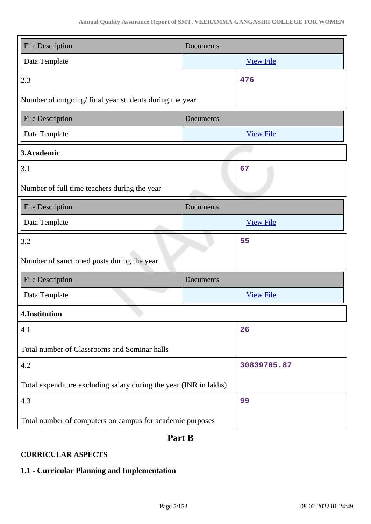| <b>File Description</b>                                           | Documents |                  |  |
|-------------------------------------------------------------------|-----------|------------------|--|
| Data Template                                                     |           | <b>View File</b> |  |
| 2.3                                                               |           | 476              |  |
| Number of outgoing/final year students during the year            |           |                  |  |
| <b>File Description</b>                                           | Documents |                  |  |
| Data Template                                                     |           | <b>View File</b> |  |
| 3.Academic                                                        |           |                  |  |
| 3.1                                                               |           | 67               |  |
| Number of full time teachers during the year                      |           |                  |  |
| <b>File Description</b>                                           | Documents |                  |  |
| Data Template                                                     |           | <b>View File</b> |  |
| 3.2                                                               |           | 55               |  |
| Number of sanctioned posts during the year                        |           |                  |  |
| <b>File Description</b>                                           | Documents |                  |  |
| Data Template                                                     |           | <b>View File</b> |  |
| 4.Institution                                                     |           |                  |  |
| 4.1                                                               |           | 26               |  |
| Total number of Classrooms and Seminar halls                      |           |                  |  |
| 4.2                                                               |           | 30839705.87      |  |
| Total expenditure excluding salary during the year (INR in lakhs) |           |                  |  |
| 4.3                                                               |           | 99               |  |
| Total number of computers on campus for academic purposes         |           |                  |  |

# **Part B**

# **CURRICULAR ASPECTS**

# **1.1 - Curricular Planning and Implementation**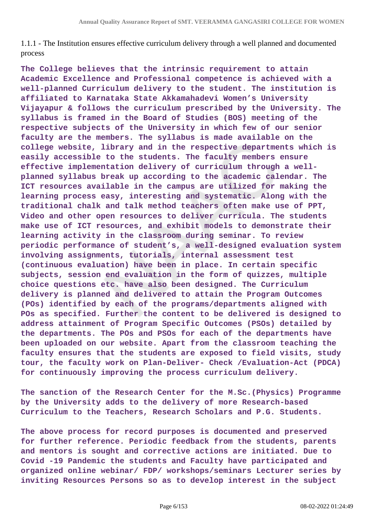1.1.1 - The Institution ensures effective curriculum delivery through a well planned and documented process

**The College believes that the intrinsic requirement to attain Academic Excellence and Professional competence is achieved with a well-planned Curriculum delivery to the student. The institution is affiliated to Karnataka State Akkamahadevi Women's University Vijayapur & follows the curriculum prescribed by the University. The syllabus is framed in the Board of Studies (BOS) meeting of the respective subjects of the University in which few of our senior faculty are the members. The syllabus is made available on the college website, library and in the respective departments which is easily accessible to the students. The faculty members ensure effective implementation delivery of curriculum through a wellplanned syllabus break up according to the academic calendar. The ICT resources available in the campus are utilized for making the learning process easy, interesting and systematic. Along with the traditional chalk and talk method teachers often make use of PPT, Video and other open resources to deliver curricula. The students make use of ICT resources, and exhibit models to demonstrate their learning activity in the classroom during seminar. To review periodic performance of student's, a well-designed evaluation system involving assignments, tutorials, internal assessment test (continuous evaluation) have been in place. In certain specific subjects, session end evaluation in the form of quizzes, multiple choice questions etc. have also been designed. The Curriculum delivery is planned and delivered to attain the Program Outcomes (POs) identified by each of the programs/departments aligned with POs as specified. Further the content to be delivered is designed to address attainment of Program Specific Outcomes (PSOs) detailed by the departments. The POs and PSOs for each of the departments have been uploaded on our website. Apart from the classroom teaching the faculty ensures that the students are exposed to field visits, study tour, the faculty work on Plan-Deliver- Check /Evaluation-Act (PDCA) for continuously improving the process curriculum delivery.** 

**The sanction of the Research Center for the M.Sc.(Physics) Programme by the University adds to the delivery of more Research-based Curriculum to the Teachers, Research Scholars and P.G. Students.**

**The above process for record purposes is documented and preserved for further reference. Periodic feedback from the students, parents and mentors is sought and corrective actions are initiated. Due to Covid -19 Pandemic the students and Faculty have participated and organized online webinar/ FDP/ workshops/seminars Lecturer series by inviting Resources Persons so as to develop interest in the subject**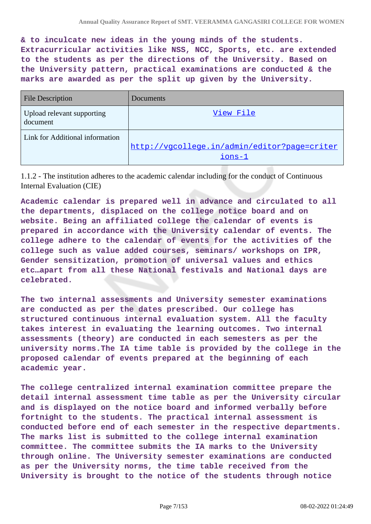**& to inculcate new ideas in the young minds of the students. Extracurricular activities like NSS, NCC, Sports, etc. are extended to the students as per the directions of the University. Based on the University pattern, practical examinations are conducted & the marks are awarded as per the split up given by the University.** 

| <b>File Description</b>                | Documents                                                |
|----------------------------------------|----------------------------------------------------------|
| Upload relevant supporting<br>document | View File                                                |
| Link for Additional information        | http://vgcollege.in/admin/editor?page=criter<br>$ions-1$ |

1.1.2 - The institution adheres to the academic calendar including for the conduct of Continuous Internal Evaluation (CIE)

**Academic calendar is prepared well in advance and circulated to all the departments, displaced on the college notice board and on website. Being an affiliated college the calendar of events is prepared in accordance with the University calendar of events. The college adhere to the calendar of events for the activities of the college such as value added courses, seminars/ workshops on IPR, Gender sensitization, promotion of universal values and ethics etc…apart from all these National festivals and National days are celebrated.** 

**The two internal assessments and University semester examinations are conducted as per the dates prescribed. Our college has structured continuous internal evaluation system. All the faculty takes interest in evaluating the learning outcomes. Two internal assessments (theory) are conducted in each semesters as per the university norms.The IA time table is provided by the college in the proposed calendar of events prepared at the beginning of each academic year.**

**The college centralized internal examination committee prepare the detail internal assessment time table as per the University circular and is displayed on the notice board and informed verbally before fortnight to the students. The practical internal assessment is conducted before end of each semester in the respective departments. The marks list is submitted to the college internal examination committee. The committee submits the IA marks to the University through online. The University semester examinations are conducted as per the University norms, the time table received from the University is brought to the notice of the students through notice**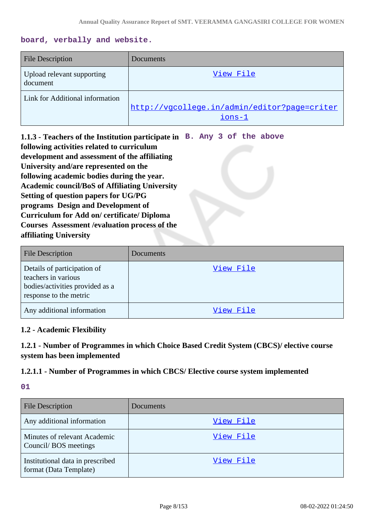#### **board, verbally and website.**

| <b>File Description</b>                | Documents                                              |
|----------------------------------------|--------------------------------------------------------|
| Upload relevant supporting<br>document | View File                                              |
| Link for Additional information        | http://vgcollege.in/admin/editor?page=criter<br>ions-1 |

**1.1.3 - Teachers of the Institution participate in B. Any 3 of the above following activities related to curriculum development and assessment of the affiliating University and/are represented on the following academic bodies during the year. Academic council/BoS of Affiliating University Setting of question papers for UG/PG programs Design and Development of Curriculum for Add on/ certificate/ Diploma Courses Assessment /evaluation process of the affiliating University**

| <b>File Description</b>                                                                                         | Documents |
|-----------------------------------------------------------------------------------------------------------------|-----------|
| Details of participation of<br>teachers in various<br>bodies/activities provided as a<br>response to the metric | View File |
| Any additional information                                                                                      | View File |

#### **1.2 - Academic Flexibility**

# **1.2.1 - Number of Programmes in which Choice Based Credit System (CBCS)/ elective course system has been implemented**

#### **1.2.1.1 - Number of Programmes in which CBCS/ Elective course system implemented**

# **01**

| <b>File Description</b>                                    | Documents |
|------------------------------------------------------------|-----------|
| Any additional information                                 | View File |
| Minutes of relevant Academic<br>Council/BOS meetings       | View File |
| Institutional data in prescribed<br>format (Data Template) | View File |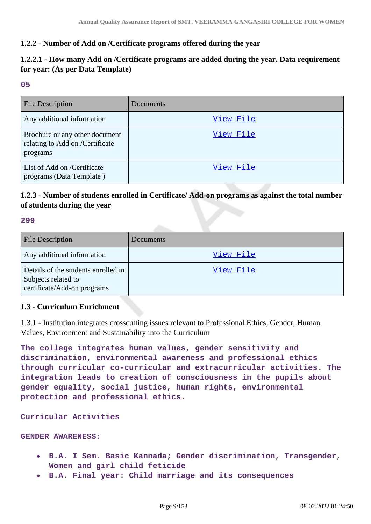# **1.2.2 - Number of Add on /Certificate programs offered during the year**

# **1.2.2.1 - How many Add on /Certificate programs are added during the year. Data requirement for year: (As per Data Template)**

#### **05**

| <b>File Description</b>                                                       | Documents |
|-------------------------------------------------------------------------------|-----------|
| Any additional information                                                    | View File |
| Brochure or any other document<br>relating to Add on /Certificate<br>programs | View File |
| List of Add on /Certificate<br>programs (Data Template)                       | View File |

# **1.2.3 - Number of students enrolled in Certificate/ Add-on programs as against the total number of students during the year**

#### **299**

| <b>File Description</b>                                                                   | Documents |
|-------------------------------------------------------------------------------------------|-----------|
| Any additional information                                                                | View File |
| Details of the students enrolled in<br>Subjects related to<br>certificate/Add-on programs | View File |

# **1.3 - Curriculum Enrichment**

1.3.1 - Institution integrates crosscutting issues relevant to Professional Ethics, Gender, Human Values, Environment and Sustainability into the Curriculum

**The college integrates human values, gender sensitivity and discrimination, environmental awareness and professional ethics through curricular co-curricular and extracurricular activities. The integration leads to creation of consciousness in the pupils about gender equality, social justice, human rights, environmental protection and professional ethics.**

**Curricular Activities** 

#### **GENDER AWARENESS:**

- **B.A. I Sem. Basic Kannada; Gender discrimination, Transgender, Women and girl child feticide**
- **B.A. Final year: Child marriage and its consequences**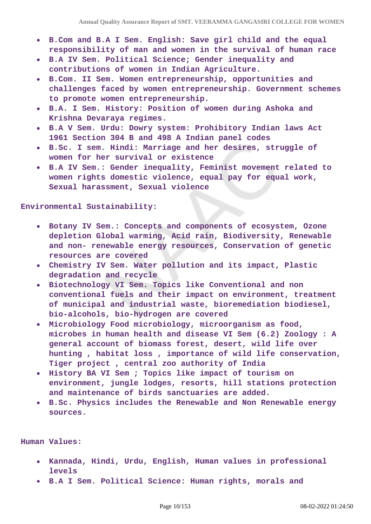- **B.Com and B.A I Sem. English: Save girl child and the equal responsibility of man and women in the survival of human race**
- **B.A IV Sem. Political Science; Gender inequality and contributions of women in Indian Agriculture.**
- **B.Com. II Sem. Women entrepreneurship, opportunities and challenges faced by women entrepreneurship. Government schemes to promote women entrepreneurship.**
- **B.A. I Sem. History: Position of women during Ashoka and Krishna Devaraya regimes.**
- **B.A V Sem. Urdu: Dowry system: Prohibitory Indian laws Act 1961 Section 304 B and 498 A Indian panel codes**
- **B.Sc. I sem. Hindi: Marriage and her desires, struggle of women for her survival or existence**
- **B.A IV Sem.: Gender inequality, Feminist movement related to women rights domestic violence, equal pay for equal work, Sexual harassment, Sexual violence**

**Environmental Sustainability:** 

- **Botany IV Sem.: Concepts and components of ecosystem, Ozone depletion Global warming, Acid rain, Biodiversity, Renewable and non- renewable energy resources, Conservation of genetic resources are covered**
- **Chemistry IV Sem. Water pollution and its impact, Plastic degradation and recycle**
- **Biotechnology VI Sem. Topics like Conventional and non conventional fuels and their impact on environment, treatment of municipal and industrial waste, bioremediation biodiesel, bio-alcohols, bio-hydrogen are covered**
- **Microbiology Food microbiology, microorganism as food, microbes in human health and disease VI Sem (6.2) Zoology : A general account of biomass forest, desert, wild life over hunting , habitat loss , importance of wild life conservation, Tiger project , central zoo authority of India**
- **History BA VI Sem ; Topics like impact of tourism on environment, jungle lodges, resorts, hill stations protection and maintenance of birds sanctuaries are added.**
- **B.Sc. Physics includes the Renewable and Non Renewable energy sources.**

**Human Values:** 

- **Kannada, Hindi, Urdu, English, Human values in professional levels**
- **B.A I Sem. Political Science: Human rights, morals and**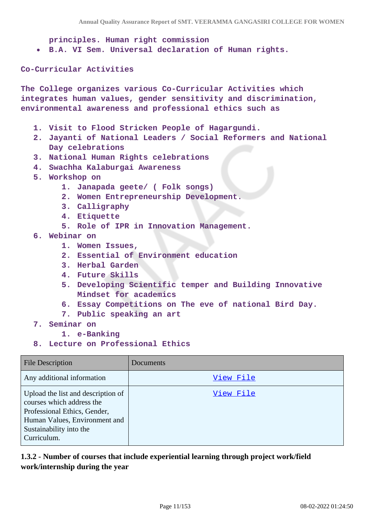**principles. Human right commission**

**B.A. VI Sem. Universal declaration of Human rights.**

**Co-Curricular Activities**

**The College organizes various Co-Curricular Activities which integrates human values, gender sensitivity and discrimination, environmental awareness and professional ethics such as**

- **1. Visit to Flood Stricken People of Hagargundi.**
- **2. Jayanti of National Leaders / Social Reformers and National Day celebrations**
- **3. National Human Rights celebrations**
- **4. Swachha Kalaburgai Awareness**
- **5. Workshop on**
	- **1. Janapada geete/ ( Folk songs)**
	- **2. Women Entrepreneurship Development.**
	- **3. Calligraphy**
	- **4. Etiquette**
	- **5. Role of IPR in Innovation Management.**
- **6. Webinar on**
	- **1. Women Issues,**
	- **2. Essential of Environment education**
	- **3. Herbal Garden**
	- **4. Future Skills**
	- **5. Developing Scientific temper and Building Innovative Mindset for academics**
	- **6. Essay Competitions on The eve of national Bird Day.**
	- **7. Public speaking an art**
- **7. Seminar on**
	- **1. e-Banking**
- **8. Lecture on Professional Ethics**

| <b>File Description</b>                                                                                                                                                    | Documents |
|----------------------------------------------------------------------------------------------------------------------------------------------------------------------------|-----------|
| Any additional information                                                                                                                                                 | View File |
| Upload the list and description of<br>courses which address the<br>Professional Ethics, Gender,<br>Human Values, Environment and<br>Sustainability into the<br>Curriculum. | View File |

**1.3.2 - Number of courses that include experiential learning through project work/field work/internship during the year**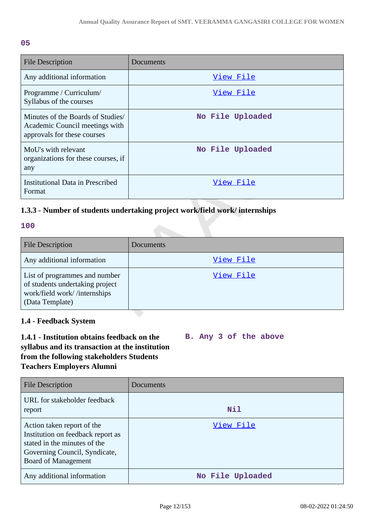#### **05**

| <b>File Description</b>                                                                            | Documents        |
|----------------------------------------------------------------------------------------------------|------------------|
| Any additional information                                                                         | View File        |
| Programme / Curriculum/<br>Syllabus of the courses                                                 | View File        |
| Minutes of the Boards of Studies/<br>Academic Council meetings with<br>approvals for these courses | No File Uploaded |
| MoU's with relevant<br>organizations for these courses, if<br>any                                  | No File Uploaded |
| <b>Institutional Data in Prescribed</b><br>Format                                                  | View File        |

# **1.3.3 - Number of students undertaking project work/field work/ internships**

#### **100**

| <b>File Description</b>                                                                                             | <b>Documents</b> |
|---------------------------------------------------------------------------------------------------------------------|------------------|
| Any additional information                                                                                          | View File        |
| List of programmes and number<br>of students undertaking project<br>work/field work//internships<br>(Data Template) | View File        |

# **1.4 - Feedback System**

#### **1.4.1 - Institution obtains feedback on the syllabus and its transaction at the institution from the following stakeholders Students Teachers Employers Alumni B. Any 3 of the above**

| <b>File Description</b>                                                                                                                                        | Documents        |
|----------------------------------------------------------------------------------------------------------------------------------------------------------------|------------------|
| URL for stakeholder feedback<br>report                                                                                                                         | <b>Nil</b>       |
| Action taken report of the<br>Institution on feedback report as<br>stated in the minutes of the<br>Governing Council, Syndicate,<br><b>Board of Management</b> | View File        |
| Any additional information                                                                                                                                     | No File Uploaded |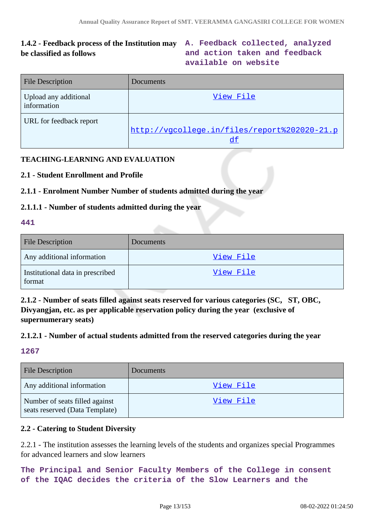# **1.4.2 - Feedback process of the Institution may A. Feedback collected, analyzed be classified as follows**

**and action taken and feedback available on website**

| <b>File Description</b>              | <b>Documents</b>                             |
|--------------------------------------|----------------------------------------------|
| Upload any additional<br>information | View File                                    |
| URL for feedback report              | http://vgcollege.in/files/report%202020-21.p |

# **TEACHING-LEARNING AND EVALUATION**

# **2.1 - Student Enrollment and Profile**

# **2.1.1 - Enrolment Number Number of students admitted during the year**

# **2.1.1.1 - Number of students admitted during the year**

#### **441**

| <b>File Description</b>                    | <b>Documents</b> |
|--------------------------------------------|------------------|
| Any additional information                 | View File        |
| Institutional data in prescribed<br>format | <u>View File</u> |

**2.1.2 - Number of seats filled against seats reserved for various categories (SC, ST, OBC, Divyangjan, etc. as per applicable reservation policy during the year (exclusive of supernumerary seats)**

# **2.1.2.1 - Number of actual students admitted from the reserved categories during the year**

# **1267**

| <b>File Description</b>                                          | <b>Documents</b> |
|------------------------------------------------------------------|------------------|
| Any additional information                                       | View File        |
| Number of seats filled against<br>seats reserved (Data Template) | View File        |

# **2.2 - Catering to Student Diversity**

2.2.1 - The institution assesses the learning levels of the students and organizes special Programmes for advanced learners and slow learners

**The Principal and Senior Faculty Members of the College in consent of the IQAC decides the criteria of the Slow Learners and the**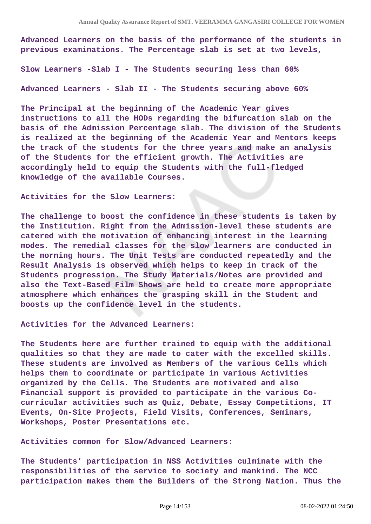**Advanced Learners on the basis of the performance of the students in previous examinations. The Percentage slab is set at two levels,**

**Slow Learners -Slab I - The Students securing less than 60%**

**Advanced Learners - Slab II - The Students securing above 60%**

**The Principal at the beginning of the Academic Year gives instructions to all the HODs regarding the bifurcation slab on the basis of the Admission Percentage slab. The division of the Students is realized at the beginning of the Academic Year and Mentors keeps the track of the students for the three years and make an analysis of the Students for the efficient growth. The Activities are accordingly held to equip the Students with the full-fledged knowledge of the available Courses.**

**Activities for the Slow Learners:**

**The challenge to boost the confidence in these students is taken by the Institution. Right from the Admission-level these students are catered with the motivation of enhancing interest in the learning modes. The remedial classes for the slow learners are conducted in the morning hours. The Unit Tests are conducted repeatedly and the Result Analysis is observed which helps to keep in track of the Students progression. The Study Materials/Notes are provided and also the Text-Based Film Shows are held to create more appropriate atmosphere which enhances the grasping skill in the Student and boosts up the confidence level in the students.**

**Activities for the Advanced Learners:**

**The Students here are further trained to equip with the additional qualities so that they are made to cater with the excelled skills. These students are involved as Members of the various Cells which helps them to coordinate or participate in various Activities organized by the Cells. The Students are motivated and also Financial support is provided to participate in the various Cocurricular activities such as Quiz, Debate, Essay Competitions, IT Events, On-Site Projects, Field Visits, Conferences, Seminars, Workshops, Poster Presentations etc.**

**Activities common for Slow/Advanced Learners:**

**The Students' participation in NSS Activities culminate with the responsibilities of the service to society and mankind. The NCC participation makes them the Builders of the Strong Nation. Thus the**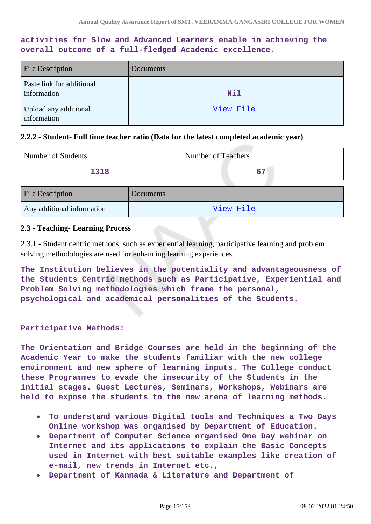# **activities for Slow and Advanced Learners enable in achieving the overall outcome of a full-fledged Academic excellence.**

| <b>File Description</b>                  | Documents |
|------------------------------------------|-----------|
| Paste link for additional<br>information | Nil       |
| Upload any additional<br>information     | View File |

#### **2.2.2 - Student- Full time teacher ratio (Data for the latest completed academic year)**

| Number of Students         |           | <b>Number of Teachers</b> |
|----------------------------|-----------|---------------------------|
| 1318                       |           | 67                        |
| <b>File Description</b>    | Documents |                           |
| Any additional information |           | View File                 |

#### **2.3 - Teaching- Learning Process**

2.3.1 - Student centric methods, such as experiential learning, participative learning and problem solving methodologies are used for enhancing learning experiences

**The Institution believes in the potentiality and advantageousness of the Students Centric methods such as Participative, Experiential and Problem Solving methodologies which frame the personal, psychological and academical personalities of the Students.**

#### **Participative Methods:**

**The Orientation and Bridge Courses are held in the beginning of the Academic Year to make the students familiar with the new college environment and new sphere of learning inputs. The College conduct these Programmes to evade the insecurity of the Students in the initial stages. Guest Lectures, Seminars, Workshops, Webinars are held to expose the students to the new arena of learning methods.**

- **To understand various Digital tools and Techniques a Two Days**  $\bullet$ **Online workshop was organised by Department of Education.**
- **Department of Computer Science organised One Day webinar on Internet and its applications to explain the Basic Concepts used in Internet with best suitable examples like creation of e-mail, new trends in Internet etc.,**
- **Department of Kannada & Literature and Department of**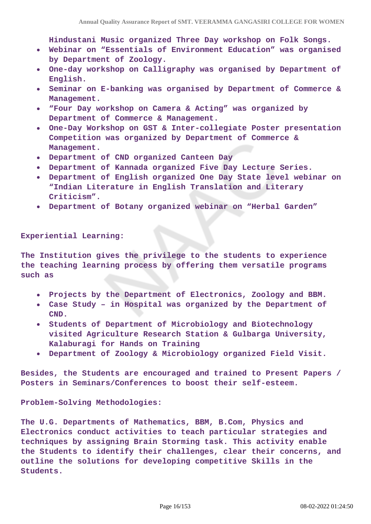**Hindustani Music organized Three Day workshop on Folk Songs.**

- **Webinar on "Essentials of Environment Education" was organised by Department of Zoology.**
- **One-day workshop on Calligraphy was organised by Department of English.**
- **Seminar on E-banking was organised by Department of Commerce & Management.**
- **"Four Day workshop on Camera & Acting" was organized by**  $\bullet$ **Department of Commerce & Management.**
- **One-Day Workshop on GST & Inter-collegiate Poster presentation Competition was organized by Department of Commerce & Management.**
- **Department of CND organized Canteen Day**
- **Department of Kannada organized Five Day Lecture Series.**
- **Department of English organized One Day State level webinar on "Indian Literature in English Translation and Literary Criticism".**
- **Department of Botany organized webinar on "Herbal Garden"**

#### **Experiential Learning:**

**The Institution gives the privilege to the students to experience the teaching learning process by offering them versatile programs such as**

- **Projects by the Department of Electronics, Zoology and BBM.**
- **Case Study in Hospital was organized by the Department of CND.**
- **Students of Department of Microbiology and Biotechnology**  $\bullet$ **visited Agriculture Research Station & Gulbarga University, Kalaburagi for Hands on Training**
- **Department of Zoology & Microbiology organized Field Visit.**

**Besides, the Students are encouraged and trained to Present Papers / Posters in Seminars/Conferences to boost their self-esteem.**

**Problem-Solving Methodologies:**

**The U.G. Departments of Mathematics, BBM, B.Com, Physics and Electronics conduct activities to teach particular strategies and techniques by assigning Brain Storming task. This activity enable the Students to identify their challenges, clear their concerns, and outline the solutions for developing competitive Skills in the Students.**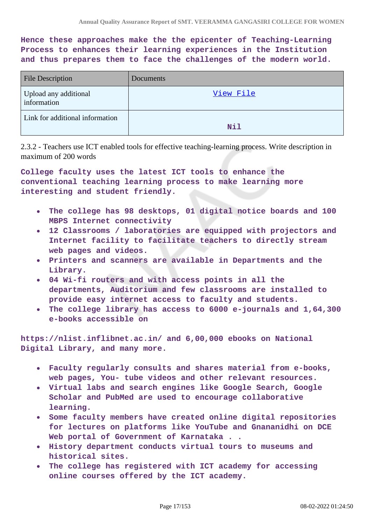**Hence these approaches make the the epicenter of Teaching-Learning Process to enhances their learning experiences in the Institution and thus prepares them to face the challenges of the modern world.**

| <b>File Description</b>              | Documents |
|--------------------------------------|-----------|
| Upload any additional<br>information | View File |
| Link for additional information      | Nil       |

2.3.2 - Teachers use ICT enabled tools for effective teaching-learning process. Write description in maximum of 200 words

**College faculty uses the latest ICT tools to enhance the conventional teaching learning process to make learning more interesting and student friendly.**

- **The college has 98 desktops, 01 digital notice boards and 100 MBPS Internet connectivity**
- **12 Classrooms / laboratories are equipped with projectors and**  $\bullet$ **Internet facility to facilitate teachers to directly stream web pages and videos.**
- **Printers and scanners are available in Departments and the Library.**
- **04 Wi-fi routers and with access points in all the departments, Auditorium and few classrooms are installed to provide easy internet access to faculty and students.**
- **The college library has access to 6000 e-journals and 1,64,300 e-books accessible on**

**https://nlist.inflibnet.ac.in/ and 6,00,000 ebooks on National Digital Library, and many more.**

- **Faculty regularly consults and shares material from e-books, web pages, You- tube videos and other relevant resources.**
- **Virtual labs and search engines like Google Search, Google Scholar and PubMed are used to encourage collaborative learning.**
- **Some faculty members have created online digital repositories for lectures on platforms like YouTube and Gnananidhi on DCE Web portal of Government of Karnataka . .**
- **History department conducts virtual tours to museums and historical sites.**
- **The college has registered with ICT academy for accessing online courses offered by the ICT academy.**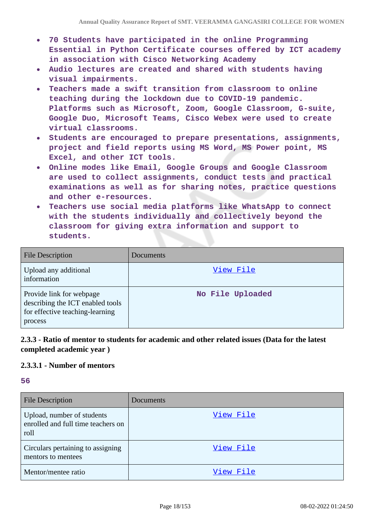- **70 Students have participated in the online Programming Essential in Python Certificate courses offered by ICT academy in association with Cisco Networking Academy**
- **Audio lectures are created and shared with students having visual impairments.**
- **Teachers made a swift transition from classroom to online teaching during the lockdown due to COVID-19 pandemic. Platforms such as Microsoft, Zoom, Google Classroom, G-suite, Google Duo, Microsoft Teams, Cisco Webex were used to create virtual classrooms.**
- **Students are encouraged to prepare presentations, assignments, project and field reports using MS Word, MS Power point, MS Excel, and other ICT tools.**
- **Online modes like Email, Google Groups and Google Classroom are used to collect assignments, conduct tests and practical examinations as well as for sharing notes, practice questions and other e-resources.**
- **Teachers use social media platforms like WhatsApp to connect with the students individually and collectively beyond the classroom for giving extra information and support to students.**

| <b>File Description</b>                                                                                    | <b>Documents</b> |
|------------------------------------------------------------------------------------------------------------|------------------|
| Upload any additional<br>information                                                                       | View File        |
| Provide link for webpage<br>describing the ICT enabled tools<br>for effective teaching-learning<br>process | No File Uploaded |

# **2.3.3 - Ratio of mentor to students for academic and other related issues (Data for the latest completed academic year )**

# **2.3.3.1 - Number of mentors**

**56**

| <b>File Description</b>                                                  | Documents |
|--------------------------------------------------------------------------|-----------|
| Upload, number of students<br>enrolled and full time teachers on<br>roll | View File |
| Circulars pertaining to assigning<br>mentors to mentees                  | View File |
| Mentor/mentee ratio                                                      | View File |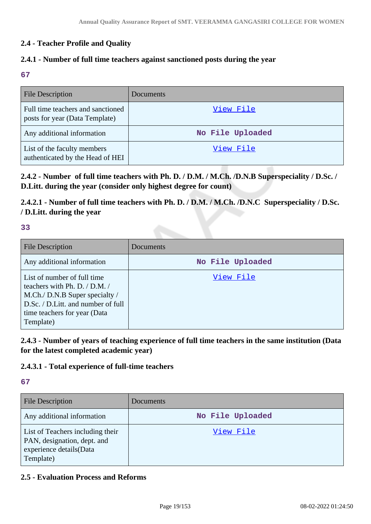# **2.4 - Teacher Profile and Quality**

# **2.4.1 - Number of full time teachers against sanctioned posts during the year**

**67**

| <b>File Description</b>                                             | Documents        |
|---------------------------------------------------------------------|------------------|
| Full time teachers and sanctioned<br>posts for year (Data Template) | View File        |
| Any additional information                                          | No File Uploaded |
| List of the faculty members<br>authenticated by the Head of HEI     | View File        |

**2.4.2 - Number of full time teachers with Ph. D. / D.M. / M.Ch. /D.N.B Superspeciality / D.Sc. / D.Litt. during the year (consider only highest degree for count)**

**2.4.2.1 - Number of full time teachers with Ph. D. / D.M. / M.Ch. /D.N.C Superspeciality / D.Sc. / D.Litt. during the year**

#### **33**

| <b>File Description</b>                                                                                                                                                           | Documents        |
|-----------------------------------------------------------------------------------------------------------------------------------------------------------------------------------|------------------|
| Any additional information                                                                                                                                                        | No File Uploaded |
| List of number of full time<br>teachers with Ph. D. / D.M. /<br>M.Ch./ D.N.B Super specialty /<br>D.Sc. / D.Litt. and number of full<br>time teachers for year (Data<br>Template) | View File        |

**2.4.3 - Number of years of teaching experience of full time teachers in the same institution (Data for the latest completed academic year)**

# **2.4.3.1 - Total experience of full-time teachers**

#### **67**

| <b>File Description</b>                                                                                 | Documents        |
|---------------------------------------------------------------------------------------------------------|------------------|
| Any additional information                                                                              | No File Uploaded |
| List of Teachers including their<br>PAN, designation, dept. and<br>experience details(Data<br>Template) | View File        |

# **2.5 - Evaluation Process and Reforms**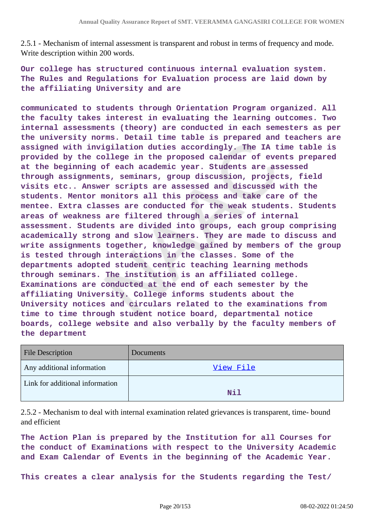2.5.1 - Mechanism of internal assessment is transparent and robust in terms of frequency and mode. Write description within 200 words.

**Our college has structured continuous internal evaluation system. The Rules and Regulations for Evaluation process are laid down by the affiliating University and are**

**communicated to students through Orientation Program organized. All the faculty takes interest in evaluating the learning outcomes. Two internal assessments (theory) are conducted in each semesters as per the university norms. Detail time table is prepared and teachers are assigned with invigilation duties accordingly. The IA time table is provided by the college in the proposed calendar of events prepared at the beginning of each academic year. Students are assessed through assignments, seminars, group discussion, projects, field visits etc.. Answer scripts are assessed and discussed with the students. Mentor monitors all this process and take care of the mentee. Extra classes are conducted for the weak students. Students areas of weakness are filtered through a series of internal assessment. Students are divided into groups, each group comprising academically strong and slow learners. They are made to discuss and write assignments together, knowledge gained by members of the group is tested through interactions in the classes. Some of the departments adopted student centric teaching learning methods through seminars. The institution is an affiliated college. Examinations are conducted at the end of each semester by the affiliating University. College informs students about the University notices and circulars related to the examinations from time to time through student notice board, departmental notice boards, college website and also verbally by the faculty members of the department**

| Documents |
|-----------|
| View File |
| Nil       |
|           |

2.5.2 - Mechanism to deal with internal examination related grievances is transparent, time- bound and efficient

**The Action Plan is prepared by the Institution for all Courses for the conduct of Examinations with respect to the University Academic and Exam Calendar of Events in the beginning of the Academic Year.**

**This creates a clear analysis for the Students regarding the Test/**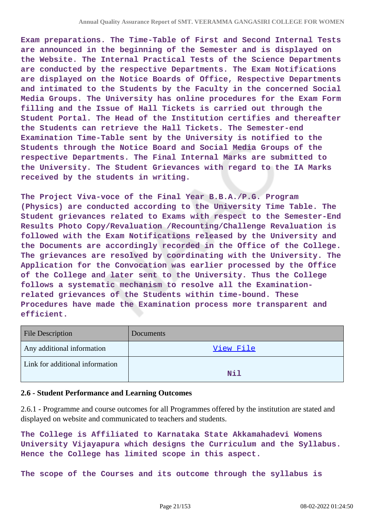**Exam preparations. The Time-Table of First and Second Internal Tests are announced in the beginning of the Semester and is displayed on the Website. The Internal Practical Tests of the Science Departments are conducted by the respective Departments. The Exam Notifications are displayed on the Notice Boards of Office, Respective Departments and intimated to the Students by the Faculty in the concerned Social Media Groups. The University has online procedures for the Exam Form filling and the Issue of Hall Tickets is carried out through the Student Portal. The Head of the Institution certifies and thereafter the Students can retrieve the Hall Tickets. The Semester-end Examination Time-Table sent by the University is notified to the Students through the Notice Board and Social Media Groups of the respective Departments. The Final Internal Marks are submitted to the University. The Student Grievances with regard to the IA Marks received by the students in writing.**

**The Project Viva-voce of the Final Year B.B.A./P.G. Program (Physics) are conducted according to the University Time Table. The Student grievances related to Exams with respect to the Semester-End Results Photo Copy/Revaluation /Recounting/Challenge Revaluation is followed with the Exam Notifications released by the University and the Documents are accordingly recorded in the Office of the College. The grievances are resolved by coordinating with the University. The Application for the Convocation was earlier processed by the Office of the College and later sent to the University. Thus the College follows a systematic mechanism to resolve all the Examinationrelated grievances of the Students within time-bound. These Procedures have made the Examination process more transparent and efficient.**

| <b>File Description</b>         | <b>Documents</b> |
|---------------------------------|------------------|
| Any additional information      | View File        |
| Link for additional information | Nil              |

#### **2.6 - Student Performance and Learning Outcomes**

2.6.1 - Programme and course outcomes for all Programmes offered by the institution are stated and displayed on website and communicated to teachers and students.

**The College is Affiliated to Karnataka State Akkamahadevi Womens University Vijayapura which designs the Curriculum and the Syllabus. Hence the College has limited scope in this aspect.**

**The scope of the Courses and its outcome through the syllabus is**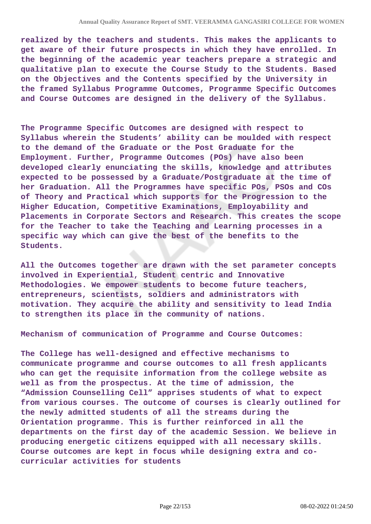**realized by the teachers and students. This makes the applicants to get aware of their future prospects in which they have enrolled. In the beginning of the academic year teachers prepare a strategic and qualitative plan to execute the Course Study to the Students. Based on the Objectives and the Contents specified by the University in the framed Syllabus Programme Outcomes, Programme Specific Outcomes and Course Outcomes are designed in the delivery of the Syllabus.**

**The Programme Specific Outcomes are designed with respect to Syllabus wherein the Students' ability can be moulded with respect to the demand of the Graduate or the Post Graduate for the Employment. Further, Programme Outcomes (POs) have also been developed clearly enunciating the skills, knowledge and attributes expected to be possessed by a Graduate/Postgraduate at the time of her Graduation. All the Programmes have specific POs, PSOs and COs of Theory and Practical which supports for the Progression to the Higher Education, Competitive Examinations, Employability and Placements in Corporate Sectors and Research. This creates the scope for the Teacher to take the Teaching and Learning processes in a specific way which can give the best of the benefits to the Students.**

**All the Outcomes together are drawn with the set parameter concepts involved in Experiential, Student centric and Innovative Methodologies. We empower students to become future teachers, entrepreneurs, scientists, soldiers and administrators with motivation. They acquire the ability and sensitivity to lead India to strengthen its place in the community of nations.**

**Mechanism of communication of Programme and Course Outcomes:**

**The College has well-designed and effective mechanisms to communicate programme and course outcomes to all fresh applicants who can get the requisite information from the college website as well as from the prospectus. At the time of admission, the "Admission Counselling Cell" apprises students of what to expect from various courses. The outcome of courses is clearly outlined for the newly admitted students of all the streams during the Orientation programme. This is further reinforced in all the departments on the first day of the academic Session. We believe in producing energetic citizens equipped with all necessary skills. Course outcomes are kept in focus while designing extra and cocurricular activities for students**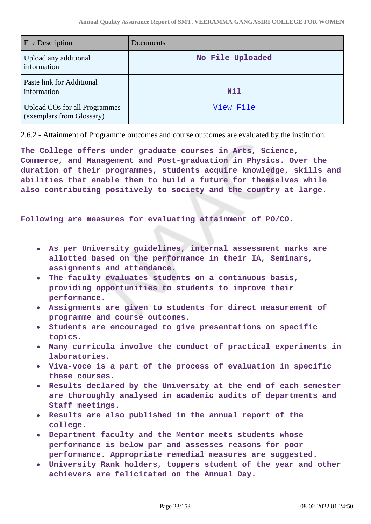| <b>File Description</b>                                           | Documents        |
|-------------------------------------------------------------------|------------------|
| Upload any additional<br>information                              | No File Uploaded |
| Paste link for Additional<br>information                          | <b>Nil</b>       |
| <b>Upload COs for all Programmes</b><br>(exemplars from Glossary) | View File        |

2.6.2 - Attainment of Programme outcomes and course outcomes are evaluated by the institution.

**The College offers under graduate courses in Arts, Science, Commerce, and Management and Post-graduation in Physics. Over the duration of their programmes, students acquire knowledge, skills and abilities that enable them to build a future for themselves while also contributing positively to society and the country at large.**

**Following are measures for evaluating attainment of PO/CO.**

- **As per University guidelines, internal assessment marks are allotted based on the performance in their IA, Seminars, assignments and attendance.**
- **The faculty evaluates students on a continuous basis, providing opportunities to students to improve their performance.**
- **Assignments are given to students for direct measurement of programme and course outcomes.**
- **Students are encouraged to give presentations on specific topics.**
- **Many curricula involve the conduct of practical experiments in laboratories.**
- **Viva-voce is a part of the process of evaluation in specific these courses.**
- **Results declared by the University at the end of each semester are thoroughly analysed in academic audits of departments and Staff meetings.**
- **Results are also published in the annual report of the college.**
- **Department faculty and the Mentor meets students whose performance is below par and assesses reasons for poor performance. Appropriate remedial measures are suggested.**
- **University Rank holders, toppers student of the year and other achievers are felicitated on the Annual Day.**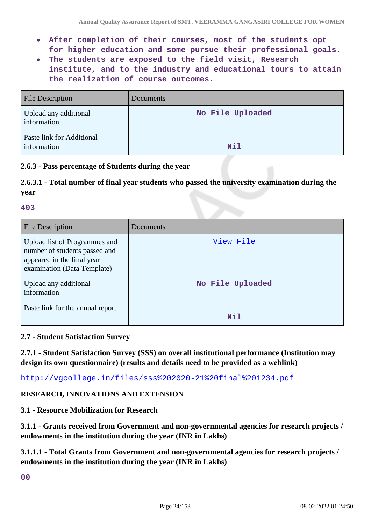- **After completion of their courses, most of the students opt for higher education and some pursue their professional goals.**
- **The students are exposed to the field visit, Research**  $\bullet$ **institute, and to the industry and educational tours to attain the realization of course outcomes.**

| <b>File Description</b>                  | <b>Documents</b> |
|------------------------------------------|------------------|
| Upload any additional<br>information     | No File Uploaded |
| Paste link for Additional<br>information | Nil              |

# **2.6.3 - Pass percentage of Students during the year**

**2.6.3.1 - Total number of final year students who passed the university examination during the year**

#### **403**

| <b>File Description</b>                                                                                                     | Documents        |
|-----------------------------------------------------------------------------------------------------------------------------|------------------|
| Upload list of Programmes and<br>number of students passed and<br>appeared in the final year<br>examination (Data Template) | View File        |
| Upload any additional<br>information                                                                                        | No File Uploaded |
| Paste link for the annual report                                                                                            | Nil              |

### **2.7 - Student Satisfaction Survey**

**2.7.1 - Student Satisfaction Survey (SSS) on overall institutional performance (Institution may design its own questionnaire) (results and details need to be provided as a weblink)**

<http://vgcollege.in/files/sss%202020-21%20final%201234.pdf>

# **RESEARCH, INNOVATIONS AND EXTENSION**

**3.1 - Resource Mobilization for Research**

**3.1.1 - Grants received from Government and non-governmental agencies for research projects / endowments in the institution during the year (INR in Lakhs)**

**3.1.1.1 - Total Grants from Government and non-governmental agencies for research projects / endowments in the institution during the year (INR in Lakhs)**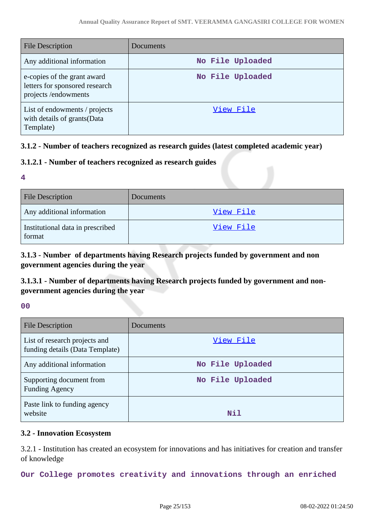| <b>File Description</b>                                                              | Documents        |
|--------------------------------------------------------------------------------------|------------------|
| Any additional information                                                           | No File Uploaded |
| e-copies of the grant award<br>letters for sponsored research<br>projects/endowments | No File Uploaded |
| List of endowments / projects<br>with details of grants (Data<br>Template)           | View File        |

# **3.1.2 - Number of teachers recognized as research guides (latest completed academic year)**

# **3.1.2.1 - Number of teachers recognized as research guides**

#### **4**

| <b>File Description</b>                    | <b>Documents</b> |
|--------------------------------------------|------------------|
| Any additional information                 | View File        |
| Institutional data in prescribed<br>format | View File        |

# **3.1.3 - Number of departments having Research projects funded by government and non government agencies during the year**

# **3.1.3.1 - Number of departments having Research projects funded by government and nongovernment agencies during the year**

#### **00**

| File Description                                                 | Documents        |
|------------------------------------------------------------------|------------------|
| List of research projects and<br>funding details (Data Template) | View File        |
| Any additional information                                       | No File Uploaded |
| Supporting document from<br><b>Funding Agency</b>                | No File Uploaded |
| Paste link to funding agency<br>website                          | Nil              |

#### **3.2 - Innovation Ecosystem**

3.2.1 - Institution has created an ecosystem for innovations and has initiatives for creation and transfer of knowledge

**Our College promotes creativity and innovations through an enriched**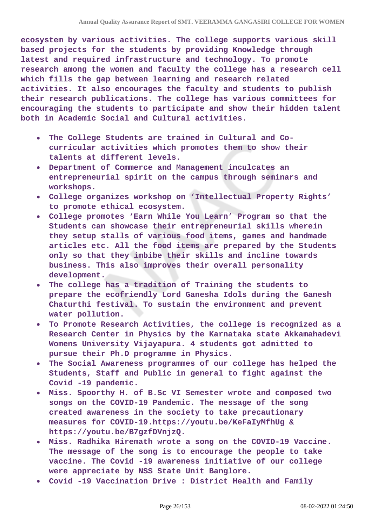**ecosystem by various activities. The college supports various skill based projects for the students by providing Knowledge through latest and required infrastructure and technology. To promote research among the women and faculty the college has a research cell which fills the gap between learning and research related activities. It also encourages the faculty and students to publish their research publications. The college has various committees for encouraging the students to participate and show their hidden talent both in Academic Social and Cultural activities.**

- **The College Students are trained in Cultural and Cocurricular activities which promotes them to show their talents at different levels.**
- **Department of Commerce and Management inculcates an entrepreneurial spirit on the campus through seminars and workshops.**
- **College organizes workshop on 'Intellectual Property Rights' to promote ethical ecosystem.**
- **College promotes 'Earn While You Learn' Program so that the Students can showcase their entrepreneurial skills wherein they setup stalls of various food items, games and handmade articles etc. All the food items are prepared by the Students only so that they imbibe their skills and incline towards business. This also improves their overall personality development.**
- **The college has a tradition of Training the students to prepare the ecofriendly Lord Ganesha Idols during the Ganesh Chaturthi festival. To sustain the environment and prevent water pollution.**
- **To Promote Research Activities, the college is recognized as a Research Center in Physics by the Karnataka state Akkamahadevi Womens University Vijayapura. 4 students got admitted to pursue their Ph.D programme in Physics.**
- **The Social Awareness programmes of our college has helped the Students, Staff and Public in general to fight against the Covid -19 pandemic.**
- **Miss. Spoorthy H. of B.Sc VI Semester wrote and composed two songs on the COVID-19 Pandemic. The message of the song created awareness in the society to take precautionary measures for COVID-19.https://youtu.be/KeFaIyMfhUg & https://youtu.be/B7gzfDVnjzQ.**
- **Miss. Radhika Hiremath wrote a song on the COVID-19 Vaccine. The message of the song is to encourage the people to take vaccine. The Covid -19 awareness initiative of our college were appreciate by NSS State Unit Banglore.**
- **Covid -19 Vaccination Drive : District Health and Family**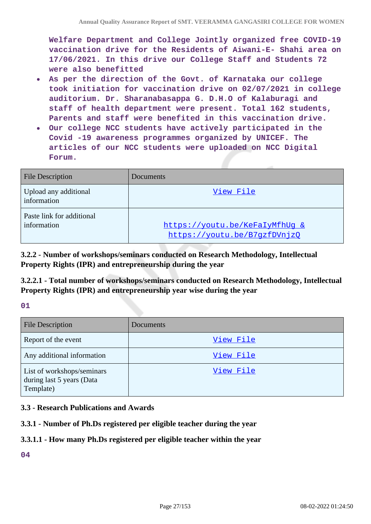**Welfare Department and College Jointly organized free COVID-19 vaccination drive for the Residents of Aiwani-E- Shahi area on 17/06/2021. In this drive our College Staff and Students 72 were also benefitted**

- **As per the direction of the Govt. of Karnataka our college**  $\bullet$ **took initiation for vaccination drive on 02/07/2021 in college auditorium. Dr. Sharanabasappa G. D.H.O of Kalaburagi and staff of health department were present. Total 162 students, Parents and staff were benefited in this vaccination drive.**
- **Our college NCC students have actively participated in the**  $\bullet$ **Covid -19 awareness programmes organized by UNICEF. The articles of our NCC students were uploaded on NCC Digital Forum.**

| <b>File Description</b>                  | Documents                                                      |
|------------------------------------------|----------------------------------------------------------------|
| Upload any additional<br>information     | View File                                                      |
| Paste link for additional<br>information | https://youtu.be/KeFaIyMfhUq &<br>https://youtu.be/B7qzfDVnjz0 |

**3.2.2 - Number of workshops/seminars conducted on Research Methodology, Intellectual Property Rights (IPR) and entrepreneurship during the year**

**3.2.2.1 - Total number of workshops/seminars conducted on Research Methodology, Intellectual Property Rights (IPR) and entrepreneurship year wise during the year**

**01**

| <b>File Description</b>                                              | Documents |
|----------------------------------------------------------------------|-----------|
| Report of the event                                                  | View File |
| Any additional information                                           | View File |
| List of workshops/seminars<br>during last 5 years (Data<br>Template) | View File |

# **3.3 - Research Publications and Awards**

#### **3.3.1 - Number of Ph.Ds registered per eligible teacher during the year**

#### **3.3.1.1 - How many Ph.Ds registered per eligible teacher within the year**

**04**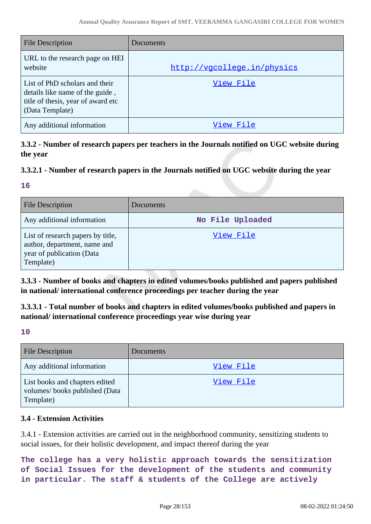| <b>File Description</b>                                                                                                    | Documents                   |
|----------------------------------------------------------------------------------------------------------------------------|-----------------------------|
| URL to the research page on HEI<br>website                                                                                 | http://vgcollege.in/physics |
| List of PhD scholars and their<br>details like name of the guide,<br>title of thesis, year of award etc<br>(Data Template) | View File                   |
| Any additional information                                                                                                 | View File                   |

**3.3.2 - Number of research papers per teachers in the Journals notified on UGC website during the year**

# **3.3.2.1 - Number of research papers in the Journals notified on UGC website during the year**

#### **16**

| <b>File Description</b>                                                                                     | <b>Documents</b> |
|-------------------------------------------------------------------------------------------------------------|------------------|
| Any additional information                                                                                  | No File Uploaded |
| List of research papers by title,<br>author, department, name and<br>year of publication (Data<br>Template) | View File        |

**3.3.3 - Number of books and chapters in edited volumes/books published and papers published in national/ international conference proceedings per teacher during the year**

**3.3.3.1 - Total number of books and chapters in edited volumes/books published and papers in national/ international conference proceedings year wise during year**

**10**

| <b>File Description</b>                                                      | Documents |
|------------------------------------------------------------------------------|-----------|
| Any additional information                                                   | View File |
| List books and chapters edited<br>volumes/books published (Data<br>Template) | View File |

# **3.4 - Extension Activities**

3.4.1 - Extension activities are carried out in the neighborhood community, sensitizing students to social issues, for their holistic development, and impact thereof during the year

**The college has a very holistic approach towards the sensitization of Social Issues for the development of the students and community in particular. The staff & students of the College are actively**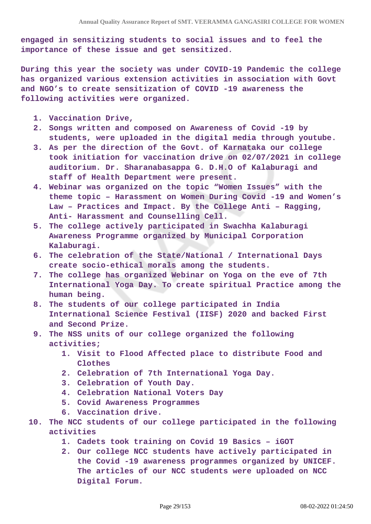**engaged in sensitizing students to social issues and to feel the importance of these issue and get sensitized.**

**During this year the society was under COVID-19 Pandemic the college has organized various extension activities in association with Govt and NGO's to create sensitization of COVID -19 awareness the following activities were organized.**

- **1. Vaccination Drive,**
- **2. Songs written and composed on Awareness of Covid -19 by students, were uploaded in the digital media through youtube.**
- **3. As per the direction of the Govt. of Karnataka our college took initiation for vaccination drive on 02/07/2021 in college auditorium. Dr. Sharanabasappa G. D.H.O of Kalaburagi and staff of Health Department were present.**
- **4. Webinar was organized on the topic "Women Issues" with the theme topic – Harassment on Women During Covid -19 and Women's Law – Practices and Impact. By the College Anti – Ragging, Anti- Harassment and Counselling Cell.**
- **5. The college actively participated in Swachha Kalaburagi Awareness Programme organized by Municipal Corporation Kalaburagi.**
- **6. The celebration of the State/National / International Days create socio-ethical morals among the students.**
- **7. The college has organized Webinar on Yoga on the eve of 7th International Yoga Day. To create spiritual Practice among the human being.**
- **8. The students of our college participated in India International Science Festival (IISF) 2020 and backed First and Second Prize.**
- **9. The NSS units of our college organized the following activities;**
	- **1. Visit to Flood Affected place to distribute Food and Clothes**
	- **2. Celebration of 7th International Yoga Day.**
	- **3. Celebration of Youth Day.**
	- **4. Celebration National Voters Day**
	- **5. Covid Awareness Programmes**
	- **6. Vaccination drive.**
- **10. The NCC students of our college participated in the following activities**
	- **1. Cadets took training on Covid 19 Basics iGOT**
	- **2. Our college NCC students have actively participated in the Covid -19 awareness programmes organized by UNICEF. The articles of our NCC students were uploaded on NCC Digital Forum.**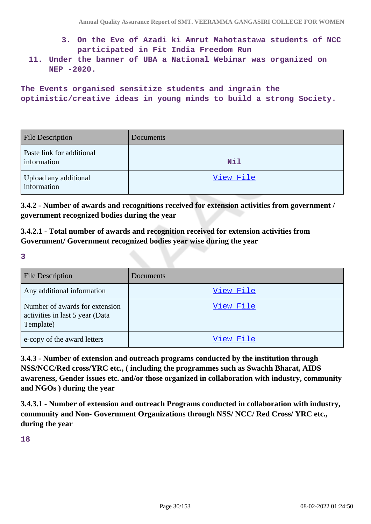- **3. On the Eve of Azadi ki Amrut Mahotastawa students of NCC participated in Fit India Freedom Run**
- **11. Under the banner of UBA a National Webinar was organized on NEP -2020.**

**The Events organised sensitize students and ingrain the optimistic/creative ideas in young minds to build a strong Society.**

| <b>File Description</b>                  | Documents  |
|------------------------------------------|------------|
| Paste link for additional<br>information | <b>Nil</b> |
| Upload any additional<br>information     | View File  |

**3.4.2 - Number of awards and recognitions received for extension activities from government / government recognized bodies during the year**

**3.4.2.1 - Total number of awards and recognition received for extension activities from Government/ Government recognized bodies year wise during the year**

**3**

| <b>File Description</b>                                                        | Documents |
|--------------------------------------------------------------------------------|-----------|
| Any additional information                                                     | View File |
| Number of awards for extension<br>activities in last 5 year (Data<br>Template) | View File |
| e-copy of the award letters                                                    | View File |

**3.4.3 - Number of extension and outreach programs conducted by the institution through NSS/NCC/Red cross/YRC etc., ( including the programmes such as Swachh Bharat, AIDS awareness, Gender issues etc. and/or those organized in collaboration with industry, community and NGOs ) during the year**

**3.4.3.1 - Number of extension and outreach Programs conducted in collaboration with industry, community and Non- Government Organizations through NSS/ NCC/ Red Cross/ YRC etc., during the year**

**18**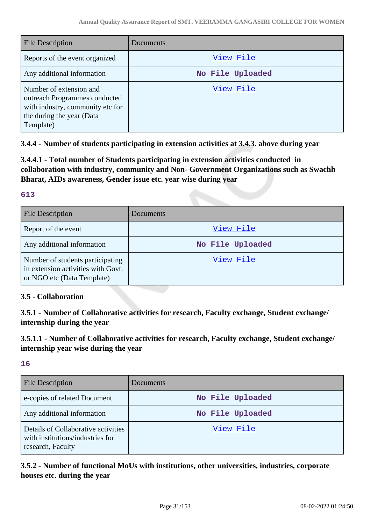| File Description                                                                                                                       | Documents        |
|----------------------------------------------------------------------------------------------------------------------------------------|------------------|
| Reports of the event organized                                                                                                         | View File        |
| Any additional information                                                                                                             | No File Uploaded |
| Number of extension and<br>outreach Programmes conducted<br>with industry, community etc for<br>the during the year (Data<br>Template) | View File        |

**3.4.4 - Number of students participating in extension activities at 3.4.3. above during year**

**3.4.4.1 - Total number of Students participating in extension activities conducted in collaboration with industry, community and Non- Government Organizations such as Swachh Bharat, AIDs awareness, Gender issue etc. year wise during year**

# **613**

| <b>File Description</b>                                                                              | Documents        |
|------------------------------------------------------------------------------------------------------|------------------|
| Report of the event                                                                                  | View File        |
| Any additional information                                                                           | No File Uploaded |
| Number of students participating<br>in extension activities with Govt.<br>or NGO etc (Data Template) | View File        |

# **3.5 - Collaboration**

**3.5.1 - Number of Collaborative activities for research, Faculty exchange, Student exchange/ internship during the year**

**3.5.1.1 - Number of Collaborative activities for research, Faculty exchange, Student exchange/ internship year wise during the year**

**16**

| <b>File Description</b>                                                                      | Documents        |
|----------------------------------------------------------------------------------------------|------------------|
| e-copies of related Document                                                                 | No File Uploaded |
| Any additional information                                                                   | No File Uploaded |
| Details of Collaborative activities<br>with institutions/industries for<br>research, Faculty | View File        |

**3.5.2 - Number of functional MoUs with institutions, other universities, industries, corporate houses etc. during the year**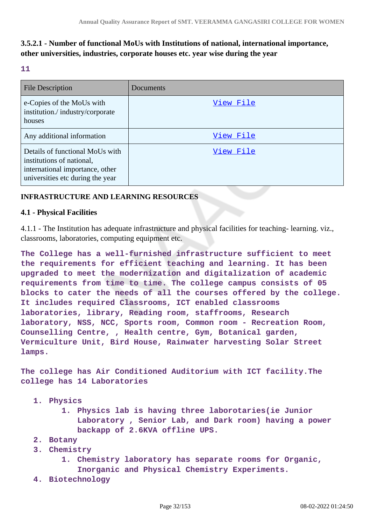# **3.5.2.1 - Number of functional MoUs with Institutions of national, international importance, other universities, industries, corporate houses etc. year wise during the year**

#### **11**

| <b>File Description</b>                                                                                                             | Documents |
|-------------------------------------------------------------------------------------------------------------------------------------|-----------|
| e-Copies of the MoUs with<br>institution./industry/corporate<br>houses                                                              | View File |
| Any additional information                                                                                                          | View File |
| Details of functional MoUs with<br>institutions of national,<br>international importance, other<br>universities etc during the year | View File |

# **INFRASTRUCTURE AND LEARNING RESOURCES**

#### **4.1 - Physical Facilities**

4.1.1 - The Institution has adequate infrastructure and physical facilities for teaching- learning. viz., classrooms, laboratories, computing equipment etc.

**The College has a well-furnished infrastructure sufficient to meet the requirements for efficient teaching and learning. It has been upgraded to meet the modernization and digitalization of academic requirements from time to time. The college campus consists of 05 blocks to cater the needs of all the courses offered by the college. It includes required Classrooms, ICT enabled classrooms laboratories, library, Reading room, staffrooms, Research laboratory, NSS, NCC, Sports room, Common room - Recreation Room, Counselling Centre, , Health centre, Gym, Botanical garden, Vermiculture Unit, Bird House, Rainwater harvesting Solar Street lamps.**

**The college has Air Conditioned Auditorium with ICT facility.The college has 14 Laboratories**

- **1. Physics**
	- **1. Physics lab is having three laborotaries(ie Junior Laboratory , Senior Lab, and Dark room) having a power backapp of 2.6KVA offline UPS.**
- **2. Botany**
- **3. Chemistry**
	- **1. Chemistry laboratory has separate rooms for Organic, Inorganic and Physical Chemistry Experiments.**
- **4. Biotechnology**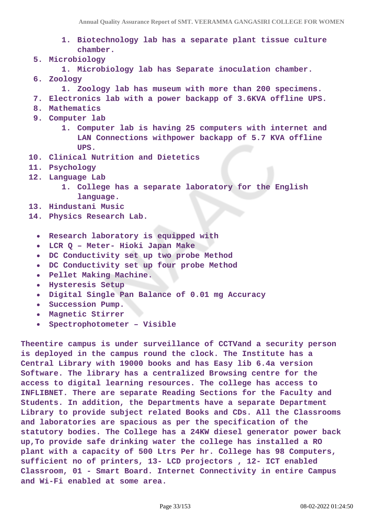- **1. Biotechnology lab has a separate plant tissue culture chamber.**
- **5. Microbiology**
	- **1. Microbiology lab has Separate inoculation chamber.**
- **6. Zoology**
	- **1. Zoology lab has museum with more than 200 specimens.**
- **7. Electronics lab with a power backapp of 3.6KVA offline UPS.**
- **8. Mathematics**
- **9. Computer lab**
	- **1. Computer lab is having 25 computers with internet and LAN Connections withpower backapp of 5.7 KVA offline UPS.**
- **10. Clinical Nutrition and Dietetics**
- **11. Psychology**
- **12. Language Lab**
	- **1. College has a separate laboratory for the English language.**
- **13. Hindustani Music**
- **14. Physics Research Lab.**
	- **Research laboratory is equipped with**
	- **LCR Q Meter- Hioki Japan Make**  $\bullet$
	- **DC Conductivity set up two probe Method**  $\bullet$
	- **DC Conductivity set up four probe Method**
	- **Pellet Making Machine.**  $\bullet$
	- **Hysteresis Setup**  $\bullet$
	- $\bullet$ **Digital Single Pan Balance of 0.01 mg Accuracy**
	- **Succession Pump.**  $\bullet$
	- **Magnetic Stirrer**
	- **Spectrophotometer Visible**  $\bullet$

**Theentire campus is under surveillance of CCTVand a security person is deployed in the campus round the clock. The Institute has a Central Library with 19000 books and has Easy lib 6.4a version Software. The library has a centralized Browsing centre for the access to digital learning resources. The college has access to INFLIBNET. There are separate Reading Sections for the Faculty and Students. In addition, the Departments have a separate Department Library to provide subject related Books and CDs. All the Classrooms and laboratories are spacious as per the specification of the statutory bodies. The College has a 24KW diesel generator power back up,To provide safe drinking water the college has installed a RO plant with a capacity of 500 Ltrs Per hr. College has 98 Computers, sufficient no of printers, 13- LCD projectors , 12- ICT enabled Classroom, 01 - Smart Board. Internet Connectivity in entire Campus and Wi-Fi enabled at some area.**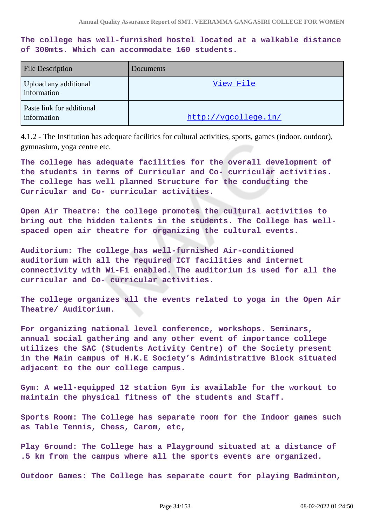**The college has well-furnished hostel located at a walkable distance of 300mts. Which can accommodate 160 students.** 

| <b>File Description</b>                  | <b>Documents</b>     |
|------------------------------------------|----------------------|
| Upload any additional<br>information     | View File            |
| Paste link for additional<br>information | http://vgcollege.in/ |

4.1.2 - The Institution has adequate facilities for cultural activities, sports, games (indoor, outdoor), gymnasium, yoga centre etc.

**The college has adequate facilities for the overall development of the students in terms of Curricular and Co- curricular activities. The college has well planned Structure for the conducting the Curricular and Co- curricular activities.**

**Open Air Theatre: the college promotes the cultural activities to bring out the hidden talents in the students. The College has wellspaced open air theatre for organizing the cultural events.** 

**Auditorium: The college has well-furnished Air-conditioned auditorium with all the required ICT facilities and internet connectivity with Wi-Fi enabled. The auditorium is used for all the curricular and Co- curricular activities.**

**The college organizes all the events related to yoga in the Open Air Theatre/ Auditorium.** 

**For organizing national level conference, workshops. Seminars, annual social gathering and any other event of importance college utilizes the SAC (Students Activity Centre) of the Society present in the Main campus of H.K.E Society's Administrative Block situated adjacent to the our college campus.** 

**Gym: A well-equipped 12 station Gym is available for the workout to maintain the physical fitness of the students and Staff.** 

**Sports Room: The College has separate room for the Indoor games such as Table Tennis, Chess, Carom, etc,**

**Play Ground: The College has a Playground situated at a distance of .5 km from the campus where all the sports events are organized.** 

**Outdoor Games: The College has separate court for playing Badminton,**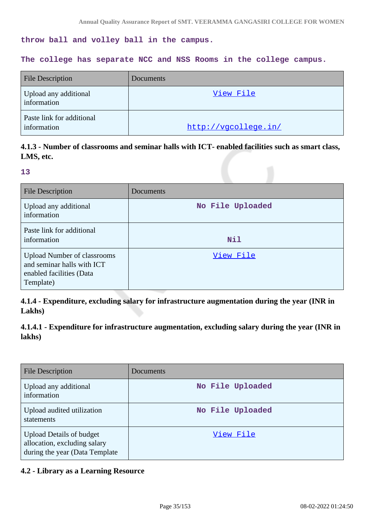**throw ball and volley ball in the campus.** 

#### **The college has separate NCC and NSS Rooms in the college campus.**

| <b>File Description</b>                  | Documents            |
|------------------------------------------|----------------------|
| Upload any additional<br>information     | View File            |
| Paste link for additional<br>information | http://vgcollege.in/ |

# **4.1.3 - Number of classrooms and seminar halls with ICT- enabled facilities such as smart class, LMS, etc.**

#### **13**

| <b>File Description</b>                                                                                   | Documents        |
|-----------------------------------------------------------------------------------------------------------|------------------|
| Upload any additional<br>information                                                                      | No File Uploaded |
| Paste link for additional<br>information                                                                  | Nil              |
| <b>Upload Number of classrooms</b><br>and seminar halls with ICT<br>enabled facilities (Data<br>Template) | View File        |

**4.1.4 - Expenditure, excluding salary for infrastructure augmentation during the year (INR in Lakhs)**

**4.1.4.1 - Expenditure for infrastructure augmentation, excluding salary during the year (INR in lakhs)**

| File Description                                                                                   | Documents        |
|----------------------------------------------------------------------------------------------------|------------------|
| Upload any additional<br>information                                                               | No File Uploaded |
| Upload audited utilization<br>statements                                                           | No File Uploaded |
| <b>Upload Details of budget</b><br>allocation, excluding salary<br>during the year (Data Template) | View File        |

#### **4.2 - Library as a Learning Resource**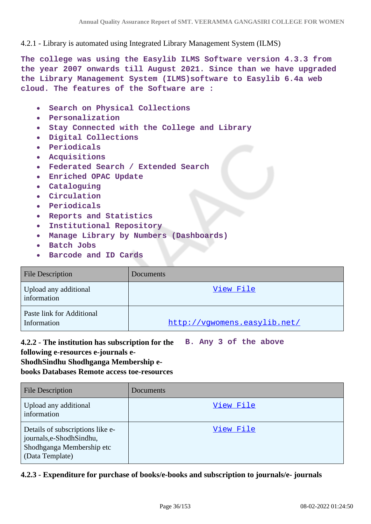4.2.1 - Library is automated using Integrated Library Management System (ILMS)

**The college was using the Easylib ILMS Software version 4.3.3 from the year 2007 onwards till August 2021. Since than we have upgraded the Library Management System (ILMS)software to Easylib 6.4a web cloud. The features of the Software are :**

- **Search on Physical Collections**  $\bullet$
- **Personalization**
- **Stay Connected with the College and Library**  $\bullet$
- **Digital Collections**  $\bullet$
- **Periodicals**  $\bullet$
- **Acquisitions**  $\bullet$
- **Federated Search / Extended Search**  $\bullet$
- **Enriched OPAC Update**  $\bullet$
- **Cataloguing**  $\bullet$
- **Circulation**  $\bullet$
- **Periodicals**  $\bullet$
- **Reports and Statistics**
- **Institutional Repository**  $\bullet$
- **Manage Library by Numbers (Dashboards)**
- **Batch Jobs**  $\bullet$
- **Barcode and ID Cards**  $\bullet$

| <b>File Description</b>                  | Documents                    |
|------------------------------------------|------------------------------|
| Upload any additional<br>information     | View File                    |
| Paste link for Additional<br>Information | http://vgwomens.easylib.net/ |

**4.2.2 - The institution has subscription for the B. Any 3 of the above following e-resources e-journals e-**

**ShodhSindhu Shodhganga Membership e-**

**books Databases Remote access toe-resources**

| <b>File Description</b>                                                                                       | <b>Documents</b> |
|---------------------------------------------------------------------------------------------------------------|------------------|
| Upload any additional<br>information                                                                          | View File        |
| Details of subscriptions like e-<br>journals, e-Shodh Sindhu,<br>Shodhganga Membership etc<br>(Data Template) | View File        |

# **4.2.3 - Expenditure for purchase of books/e-books and subscription to journals/e- journals**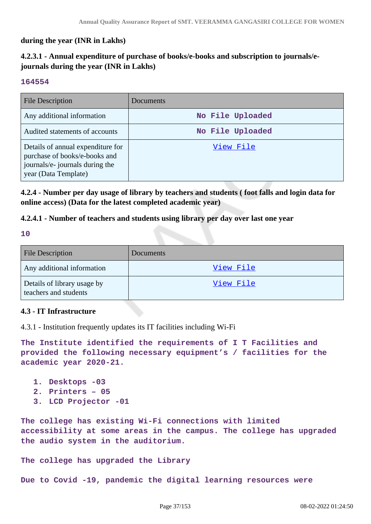## **during the year (INR in Lakhs)**

# **4.2.3.1 - Annual expenditure of purchase of books/e-books and subscription to journals/ejournals during the year (INR in Lakhs)**

### **164554**

| <b>File Description</b>                                                                                                       | <b>Documents</b> |
|-------------------------------------------------------------------------------------------------------------------------------|------------------|
| Any additional information                                                                                                    | No File Uploaded |
| Audited statements of accounts                                                                                                | No File Uploaded |
| Details of annual expenditure for<br>purchase of books/e-books and<br>journals/e- journals during the<br>year (Data Template) | View File        |

**4.2.4 - Number per day usage of library by teachers and students ( foot falls and login data for online access) (Data for the latest completed academic year)**

### **4.2.4.1 - Number of teachers and students using library per day over last one year**

**10**

| File Description                                     | Documents |
|------------------------------------------------------|-----------|
| Any additional information                           | View File |
| Details of library usage by<br>teachers and students | View File |

### **4.3 - IT Infrastructure**

4.3.1 - Institution frequently updates its IT facilities including Wi-Fi

**The Institute identified the requirements of I T Facilities and provided the following necessary equipment's / facilities for the academic year 2020-21.**

- **1. Desktops -03**
- **2. Printers 05**
- **3. LCD Projector -01**

**The college has existing Wi-Fi connections with limited accessibility at some areas in the campus. The college has upgraded the audio system in the auditorium.** 

**The college has upgraded the Library** 

**Due to Covid -19, pandemic the digital learning resources were**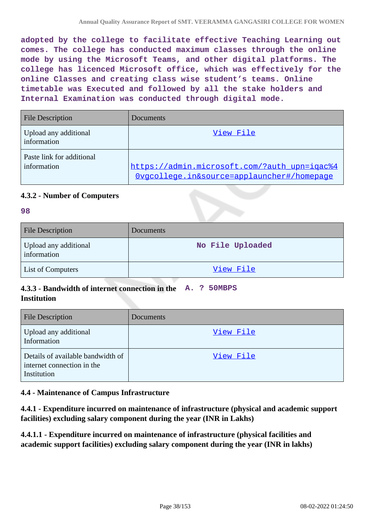**adopted by the college to facilitate effective Teaching Learning out comes. The college has conducted maximum classes through the online mode by using the Microsoft Teams, and other digital platforms. The college has licenced Microsoft office, which was effectively for the online Classes and creating class wise student's teams. Online timetable was Executed and followed by all the stake holders and Internal Examination was conducted through digital mode.**

| <b>File Description</b>                  | Documents                                                                                  |
|------------------------------------------|--------------------------------------------------------------------------------------------|
| Upload any additional<br>information     | View File                                                                                  |
| Paste link for additional<br>information | https://admin.microsoft.com/?auth_upn=iqac%4<br>Ovgcollege.in&source=applauncher#/homepage |

# **4.3.2 - Number of Computers**

### **98**

| <b>File Description</b>              | <b>Documents</b> |
|--------------------------------------|------------------|
| Upload any additional<br>information | No File Uploaded |
| <b>List of Computers</b>             | View File        |

# **4.3.3 - Bandwidth of internet connection in the A. ? 50MBPS Institution**

| <b>File Description</b>                                                        | Documents |
|--------------------------------------------------------------------------------|-----------|
| Upload any additional<br>Information                                           | View File |
| Details of available bandwidth of<br>internet connection in the<br>Institution | View File |

# **4.4 - Maintenance of Campus Infrastructure**

**4.4.1 - Expenditure incurred on maintenance of infrastructure (physical and academic support facilities) excluding salary component during the year (INR in Lakhs)**

**4.4.1.1 - Expenditure incurred on maintenance of infrastructure (physical facilities and academic support facilities) excluding salary component during the year (INR in lakhs)**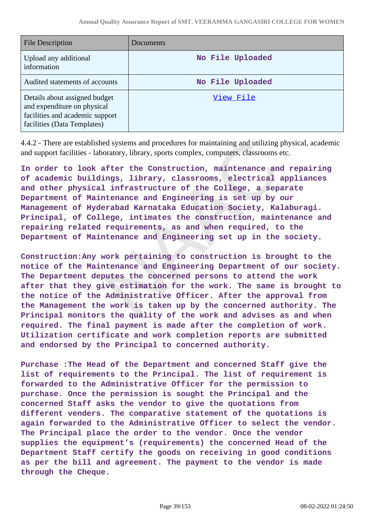| File Description                                                                                                               | Documents        |
|--------------------------------------------------------------------------------------------------------------------------------|------------------|
| Upload any additional<br>information                                                                                           | No File Uploaded |
| Audited statements of accounts                                                                                                 | No File Uploaded |
| Details about assigned budget<br>and expenditure on physical<br>facilities and academic support<br>facilities (Data Templates) | View File        |

4.4.2 - There are established systems and procedures for maintaining and utilizing physical, academic and support facilities - laboratory, library, sports complex, computers, classrooms etc.

**In order to look after the Construction, maintenance and repairing of academic buildings, library, classrooms, electrical appliances and other physical infrastructure of the College, a separate Department of Maintenance and Engineering is set up by our Management of Hyderabad Karnataka Education Society, Kalaburagi. Principal, of College, intimates the construction, maintenance and repairing related requirements, as and when required, to the Department of Maintenance and Engineering set up in the society.**

**Construction:Any work pertaining to construction is brought to the notice of the Maintenance and Engineering Department of our society. The Department deputes the concerned persons to attend the work after that they give estimation for the work. The same is brought to the notice of the Administrative Officer. After the approval from the Management the work is taken up by the concerned authority. The Principal monitors the quality of the work and advises as and when required. The final payment is made after the completion of work. Utilization certificate and work completion reports are submitted and endorsed by the Principal to concerned authority.**

**Purchase :The Head of the Department and concerned Staff give the list of requirements to the Principal. The list of requirement is forwarded to the Administrative Officer for the permission to purchase. Once the permission is sought the Principal and the concerned Staff asks the vendor to give the quotations from different venders. The comparative statement of the quotations is again forwarded to the Administrative Officer to select the vendor. The Principal place the order to the vendor. Once the vendor supplies the equipment's (requirements) the concerned Head of the Department Staff certify the goods on receiving in good conditions as per the bill and agreement. The payment to the vendor is made through the Cheque.**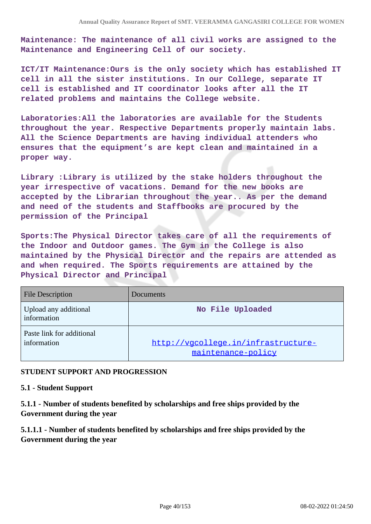**Maintenance: The maintenance of all civil works are assigned to the Maintenance and Engineering Cell of our society.**

**ICT/IT Maintenance:Ours is the only society which has established IT cell in all the sister institutions. In our College, separate IT cell is established and IT coordinator looks after all the IT related problems and maintains the College website.**

**Laboratories:All the laboratories are available for the Students throughout the year. Respective Departments properly maintain labs. All the Science Departments are having individual attenders who ensures that the equipment's are kept clean and maintained in a proper way.**

**Library :Library is utilized by the stake holders throughout the year irrespective of vacations. Demand for the new books are accepted by the Librarian throughout the year.. As per the demand and need of the students and Staffbooks are procured by the permission of the Principal**

**Sports:The Physical Director takes care of all the requirements of the Indoor and Outdoor games. The Gym in the College is also maintained by the Physical Director and the repairs are attended as and when required. The Sports requirements are attained by the Physical Director and Principal**

| <b>File Description</b>                  | Documents                                                 |
|------------------------------------------|-----------------------------------------------------------|
| Upload any additional<br>information     | No File Uploaded                                          |
| Paste link for additional<br>information | http://vgcollege.in/infrastructure-<br>maintenance-policy |

### **STUDENT SUPPORT AND PROGRESSION**

#### **5.1 - Student Support**

**5.1.1 - Number of students benefited by scholarships and free ships provided by the Government during the year**

**5.1.1.1 - Number of students benefited by scholarships and free ships provided by the Government during the year**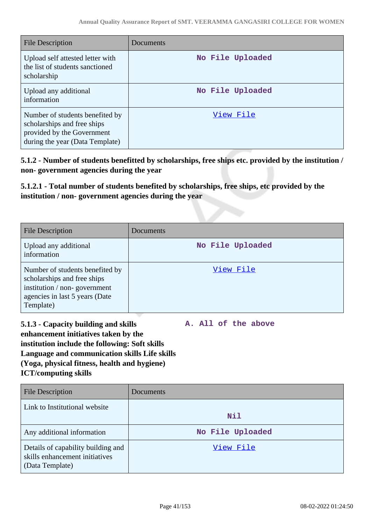| <b>File Description</b>                                                                                                         | Documents        |
|---------------------------------------------------------------------------------------------------------------------------------|------------------|
| Upload self attested letter with<br>the list of students sanctioned<br>scholarship                                              | No File Uploaded |
| Upload any additional<br>information                                                                                            | No File Uploaded |
| Number of students benefited by<br>scholarships and free ships<br>provided by the Government<br>during the year (Data Template) | View File        |

**5.1.2 - Number of students benefitted by scholarships, free ships etc. provided by the institution / non- government agencies during the year**

**5.1.2.1 - Total number of students benefited by scholarships, free ships, etc provided by the institution / non- government agencies during the year**

| <b>File Description</b>                                                                                                                       | Documents        |
|-----------------------------------------------------------------------------------------------------------------------------------------------|------------------|
| Upload any additional<br>information                                                                                                          | No File Uploaded |
| Number of students benefited by<br>scholarships and free ships<br>institution / non-government<br>agencies in last 5 years (Date<br>Template) | View File        |

**5.1.3 - Capacity building and skills enhancement initiatives taken by the institution include the following: Soft skills Language and communication skills Life skills (Yoga, physical fitness, health and hygiene) ICT/computing skills**

**A. All of the above**

| <b>File Description</b>                                                                 | Documents        |
|-----------------------------------------------------------------------------------------|------------------|
| Link to Institutional website                                                           | Nil              |
| Any additional information                                                              | No File Uploaded |
| Details of capability building and<br>skills enhancement initiatives<br>(Data Template) | View File        |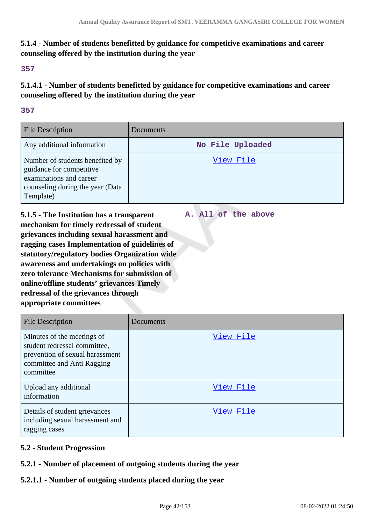**A. All of the above**

# **5.1.4 - Number of students benefitted by guidance for competitive examinations and career counseling offered by the institution during the year**

### **357**

**5.1.4.1 - Number of students benefitted by guidance for competitive examinations and career counseling offered by the institution during the year**

## **357**

| <b>File Description</b>                                                                                                                 | <b>Documents</b> |
|-----------------------------------------------------------------------------------------------------------------------------------------|------------------|
| Any additional information                                                                                                              | No File Uploaded |
| Number of students benefited by<br>guidance for competitive<br>examinations and career<br>counseling during the year (Data<br>Template) | View File        |

**5.1.5 - The Institution has a transparent mechanism for timely redressal of student grievances including sexual harassment and ragging cases Implementation of guidelines of statutory/regulatory bodies Organization wide awareness and undertakings on policies with zero tolerance Mechanisms for submission of online/offline students' grievances Timely redressal of the grievances through appropriate committees**

| <b>File Description</b>                                                                                                                  | Documents |
|------------------------------------------------------------------------------------------------------------------------------------------|-----------|
| Minutes of the meetings of<br>student redressal committee,<br>prevention of sexual harassment<br>committee and Anti Ragging<br>committee | View File |
| Upload any additional<br>information                                                                                                     | View File |
| Details of student grievances<br>including sexual harassment and<br>ragging cases                                                        | View File |

# **5.2 - Student Progression**

# **5.2.1 - Number of placement of outgoing students during the year**

# **5.2.1.1 - Number of outgoing students placed during the year**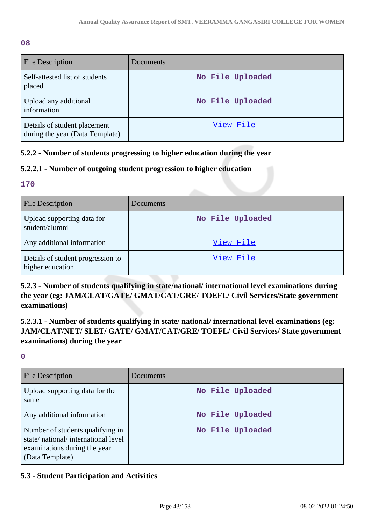**08**

| <b>File Description</b>                                         | <b>Documents</b> |
|-----------------------------------------------------------------|------------------|
| Self-attested list of students<br>placed                        | No File Uploaded |
| Upload any additional<br>information                            | No File Uploaded |
| Details of student placement<br>during the year (Data Template) | View File        |

# **5.2.2 - Number of students progressing to higher education during the year**

# **5.2.2.1 - Number of outgoing student progression to higher education**

## **170**

| <b>File Description</b>                               | <b>Documents</b> |
|-------------------------------------------------------|------------------|
| Upload supporting data for<br>student/alumni          | No File Uploaded |
| Any additional information                            | View File        |
| Details of student progression to<br>higher education | View File        |

**5.2.3 - Number of students qualifying in state/national/ international level examinations during the year (eg: JAM/CLAT/GATE/ GMAT/CAT/GRE/ TOEFL/ Civil Services/State government examinations)**

**5.2.3.1 - Number of students qualifying in state/ national/ international level examinations (eg: JAM/CLAT/NET/ SLET/ GATE/ GMAT/CAT/GRE/ TOEFL/ Civil Services/ State government examinations) during the year**

**0**

| File Description                                                                                                          | Documents        |
|---------------------------------------------------------------------------------------------------------------------------|------------------|
| Upload supporting data for the<br>same                                                                                    | No File Uploaded |
| Any additional information                                                                                                | No File Uploaded |
| Number of students qualifying in<br>state/national/international level<br>examinations during the year<br>(Data Template) | No File Uploaded |

# **5.3 - Student Participation and Activities**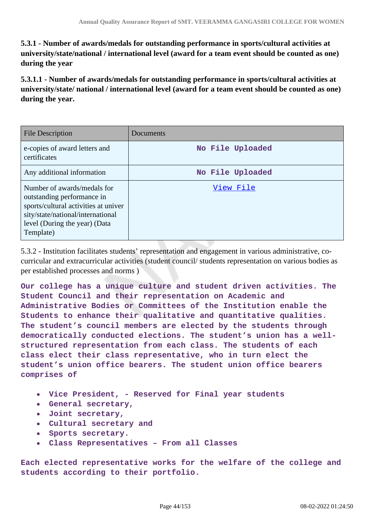**5.3.1 - Number of awards/medals for outstanding performance in sports/cultural activities at university/state/national / international level (award for a team event should be counted as one) during the year**

**5.3.1.1 - Number of awards/medals for outstanding performance in sports/cultural activities at university/state/ national / international level (award for a team event should be counted as one) during the year.**

| <b>File Description</b>                                                                                                                                                              | Documents        |
|--------------------------------------------------------------------------------------------------------------------------------------------------------------------------------------|------------------|
| e-copies of award letters and<br>certificates                                                                                                                                        | No File Uploaded |
| Any additional information                                                                                                                                                           | No File Uploaded |
| Number of awards/medals for<br>outstanding performance in<br>sports/cultural activities at univer<br>sity/state/national/international<br>level (During the year) (Data<br>Template) | View File        |

5.3.2 - Institution facilitates students' representation and engagement in various administrative, cocurricular and extracurricular activities (student council/ students representation on various bodies as per established processes and norms )

**Our college has a unique culture and student driven activities. The Student Council and their representation on Academic and Administrative Bodies or Committees of the Institution enable the Students to enhance their qualitative and quantitative qualities. The student's council members are elected by the students through democratically conducted elections. The student's union has a wellstructured representation from each class. The students of each class elect their class representative, who in turn elect the student's union office bearers. The student union office bearers comprises of**

- **Vice President, Reserved for Final year students**
- **General secretary,**
- **Joint secretary,**
- **Cultural secretary and**
- **Sports secretary.**
- **Class Representatives From all Classes**

**Each elected representative works for the welfare of the college and students according to their portfolio.**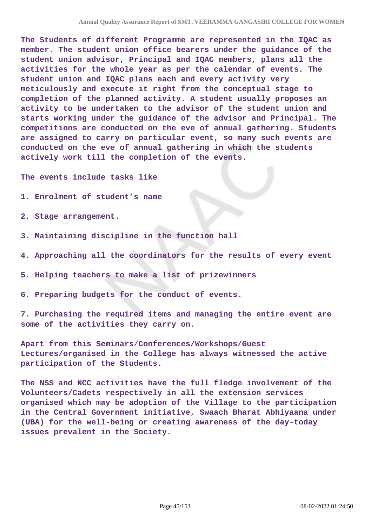**The Students of different Programme are represented in the IQAC as member. The student union office bearers under the guidance of the student union advisor, Principal and IQAC members, plans all the activities for the whole year as per the calendar of events. The student union and IQAC plans each and every activity very meticulously and execute it right from the conceptual stage to completion of the planned activity. A student usually proposes an activity to be undertaken to the advisor of the student union and starts working under the guidance of the advisor and Principal. The competitions are conducted on the eve of annual gathering. Students are assigned to carry on particular event, so many such events are conducted on the eve of annual gathering in which the students actively work till the completion of the events.**

**The events include tasks like**

- **1. Enrolment of student's name**
- **2. Stage arrangement.**
- **3. Maintaining discipline in the function hall**
- **4. Approaching all the coordinators for the results of every event**
- **5. Helping teachers to make a list of prizewinners**
- **6. Preparing budgets for the conduct of events.**

**7. Purchasing the required items and managing the entire event are some of the activities they carry on.**

**Apart from this Seminars/Conferences/Workshops/Guest Lectures/organised in the College has always witnessed the active participation of the Students.**

**The NSS and NCC activities have the full fledge involvement of the Volunteers/Cadets respectively in all the extension services organised which may be adoption of the Village to the participation in the Central Government initiative, Swaach Bharat Abhiyaana under (UBA) for the well-being or creating awareness of the day-today issues prevalent in the Society.**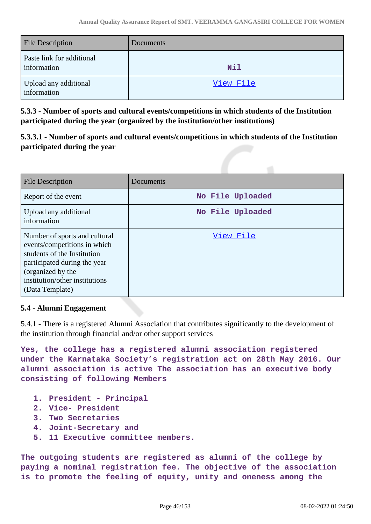| <b>File Description</b>                  | Documents  |
|------------------------------------------|------------|
| Paste link for additional<br>information | <b>Nil</b> |
| Upload any additional<br>information     | View File  |

**5.3.3 - Number of sports and cultural events/competitions in which students of the Institution participated during the year (organized by the institution/other institutions)**

**5.3.3.1 - Number of sports and cultural events/competitions in which students of the Institution participated during the year**

| <b>File Description</b>                                                                                                                                                                                | Documents        |
|--------------------------------------------------------------------------------------------------------------------------------------------------------------------------------------------------------|------------------|
| Report of the event                                                                                                                                                                                    | No File Uploaded |
| Upload any additional<br>information                                                                                                                                                                   | No File Uploaded |
| Number of sports and cultural<br>events/competitions in which<br>students of the Institution<br>participated during the year<br>(organized by the<br>institution/other institutions<br>(Data Template) | View File        |

# **5.4 - Alumni Engagement**

5.4.1 - There is a registered Alumni Association that contributes significantly to the development of the institution through financial and/or other support services

**Yes, the college has a registered alumni association registered under the Karnataka Society's registration act on 28th May 2016. Our alumni association is active The association has an executive body consisting of following Members** 

- **1. President Principal**
- **2. Vice- President**
- **3. Two Secretaries**
- **4. Joint-Secretary and**
- **5. 11 Executive committee members.**

**The outgoing students are registered as alumni of the college by paying a nominal registration fee. The objective of the association is to promote the feeling of equity, unity and oneness among the**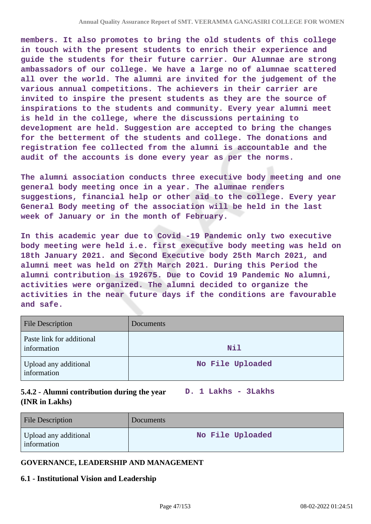**members. It also promotes to bring the old students of this college in touch with the present students to enrich their experience and guide the students for their future carrier. Our Alumnae are strong ambassadors of our college. We have a large no of alumnae scattered all over the world. The alumni are invited for the judgement of the various annual competitions. The achievers in their carrier are invited to inspire the present students as they are the source of inspirations to the students and community. Every year alumni meet is held in the college, where the discussions pertaining to development are held. Suggestion are accepted to bring the changes for the betterment of the students and college. The donations and registration fee collected from the alumni is accountable and the audit of the accounts is done every year as per the norms.**

**The alumni association conducts three executive body meeting and one general body meeting once in a year. The alumnae renders suggestions, financial help or other aid to the college. Every year General Body meeting of the association will be held in the last week of January or in the month of February.** 

**In this academic year due to Covid -19 Pandemic only two executive body meeting were held i.e. first executive body meeting was held on 18th January 2021. and Second Executive body 25th March 2021, and alumni meet was held on 27th March 2021. During this Period the alumni contribution is 192675. Due to Covid 19 Pandemic No alumni, activities were organized. The alumni decided to organize the activities in the near future days if the conditions are favourable and safe.**

| <b>File Description</b>                  | Documents        |
|------------------------------------------|------------------|
| Paste link for additional<br>information | <b>Nil</b>       |
| Upload any additional<br>information     | No File Uploaded |

# **5.4.2 - Alumni contribution during the year D. 1 Lakhs - 3Lakhs (INR in Lakhs)**

| <b>File Description</b>              | <b>Documents</b> |
|--------------------------------------|------------------|
| Upload any additional<br>information | No File Uploaded |

# **GOVERNANCE, LEADERSHIP AND MANAGEMENT**

### **6.1 - Institutional Vision and Leadership**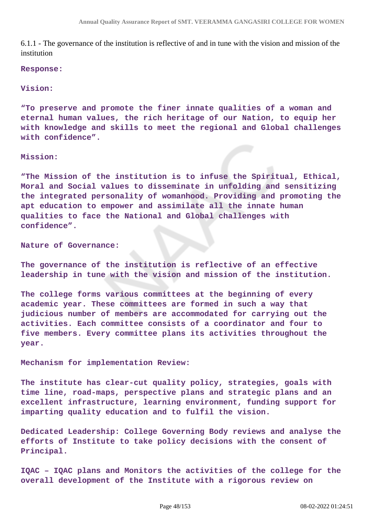6.1.1 - The governance of the institution is reflective of and in tune with the vision and mission of the institution

#### **Response:**

#### **Vision:**

**"To preserve and promote the finer innate qualities of a woman and eternal human values, the rich heritage of our Nation, to equip her with knowledge and skills to meet the regional and Global challenges with confidence".**

#### **Mission:**

**"The Mission of the institution is to infuse the Spiritual, Ethical, Moral and Social values to disseminate in unfolding and sensitizing the integrated personality of womanhood. Providing and promoting the apt education to empower and assimilate all the innate human qualities to face the National and Global challenges with confidence".**

#### **Nature of Governance:**

**The governance of the institution is reflective of an effective leadership in tune with the vision and mission of the institution.**

**The college forms various committees at the beginning of every academic year. These committees are formed in such a way that judicious number of members are accommodated for carrying out the activities. Each committee consists of a coordinator and four to five members. Every committee plans its activities throughout the year.**

**Mechanism for implementation Review:**

**The institute has clear-cut quality policy, strategies, goals with time line, road-maps, perspective plans and strategic plans and an excellent infrastructure, learning environment, funding support for imparting quality education and to fulfil the vision.**

**Dedicated Leadership: College Governing Body reviews and analyse the efforts of Institute to take policy decisions with the consent of Principal.**

**IQAC – IQAC plans and Monitors the activities of the college for the overall development of the Institute with a rigorous review on**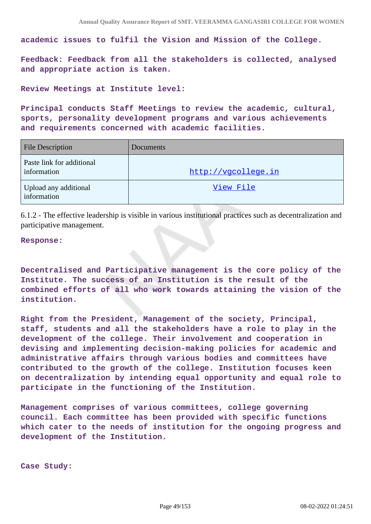**academic issues to fulfil the Vision and Mission of the College.**

**Feedback: Feedback from all the stakeholders is collected, analysed and appropriate action is taken.**

**Review Meetings at Institute level:**

**Principal conducts Staff Meetings to review the academic, cultural, sports, personality development programs and various achievements and requirements concerned with academic facilities.**

| <b>File Description</b>                  | Documents           |
|------------------------------------------|---------------------|
| Paste link for additional<br>information | http://vgcollege.in |
| Upload any additional<br>information     | View File           |

6.1.2 - The effective leadership is visible in various institutional practices such as decentralization and participative management.

#### **Response:**

**Decentralised and Participative management is the core policy of the Institute. The success of an Institution is the result of the combined efforts of all who work towards attaining the vision of the institution.**

**Right from the President, Management of the society, Principal, staff, students and all the stakeholders have a role to play in the development of the college. Their involvement and cooperation in devising and implementing decision-making policies for academic and administrative affairs through various bodies and committees have contributed to the growth of the college. Institution focuses keen on decentralization by intending equal opportunity and equal role to participate in the functioning of the Institution.**

**Management comprises of various committees, college governing council. Each committee has been provided with specific functions which cater to the needs of institution for the ongoing progress and development of the Institution.**

**Case Study:**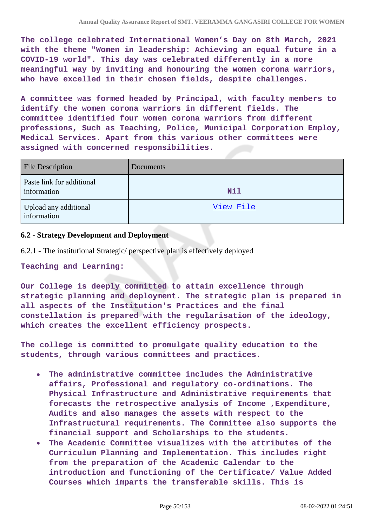**The college celebrated International Women's Day on 8th March, 2021 with the theme "Women in leadership: Achieving an equal future in a COVID-19 world". This day was celebrated differently in a more meaningful way by inviting and honouring the women corona warriors, who have excelled in their chosen fields, despite challenges.**

**A committee was formed headed by Principal, with faculty members to identify the women corona warriors in different fields. The committee identified four women corona warriors from different professions, Such as Teaching, Police, Municipal Corporation Employ, Medical Services. Apart from this various other committees were assigned with concerned responsibilities.**

| <b>File Description</b>                  | Documents  |
|------------------------------------------|------------|
| Paste link for additional<br>information | <b>Nil</b> |
| Upload any additional<br>information     | View File  |

### **6.2 - Strategy Development and Deployment**

6.2.1 - The institutional Strategic/ perspective plan is effectively deployed

#### **Teaching and Learning:**

**Our College is deeply committed to attain excellence through strategic planning and deployment. The strategic plan is prepared in all aspects of the Institution's Practices and the final constellation is prepared with the regularisation of the ideology, which creates the excellent efficiency prospects.**

**The college is committed to promulgate quality education to the students, through various committees and practices.**

- **The administrative committee includes the Administrative**  $\bullet$ **affairs, Professional and regulatory co-ordinations. The Physical Infrastructure and Administrative requirements that forecasts the retrospective analysis of Income ,Expenditure, Audits and also manages the assets with respect to the Infrastructural requirements. The Committee also supports the financial support and Scholarships to the students.**
- **The Academic Committee visualizes with the attributes of the Curriculum Planning and Implementation. This includes right from the preparation of the Academic Calendar to the introduction and functioning of the Certificate/ Value Added Courses which imparts the transferable skills. This is**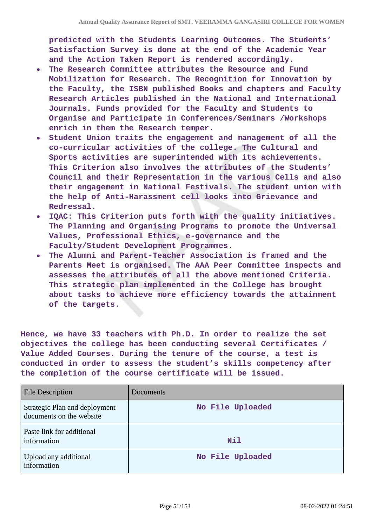**predicted with the Students Learning Outcomes. The Students' Satisfaction Survey is done at the end of the Academic Year and the Action Taken Report is rendered accordingly.**

- **The Research Committee attributes the Resource and Fund Mobilization for Research. The Recognition for Innovation by the Faculty, the ISBN published Books and chapters and Faculty Research Articles published in the National and International Journals. Funds provided for the Faculty and Students to Organise and Participate in Conferences/Seminars /Workshops enrich in them the Research temper.**
- **Student Union traits the engagement and management of all the co-curricular activities of the college. The Cultural and Sports activities are superintended with its achievements. This Criterion also involves the attributes of the Students' Council and their Representation in the various Cells and also their engagement in National Festivals. The student union with the help of Anti-Harassment cell looks into Grievance and Redressal.**
- **IQAC: This Criterion puts forth with the quality initiatives. The Planning and Organising Programs to promote the Universal Values, Professional Ethics, e-governance and the Faculty/Student Development Programmes.**
- **The Alumni and Parent-Teacher Association is framed and the**  $\bullet$ **Parents Meet is organised. The AAA Peer Committee inspects and assesses the attributes of all the above mentioned Criteria. This strategic plan implemented in the College has brought about tasks to achieve more efficiency towards the attainment of the targets.**

**Hence, we have 33 teachers with Ph.D. In order to realize the set objectives the college has been conducting several Certificates / Value Added Courses. During the tenure of the course, a test is conducted in order to assess the student's skills competency after the completion of the course certificate will be issued.**

| <b>File Description</b>                                   | Documents        |
|-----------------------------------------------------------|------------------|
| Strategic Plan and deployment<br>documents on the website | No File Uploaded |
| Paste link for additional<br>information                  | Nil              |
| Upload any additional<br>information                      | No File Uploaded |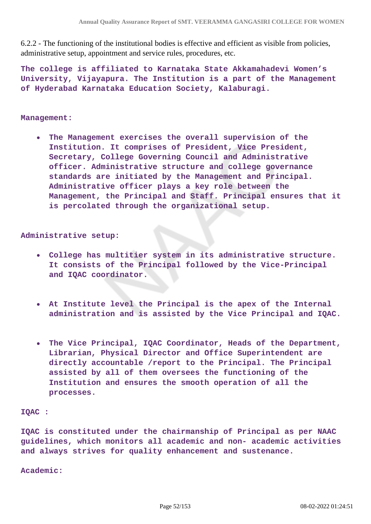6.2.2 - The functioning of the institutional bodies is effective and efficient as visible from policies, administrative setup, appointment and service rules, procedures, etc.

**The college is affiliated to Karnataka State Akkamahadevi Women's University, Vijayapura. The Institution is a part of the Management of Hyderabad Karnataka Education Society, Kalaburagi.**

#### **Management:**

**The Management exercises the overall supervision of the**  $\bullet$ **Institution. It comprises of President, Vice President, Secretary, College Governing Council and Administrative officer. Administrative structure and college governance standards are initiated by the Management and Principal. Administrative officer plays a key role between the Management, the Principal and Staff. Principal ensures that it is percolated through the organizational setup.**

### **Administrative setup:**

- **College has multitier system in its administrative structure. It consists of the Principal followed by the Vice-Principal and IQAC coordinator.**
- **At Institute level the Principal is the apex of the Internal administration and is assisted by the Vice Principal and IQAC.**
- **The Vice Principal, IQAC Coordinator, Heads of the Department,**  $\bullet$ **Librarian, Physical Director and Office Superintendent are directly accountable /report to the Principal. The Principal assisted by all of them oversees the functioning of the Institution and ensures the smooth operation of all the processes.**

#### **IQAC :**

**IQAC is constituted under the chairmanship of Principal as per NAAC guidelines, which monitors all academic and non- academic activities and always strives for quality enhancement and sustenance.**

**Academic:**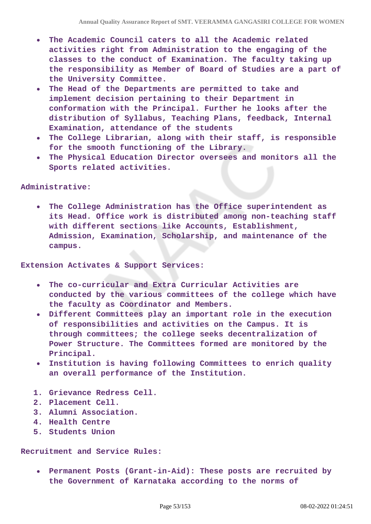- **The Academic Council caters to all the Academic related activities right from Administration to the engaging of the classes to the conduct of Examination. The faculty taking up the responsibility as Member of Board of Studies are a part of the University Committee.**
- **The Head of the Departments are permitted to take and implement decision pertaining to their Department in conformation with the Principal. Further he looks after the distribution of Syllabus, Teaching Plans, feedback, Internal Examination, attendance of the students**
- **The College Librarian, along with their staff, is responsible for the smooth functioning of the Library.**
- **The Physical Education Director oversees and monitors all the Sports related activities.**

### **Administrative:**

**The College Administration has the Office superintendent as**  $\bullet$ **its Head. Office work is distributed among non-teaching staff with different sections like Accounts, Establishment, Admission, Examination, Scholarship, and maintenance of the campus.**

**Extension Activates & Support Services:** 

- **The co-curricular and Extra Curricular Activities are conducted by the various committees of the college which have the faculty as Coordinator and Members.**
- **Different Committees play an important role in the execution of responsibilities and activities on the Campus. It is through committees; the college seeks decentralization of Power Structure. The Committees formed are monitored by the Principal.**
- **Institution is having following Committees to enrich quality an overall performance of the Institution.**
- **1. Grievance Redress Cell.**
- **2. Placement Cell.**
- **3. Alumni Association.**
- **4. Health Centre**
- **5. Students Union**

#### **Recruitment and Service Rules:**

**Permanent Posts (Grant-in-Aid): These posts are recruited by the Government of Karnataka according to the norms of**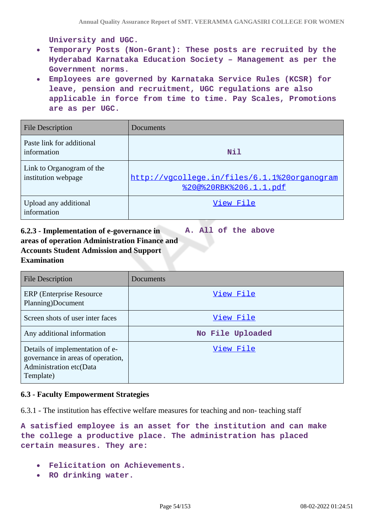**University and UGC.**

- **Temporary Posts (Non-Grant): These posts are recruited by the**  $\bullet$ **Hyderabad Karnataka Education Society – Management as per the Government norms.**
- **Employees are governed by Karnataka Service Rules (KCSR) for leave, pension and recruitment, UGC regulations are also applicable in force from time to time. Pay Scales, Promotions are as per UGC.**

| <b>File Description</b>                          | Documents                                                                      |
|--------------------------------------------------|--------------------------------------------------------------------------------|
| Paste link for additional<br>information         | Nil                                                                            |
| Link to Organogram of the<br>institution webpage | http://vgcollege.in/files/6.1.1%20organogram<br><u> %20@%20RBK%206.1.1.pdf</u> |
| Upload any additional<br>information             | View File                                                                      |

**6.2.3 - Implementation of e-governance in areas of operation Administration Finance and Accounts Student Admission and Support Examination A. All of the above**

| File Description                                                                                             | Documents        |
|--------------------------------------------------------------------------------------------------------------|------------------|
| <b>ERP</b> (Enterprise Resource)<br>Planning)Document                                                        | View File        |
| Screen shots of user inter faces                                                                             | View File        |
| Any additional information                                                                                   | No File Uploaded |
| Details of implementation of e-<br>governance in areas of operation,<br>Administration etc(Data<br>Template) | View File        |

### **6.3 - Faculty Empowerment Strategies**

6.3.1 - The institution has effective welfare measures for teaching and non- teaching staff

**A satisfied employee is an asset for the institution and can make the college a productive place. The administration has placed certain measures. They are:**

- **Felicitation on Achievements.**
- **RO drinking water.**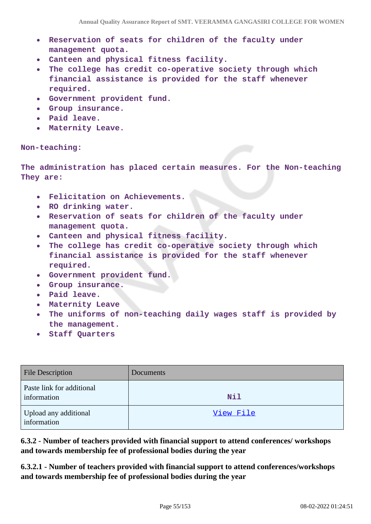- **Reservation of seats for children of the faculty under**  $\bullet$ **management quota.**
- **Canteen and physical fitness facility.**
- **The college has credit co-operative society through which financial assistance is provided for the staff whenever required.**
- **Government provident fund.**  $\bullet$
- **Group insurance.**
- **Paid leave.**
- **Maternity Leave.**

### **Non-teaching:**

**The administration has placed certain measures. For the Non-teaching They are:**

- **Felicitation on Achievements.**
- $\bullet$ **RO drinking water.**
- **Reservation of seats for children of the faculty under management quota.**
- **Canteen and physical fitness facility.**  $\bullet$
- **The college has credit co-operative society through which**  $\bullet$ **financial assistance is provided for the staff whenever required.**
- **Government provident fund.**
- **Group insurance.**  $\bullet$
- **Paid leave.**
- **Maternity Leave**
- **The uniforms of non-teaching daily wages staff is provided by the management.**
- **Staff Quarters**

| <b>File Description</b>                  | <b>Documents</b> |
|------------------------------------------|------------------|
| Paste link for additional<br>information | Nil              |
| Upload any additional<br>information     | View File        |

**6.3.2 - Number of teachers provided with financial support to attend conferences/ workshops and towards membership fee of professional bodies during the year**

**6.3.2.1 - Number of teachers provided with financial support to attend conferences/workshops and towards membership fee of professional bodies during the year**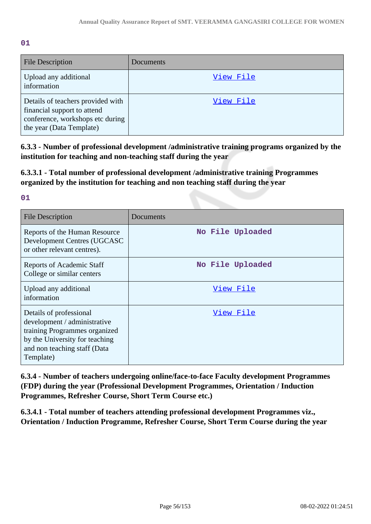**01**

| <b>File Description</b>                                                                                                          | Documents |
|----------------------------------------------------------------------------------------------------------------------------------|-----------|
| Upload any additional<br>information                                                                                             | View File |
| Details of teachers provided with<br>financial support to attend<br>conference, workshops etc during<br>the year (Data Template) | View File |

**6.3.3 - Number of professional development /administrative training programs organized by the institution for teaching and non-teaching staff during the year**

**6.3.3.1 - Total number of professional development /administrative training Programmes organized by the institution for teaching and non teaching staff during the year**

**01**

| <b>File Description</b>                                                                                                                                                 | Documents        |
|-------------------------------------------------------------------------------------------------------------------------------------------------------------------------|------------------|
| Reports of the Human Resource<br>Development Centres (UGCASC<br>or other relevant centres).                                                                             | No File Uploaded |
| <b>Reports of Academic Staff</b><br>College or similar centers                                                                                                          | No File Uploaded |
| Upload any additional<br>information                                                                                                                                    | View File        |
| Details of professional<br>development / administrative<br>training Programmes organized<br>by the University for teaching<br>and non teaching staff (Data<br>Template) | View File        |

**6.3.4 - Number of teachers undergoing online/face-to-face Faculty development Programmes (FDP) during the year (Professional Development Programmes, Orientation / Induction Programmes, Refresher Course, Short Term Course etc.)**

**6.3.4.1 - Total number of teachers attending professional development Programmes viz., Orientation / Induction Programme, Refresher Course, Short Term Course during the year**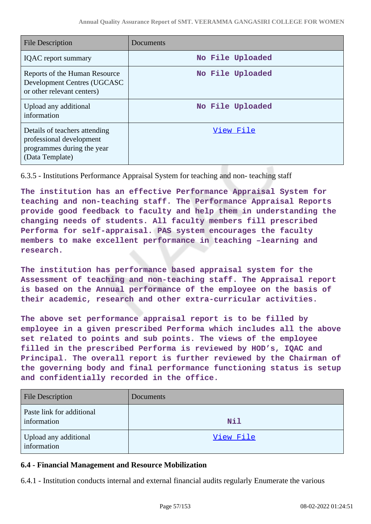| <b>File Description</b>                                                                                    | Documents        |
|------------------------------------------------------------------------------------------------------------|------------------|
| <b>IQAC</b> report summary                                                                                 | No File Uploaded |
| Reports of the Human Resource<br>Development Centres (UGCASC<br>or other relevant centers)                 | No File Uploaded |
| Upload any additional<br>information                                                                       | No File Uploaded |
| Details of teachers attending<br>professional development<br>programmes during the year<br>(Data Template) | View File        |

6.3.5 - Institutions Performance Appraisal System for teaching and non- teaching staff

**The institution has an effective Performance Appraisal System for teaching and non-teaching staff. The Performance Appraisal Reports provide good feedback to faculty and help them in understanding the changing needs of students. All faculty members fill prescribed Performa for self-appraisal. PAS system encourages the faculty members to make excellent performance in teaching –learning and research.**

**The institution has performance based appraisal system for the Assessment of teaching and non-teaching staff. The Appraisal report is based on the Annual performance of the employee on the basis of their academic, research and other extra-curricular activities.** 

**The above set performance appraisal report is to be filled by employee in a given prescribed Performa which includes all the above set related to points and sub points. The views of the employee filled in the prescribed Performa is reviewed by HOD's, IQAC and Principal. The overall report is further reviewed by the Chairman of the governing body and final performance functioning status is setup and confidentially recorded in the office.**

| <b>File Description</b>                  | Documents |
|------------------------------------------|-----------|
| Paste link for additional<br>information | Nil       |
| Upload any additional<br>information     | View File |

# **6.4 - Financial Management and Resource Mobilization**

6.4.1 - Institution conducts internal and external financial audits regularly Enumerate the various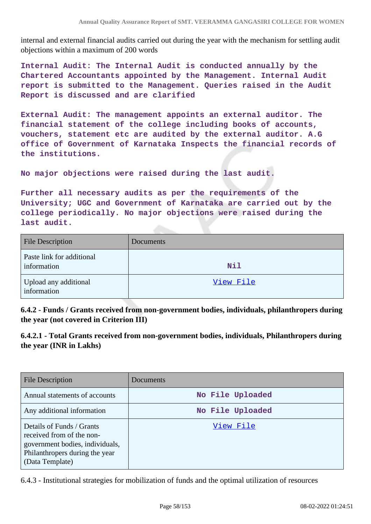internal and external financial audits carried out during the year with the mechanism for settling audit objections within a maximum of 200 words

**Internal Audit: The Internal Audit is conducted annually by the Chartered Accountants appointed by the Management. Internal Audit report is submitted to the Management. Queries raised in the Audit Report is discussed and are clarified**

**External Audit: The management appoints an external auditor. The financial statement of the college including books of accounts, vouchers, statement etc are audited by the external auditor. A.G office of Government of Karnataka Inspects the financial records of the institutions.**

**No major objections were raised during the last audit.**

**Further all necessary audits as per the requirements of the University; UGC and Government of Karnataka are carried out by the college periodically. No major objections were raised during the last audit.**

| <b>File Description</b>                  | Documents  |
|------------------------------------------|------------|
| Paste link for additional<br>information | <b>Nil</b> |
| Upload any additional<br>information     | View File  |

**6.4.2 - Funds / Grants received from non-government bodies, individuals, philanthropers during the year (not covered in Criterion III)**

**6.4.2.1 - Total Grants received from non-government bodies, individuals, Philanthropers during the year (INR in Lakhs)**

| File Description                                                                                                                               | Documents        |
|------------------------------------------------------------------------------------------------------------------------------------------------|------------------|
| Annual statements of accounts                                                                                                                  | No File Uploaded |
| Any additional information                                                                                                                     | No File Uploaded |
| Details of Funds / Grants<br>received from of the non-<br>government bodies, individuals,<br>Philanthropers during the year<br>(Data Template) | View File        |

6.4.3 - Institutional strategies for mobilization of funds and the optimal utilization of resources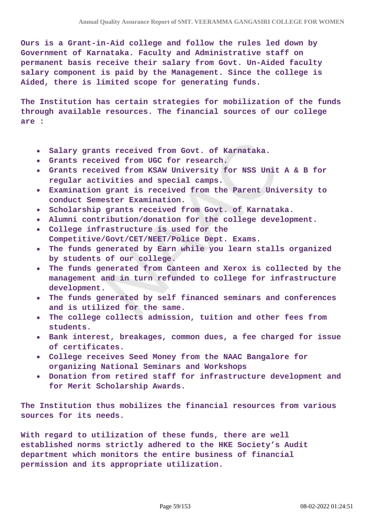**Ours is a Grant-in-Aid college and follow the rules led down by Government of Karnataka. Faculty and Administrative staff on permanent basis receive their salary from Govt. Un-Aided faculty salary component is paid by the Management. Since the college is Aided, there is limited scope for generating funds.**

**The Institution has certain strategies for mobilization of the funds through available resources. The financial sources of our college are :**

- **Salary grants received from Govt. of Karnataka.**  $\bullet$
- **Grants received from UGC for research.**
- **Grants received from KSAW University for NSS Unit A & B for regular activities and special camps.**
- **Examination grant is received from the Parent University to conduct Semester Examination.**
- **Scholarship grants received from Govt. of Karnataka.**
- **Alumni contribution/donation for the college development.**
- **College infrastructure is used for the Competitive/Govt/CET/NEET/Police Dept. Exams.**
- **The funds generated by Earn while you learn stalls organized by students of our college.**
- $\bullet$ **The funds generated from Canteen and Xerox is collected by the management and in turn refunded to college for infrastructure development.**
- **The funds generated by self financed seminars and conferences and is utilized for the same.**
- **The college collects admission, tuition and other fees from students.**
- **Bank interest, breakages, common dues, a fee charged for issue of certificates.**
- **College receives Seed Money from the NAAC Bangalore for organizing National Seminars and Workshops**
- **Donation from retired staff for infrastructure development and for Merit Scholarship Awards.**

**The Institution thus mobilizes the financial resources from various sources for its needs.**

**With regard to utilization of these funds, there are well established norms strictly adhered to the HKE Society's Audit department which monitors the entire business of financial permission and its appropriate utilization.**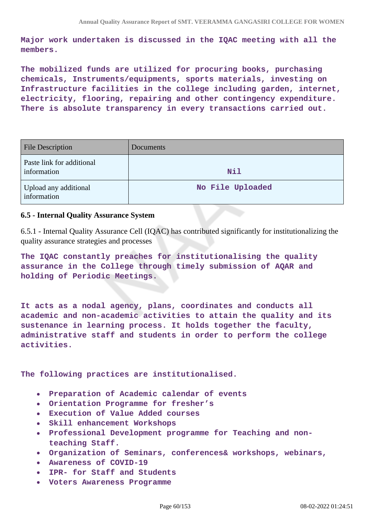**Major work undertaken is discussed in the IQAC meeting with all the members.**

**The mobilized funds are utilized for procuring books, purchasing chemicals, Instruments/equipments, sports materials, investing on Infrastructure facilities in the college including garden, internet, electricity, flooring, repairing and other contingency expenditure. There is absolute transparency in every transactions carried out.**

| <b>File Description</b>                  | Documents        |
|------------------------------------------|------------------|
| Paste link for additional<br>information | <b>Nil</b>       |
| Upload any additional<br>information     | No File Uploaded |

## **6.5 - Internal Quality Assurance System**

6.5.1 - Internal Quality Assurance Cell (IQAC) has contributed significantly for institutionalizing the quality assurance strategies and processes

**The IQAC constantly preaches for institutionalising the quality assurance in the College through timely submission of AQAR and holding of Periodic Meetings.**

**It acts as a nodal agency, plans, coordinates and conducts all academic and non-academic activities to attain the quality and its sustenance in learning process. It holds together the faculty, administrative staff and students in order to perform the college activities.**

**The following practices are institutionalised.**

- **Preparation of Academic calendar of events**  $\bullet$
- **Orientation Programme for fresher's**
- **Execution of Value Added courses**
- **Skill enhancement Workshops**  $\bullet$
- **Professional Development programme for Teaching and non-** $\bullet$ **teaching Staff.**
- **Organization of Seminars, conferences& workshops, webinars,**
- **Awareness of COVID-19**
- **IPR- for Staff and Students**  $\bullet$
- **Voters Awareness Programme**  $\bullet$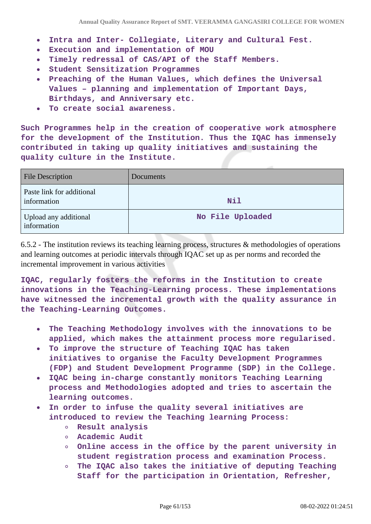- **Intra and Inter- Collegiate, Literary and Cultural Fest.**  $\bullet$
- **Execution and implementation of MOU**  $\bullet$
- **Timely redressal of CAS/API of the Staff Members.**  $\bullet$
- **Student Sensitization Programmes**
- **Preaching of the Human Values, which defines the Universal**  $\bullet$ **Values – planning and implementation of Important Days, Birthdays, and Anniversary etc.**
- **To create social awareness.**  $\bullet$

**Such Programmes help in the creation of cooperative work atmosphere for the development of the Institution. Thus the IQAC has immensely contributed in taking up quality initiatives and sustaining the quality culture in the Institute.**

| <b>File Description</b>                  | Documents        |
|------------------------------------------|------------------|
| Paste link for additional<br>information | Nil              |
| Upload any additional<br>information     | No File Uploaded |

6.5.2 - The institution reviews its teaching learning process, structures & methodologies of operations and learning outcomes at periodic intervals through IQAC set up as per norms and recorded the incremental improvement in various activities

**IQAC, regularly fosters the reforms in the Institution to create innovations in the Teaching-Learning process. These implementations have witnessed the incremental growth with the quality assurance in the Teaching-Learning Outcomes.**

- **The Teaching Methodology involves with the innovations to be**  $\bullet$ **applied, which makes the attainment process more regularised.**
- **To improve the structure of Teaching IQAC has taken**  $\bullet$ **initiatives to organise the Faculty Development Programmes (FDP) and Student Development Programme (SDP) in the College.**
- **IQAC being in-charge constantly monitors Teaching Learning process and Methodologies adopted and tries to ascertain the learning outcomes.**
- **In order to infuse the quality several initiatives are introduced to review the Teaching learning Process:**
	- **Result analysis**
	- **Academic Audit**
	- **Online access in the office by the parent university in student registration process and examination Process.**
	- **The IQAC also takes the initiative of deputing Teaching**  $\circ$ **Staff for the participation in Orientation, Refresher,**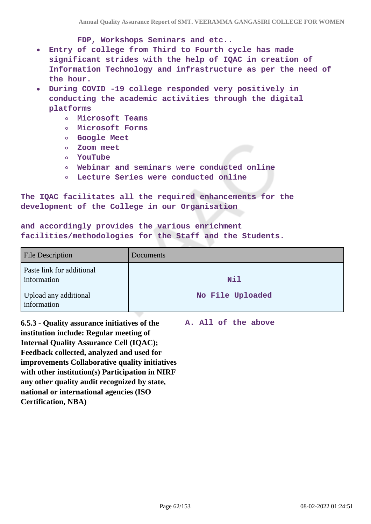**FDP, Workshops Seminars and etc..**

- **Entry of college from Third to Fourth cycle has made**  $\bullet$ **significant strides with the help of IQAC in creation of Information Technology and infrastructure as per the need of the hour.**
- **During COVID -19 college responded very positively in conducting the academic activities through the digital platforms**
	- **Microsoft Teams**
	- **Microsoft Forms**
	- **Google Meet**
	- **Zoom meet**
	- **YouTube**
	- **Webinar and seminars were conducted online**
	- **Lecture Series were conducted online**

**The IQAC facilitates all the required enhancements for the development of the College in our Organisation**

**and accordingly provides the various enrichment facilities/methodologies for the Staff and the Students.**

| <b>File Description</b>                  | <b>Documents</b> |
|------------------------------------------|------------------|
| Paste link for additional<br>information | <b>Nil</b>       |
| Upload any additional<br>information     | No File Uploaded |

**6.5.3 - Quality assurance initiatives of the institution include: Regular meeting of Internal Quality Assurance Cell (IQAC); Feedback collected, analyzed and used for improvements Collaborative quality initiatives with other institution(s) Participation in NIRF any other quality audit recognized by state, national or international agencies (ISO Certification, NBA) A. All of the above**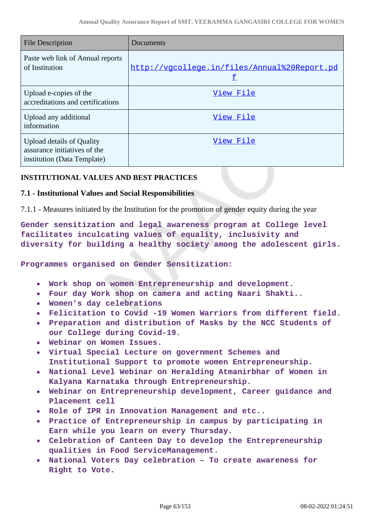| <b>File Description</b>                                                                         | Documents                                         |
|-------------------------------------------------------------------------------------------------|---------------------------------------------------|
| Paste web link of Annual reports<br>of Institution                                              | http://vgcollege.in/files/Annual%20Report.pd<br>£ |
| Upload e-copies of the<br>accreditations and certifications                                     | View File                                         |
| Upload any additional<br>information                                                            | View File                                         |
| <b>Upload details of Quality</b><br>assurance initiatives of the<br>institution (Data Template) | View File                                         |

## **INSTITUTIONAL VALUES AND BEST PRACTICES**

### **7.1 - Institutional Values and Social Responsibilities**

7.1.1 - Measures initiated by the Institution for the promotion of gender equity during the year

**Gender sensitization and legal awareness program at College level facilitates inculcating values of equality, inclusivity and diversity for building a healthy society among the adolescent girls.**

**Programmes organised on Gender Sensitization:**

- **Work shop on women Entrepreneurship and development.**
- **Four day Work shop on camera and acting Naari Shakti..**
- **Women's day celebrations**
- **Felicitation to Covid -19 Women Warriors from different field.**
- **Preparation and distribution of Masks by the NCC Students of our College during Covid-19.**
- **Webinar on Women Issues.**
- **Virtual Special Lecture on government Schemes and Institutional Support to promote women Entrepreneurship.**
- **National Level Webinar on Heralding Atmanirbhar of Women in Kalyana Karnataka through Entrepreneurship.**
- **Webinar on Entrepreneurship development, Career guidance and Placement cell**
- **Role of IPR in Innovation Management and etc..**
- **Practice of Entrepreneurship in campus by participating in Earn while you learn on every Thursday.**
- **Celebration of Canteen Day to develop the Entrepreneurship qualities in Food ServiceManagement.**
- **National Voters Day celebration To create awareness for Right to Vote.**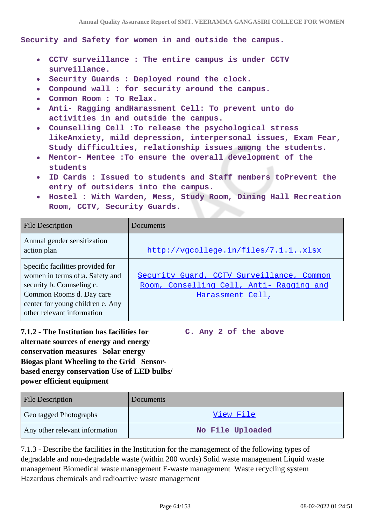**Security and Safety for women in and outside the campus.**

- **CCTV surveillance : The entire campus is under CCTV surveillance.**
- **Security Guards : Deployed round the clock.**
- **Compound wall : for security around the campus.**  $\bullet$
- **Common Room : To Relax.**
- **Anti- Ragging andHarassment Cell: To prevent unto do**  $\bullet$ **activities in and outside the campus.**
- **Counselling Cell :To release the psychological stress**  $\bullet$ **likeAnxiety, mild depression, interpersonal issues, Exam Fear, Study difficulties, relationship issues among the students.**
- **Mentor- Mentee :To ensure the overall development of the students**
- **ID Cards : Issued to students and Staff members toPrevent the entry of outsiders into the campus.**
- **Hostel : With Warden, Mess, Study Room, Dining Hall Recreation Room, CCTV, Security Guards.**

| <b>File Description</b>                                                                                                                                                                        | Documents                                                                                                 |
|------------------------------------------------------------------------------------------------------------------------------------------------------------------------------------------------|-----------------------------------------------------------------------------------------------------------|
| Annual gender sensitization<br>action plan                                                                                                                                                     | http://vgcollege.in/files/7.1.1xlsx                                                                       |
| Specific facilities provided for<br>women in terms of:a. Safety and<br>security b. Counseling c.<br>Common Rooms d. Day care<br>center for young children e. Any<br>other relevant information | Security Guard, CCTV Surveillance, Common<br>Room, Conselling Cell, Anti- Ragging and<br>Harassment Cell, |

**7.1.2 - The Institution has facilities for alternate sources of energy and energy conservation measures Solar energy Biogas plant Wheeling to the Grid Sensorbased energy conservation Use of LED bulbs/ power efficient equipment C. Any 2 of the above**

| <b>File Description</b>        | <b>Documents</b> |
|--------------------------------|------------------|
| Geo tagged Photographs         | View File        |
| Any other relevant information | No File Uploaded |

7.1.3 - Describe the facilities in the Institution for the management of the following types of degradable and non-degradable waste (within 200 words) Solid waste management Liquid waste management Biomedical waste management E-waste management Waste recycling system Hazardous chemicals and radioactive waste management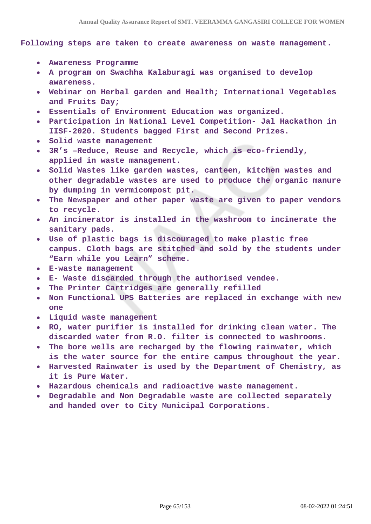**Following steps are taken to create awareness on waste management.**

- **Awareness Programme**
- **A program on Swachha Kalaburagi was organised to develop awareness.**
- **Webinar on Herbal garden and Health; International Vegetables and Fruits Day;**
- **Essentials of Environment Education was organized.**
- **Participation in National Level Competition- Jal Hackathon in IISF-2020. Students bagged First and Second Prizes.**
- **Solid waste management**
- **3R's –Reduce, Reuse and Recycle, which is eco-friendly,**  $\bullet$ **applied in waste management.**
- **Solid Wastes like garden wastes, canteen, kitchen wastes and**  $\bullet$ **other degradable wastes are used to produce the organic manure by dumping in vermicompost pit.**
- **The Newspaper and other paper waste are given to paper vendors to recycle.**
- **An incinerator is installed in the washroom to incinerate the sanitary pads.**
- **Use of plastic bags is discouraged to make plastic free campus. Cloth bags are stitched and sold by the students under "Earn while you Learn" scheme.**
- **E-waste management**
- **E- Waste discarded through the authorised vendee.**
- **The Printer Cartridges are generally refilled**
- **Non Functional UPS Batteries are replaced in exchange with new one**
- **Liquid waste management**  $\bullet$
- **RO, water purifier is installed for drinking clean water. The discarded water from R.O. filter is connected to washrooms.**
- **The bore wells are recharged by the flowing rainwater, which**  $\bullet$ **is the water source for the entire campus throughout the year.**
- **Harvested Rainwater is used by the Department of Chemistry, as it is Pure Water.**
- **Hazardous chemicals and radioactive waste management.**
- **Degradable and Non Degradable waste are collected separately and handed over to City Municipal Corporations.**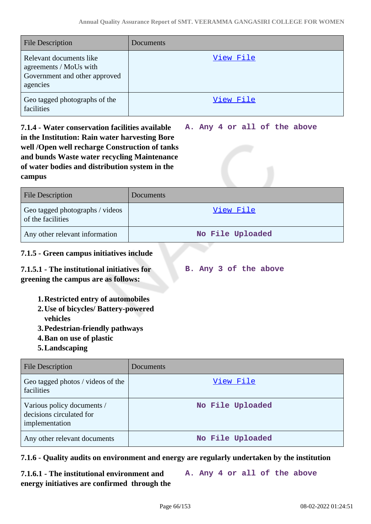| <b>File Description</b>                                                                        | Documents |
|------------------------------------------------------------------------------------------------|-----------|
| Relevant documents like<br>agreements / MoUs with<br>Government and other approved<br>agencies | View File |
| Geo tagged photographs of the<br>facilities                                                    | View File |

**7.1.4 - Water conservation facilities available in the Institution: Rain water harvesting Bore well /Open well recharge Construction of tanks and bunds Waste water recycling Maintenance of water bodies and distribution system in the campus A. Any 4 or all of the above**

| <b>File Description</b>                              | Documents        |
|------------------------------------------------------|------------------|
| Geo tagged photographs / videos<br>of the facilities | <u>View File</u> |
| Any other relevant information                       | No File Uploaded |

# **7.1.5 - Green campus initiatives include**

**7.1.5.1 - The institutional initiatives for greening the campus are as follows: B. Any 3 of the above**

- **1.Restricted entry of automobiles**
- **2.Use of bicycles/ Battery-powered vehicles**
- **3.Pedestrian-friendly pathways**
- **4.Ban on use of plastic**
- **5.Landscaping**

| <b>File Description</b>                                                  | Documents        |
|--------------------------------------------------------------------------|------------------|
| Geo tagged photos / videos of the<br>facilities                          | View File        |
| Various policy documents /<br>decisions circulated for<br>implementation | No File Uploaded |
| Any other relevant documents                                             | No File Uploaded |

# **7.1.6 - Quality audits on environment and energy are regularly undertaken by the institution**

**7.1.6.1 - The institutional environment and energy initiatives are confirmed through the A. Any 4 or all of the above**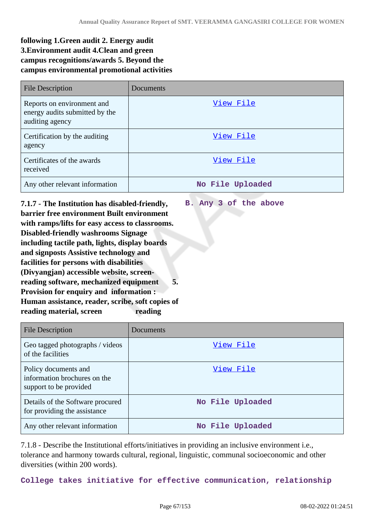**B. Any 3 of the above**

# **following 1.Green audit 2. Energy audit 3.Environment audit 4.Clean and green campus recognitions/awards 5. Beyond the campus environmental promotional activities**

| <b>File Description</b>                                                         | Documents        |
|---------------------------------------------------------------------------------|------------------|
| Reports on environment and<br>energy audits submitted by the<br>auditing agency | View File        |
| Certification by the auditing<br>agency                                         | View File        |
| Certificates of the awards<br>received                                          | View File        |
| Any other relevant information                                                  | No File Uploaded |

**7.1.7 - The Institution has disabled-friendly, barrier free environment Built environment with ramps/lifts for easy access to classrooms. Disabled-friendly washrooms Signage including tactile path, lights, display boards and signposts Assistive technology and facilities for persons with disabilities (Divyangjan) accessible website, screenreading software, mechanized equipment 5. Provision for enquiry and information : Human assistance, reader, scribe, soft copies of reading material, screen reading** 

| File Description                                                               | Documents        |
|--------------------------------------------------------------------------------|------------------|
| Geo tagged photographs / videos<br>of the facilities                           | View File        |
| Policy documents and<br>information brochures on the<br>support to be provided | View File        |
| Details of the Software procured<br>for providing the assistance               | No File Uploaded |
| Any other relevant information                                                 | No File Uploaded |

7.1.8 - Describe the Institutional efforts/initiatives in providing an inclusive environment i.e., tolerance and harmony towards cultural, regional, linguistic, communal socioeconomic and other diversities (within 200 words).

**College takes initiative for effective communication, relationship**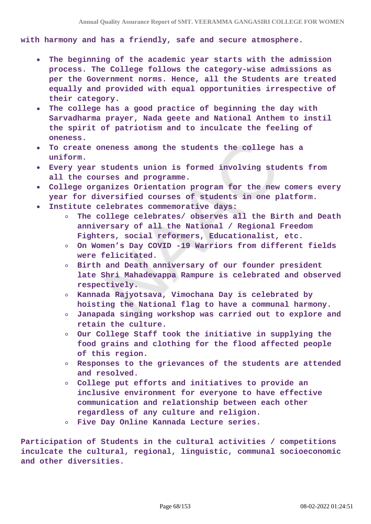**with harmony and has a friendly, safe and secure atmosphere.**

- **The beginning of the academic year starts with the admission**  $\bullet$ **process. The College follows the category-wise admissions as per the Government norms. Hence, all the Students are treated equally and provided with equal opportunities irrespective of their category.**
- **The college has a good practice of beginning the day with Sarvadharma prayer, Nada geete and National Anthem to instil the spirit of patriotism and to inculcate the feeling of oneness.**
- **To create oneness among the students the college has a**  $\bullet$ **uniform.**
- **Every year students union is formed involving students from all the courses and programme.**
- **College organizes Orientation program for the new comers every year for diversified courses of students in one platform.**
- **Institute celebrates commemorative days:**
	- **The college celebrates/ observes all the Birth and Death anniversary of all the National / Regional Freedom Fighters, social reformers, Educationalist, etc.**
	- **On Women's Day COVID -19 Warriors from different fields were felicitated.**
	- **Birth and Death anniversary of our founder president late Shri Mahadevappa Rampure is celebrated and observed respectively.**
	- **Kannada Rajyotsava, Vimochana Day is celebrated by hoisting the National flag to have a communal harmony.**
	- **Janapada singing workshop was carried out to explore and retain the culture.**
	- **Our College Staff took the initiative in supplying the food grains and clothing for the flood affected people of this region.**
	- **Responses to the grievances of the students are attended and resolved.**
	- **College put efforts and initiatives to provide an inclusive environment for everyone to have effective communication and relationship between each other regardless of any culture and religion.**
	- **Five Day Online Kannada Lecture series.**

**Participation of Students in the cultural activities / competitions inculcate the cultural, regional, linguistic, communal socioeconomic and other diversities.**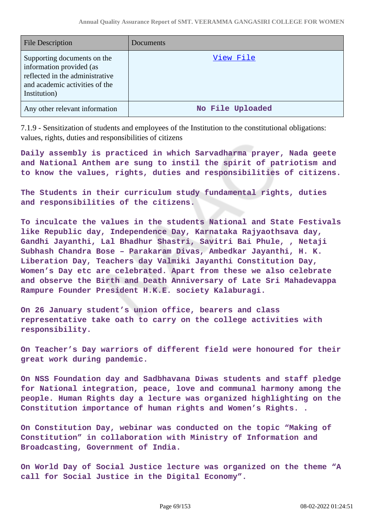| <b>File Description</b>                                                                                                                      | Documents        |
|----------------------------------------------------------------------------------------------------------------------------------------------|------------------|
| Supporting documents on the<br>information provided (as<br>reflected in the administrative<br>and academic activities of the<br>Institution) | View File        |
| Any other relevant information                                                                                                               | No File Uploaded |

7.1.9 - Sensitization of students and employees of the Institution to the constitutional obligations: values, rights, duties and responsibilities of citizens

**Daily assembly is practiced in which Sarvadharma prayer, Nada geete and National Anthem are sung to instil the spirit of patriotism and to know the values, rights, duties and responsibilities of citizens.**

**The Students in their curriculum study fundamental rights, duties and responsibilities of the citizens.**

**To inculcate the values in the students National and State Festivals like Republic day, Independence Day, Karnataka Rajyaothsava day, Gandhi Jayanthi, Lal Bhadhur Shastri, Savitri Bai Phule, , Netaji Subhash Chandra Bose – Parakaram Divas, Ambedkar Jayanthi, H. K. Liberation Day, Teachers day Valmiki Jayanthi Constitution Day, Women's Day etc are celebrated. Apart from these we also celebrate and observe the Birth and Death Anniversary of Late Sri Mahadevappa Rampure Founder President H.K.E. society Kalaburagi.**

**On 26 January student's union office, bearers and class representative take oath to carry on the college activities with responsibility.**

**On Teacher's Day warriors of different field were honoured for their great work during pandemic.**

**On NSS Foundation day and Sadbhavana Diwas students and staff pledge for National integration, peace, love and communal harmony among the people. Human Rights day a lecture was organized highlighting on the Constitution importance of human rights and Women's Rights. .**

**On Constitution Day, webinar was conducted on the topic "Making of Constitution" in collaboration with Ministry of Information and Broadcasting, Government of India.**

**On World Day of Social Justice lecture was organized on the theme "A call for Social Justice in the Digital Economy".**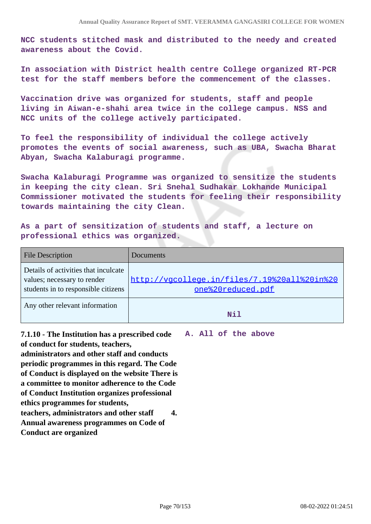**NCC students stitched mask and distributed to the needy and created awareness about the Covid.**

**In association with District health centre College organized RT-PCR test for the staff members before the commencement of the classes.**

**Vaccination drive was organized for students, staff and people living in Aiwan-e-shahi area twice in the college campus. NSS and NCC units of the college actively participated.**

**To feel the responsibility of individual the college actively promotes the events of social awareness, such as UBA, Swacha Bharat Abyan, Swacha Kalaburagi programme.**

**Swacha Kalaburagi Programme was organized to sensitize the students in keeping the city clean. Sri Snehal Sudhakar Lokhande Municipal Commissioner motivated the students for feeling their responsibility towards maintaining the city Clean.**

**As a part of sensitization of students and staff, a lecture on professional ethics was organized.**

| <b>File Description</b>                                                                                    | Documents                                                         |
|------------------------------------------------------------------------------------------------------------|-------------------------------------------------------------------|
| Details of activities that inculcate<br>values; necessary to render<br>students in to responsible citizens | http://vgcollege.in/files/7.19%20all%20in%20<br>one%20reduced.pdf |
| Any other relevant information                                                                             | N <sub>i</sub> 1                                                  |

**7.1.10 - The Institution has a prescribed code A. All of the above of conduct for students, teachers, administrators and other staff and conducts periodic programmes in this regard. The Code of Conduct is displayed on the website There is a committee to monitor adherence to the Code of Conduct Institution organizes professional ethics programmes for students, teachers, administrators and other staff 4. Annual awareness programmes on Code of Conduct are organized**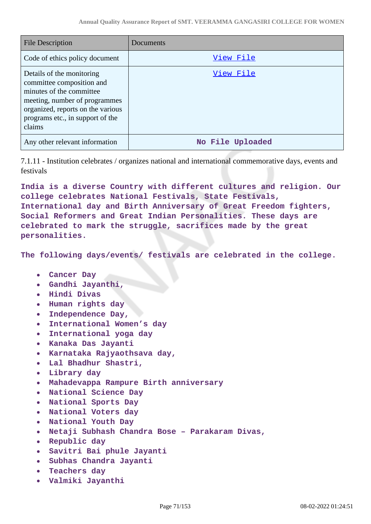| <b>File Description</b>                                                                                                                                                                                | Documents        |
|--------------------------------------------------------------------------------------------------------------------------------------------------------------------------------------------------------|------------------|
| Code of ethics policy document                                                                                                                                                                         | <u>View File</u> |
| Details of the monitoring<br>committee composition and<br>minutes of the committee<br>meeting, number of programmes<br>organized, reports on the various<br>programs etc., in support of the<br>claims | View File        |
| Any other relevant information                                                                                                                                                                         | No File Uploaded |

7.1.11 - Institution celebrates / organizes national and international commemorative days, events and festivals

**India is a diverse Country with different cultures and religion. Our college celebrates National Festivals, State Festivals, International day and Birth Anniversary of Great Freedom fighters, Social Reformers and Great Indian Personalities. These days are celebrated to mark the struggle, sacrifices made by the great personalities.**

**The following days/events/ festivals are celebrated in the college.**

- **Cancer Day**
- **Gandhi Jayanthi,**
- **Hindi Divas**
- **Human rights day**
- **Independence Day,**
- **International Women's day**  $\bullet$
- **International yoga day**  $\bullet$
- **Kanaka Das Jayanti**
- **Karnataka Rajyaothsava day,**  $\bullet$
- **Lal Bhadhur Shastri,**
- **Library day**
- **Mahadevappa Rampure Birth anniversary**
- **National Science Day**
- **National Sports Day**
- **National Voters day**
- **National Youth Day**
- **Netaji Subhash Chandra Bose Parakaram Divas,**
- **Republic day**
- **Savitri Bai phule Jayanti**  $\bullet$
- **Subhas Chandra Jayanti**
- **Teachers day**  $\bullet$
- **Valmiki Jayanthi**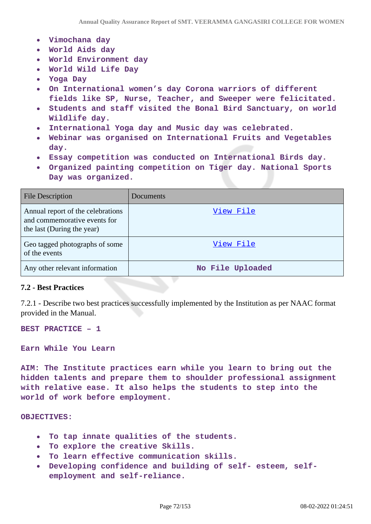- **Vimochana day**
- **World Aids day**
- **World Environment day**
- **World Wild Life Day**
- **Yoga Day**
- **On International women's day Corona warriors of different fields like SP, Nurse, Teacher, and Sweeper were felicitated.**
- **Students and staff visited the Bonal Bird Sanctuary, on world**  $\bullet$ **Wildlife day.**
- **International Yoga day and Music day was celebrated.**
- **Webinar was organised on International Fruits and Vegetables day.**
- **Essay competition was conducted on International Birds day.**
- **Organized painting competition on Tiger day. National Sports Day was organized.**

| <b>File Description</b>                                                                         | Documents        |
|-------------------------------------------------------------------------------------------------|------------------|
| Annual report of the celebrations<br>and commemorative events for<br>the last (During the year) | View File        |
| Geo tagged photographs of some<br>of the events                                                 | View File        |
| Any other relevant information                                                                  | No File Uploaded |

### **7.2 - Best Practices**

7.2.1 - Describe two best practices successfully implemented by the Institution as per NAAC format provided in the Manual.

**BEST PRACTICE – 1** 

**Earn While You Learn** 

**AIM: The Institute practices earn while you learn to bring out the hidden talents and prepare them to shoulder professional assignment with relative ease. It also helps the students to step into the world of work before employment.**

**OBJECTIVES:**

- **To tap innate qualities of the students.**  $\bullet$
- **To explore the creative Skills.**
- **To learn effective communication skills.**
- **Developing confidence and building of self- esteem, self-** $\bullet$ **employment and self-reliance.**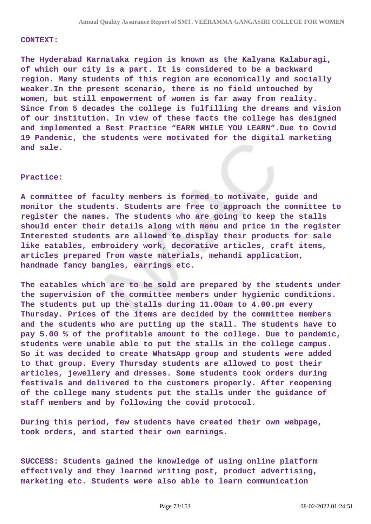#### **CONTEXT:**

**The Hyderabad Karnataka region is known as the Kalyana Kalaburagi, of which our city is a part. It is considered to be a backward region. Many students of this region are economically and socially weaker.In the present scenario, there is no field untouched by women, but still empowerment of women is far away from reality. Since from 5 decades the college is fulfilling the dreams and vision of our institution. In view of these facts the college has designed and implemented a Best Practice "EARN WHILE YOU LEARN".Due to Covid 19 Pandemic, the students were motivated for the digital marketing and sale.**

#### **Practice:**

**A committee of faculty members is formed to motivate, guide and monitor the students. Students are free to approach the committee to register the names. The students who are going to keep the stalls should enter their details along with menu and price in the register Interested students are allowed to display their products for sale like eatables, embroidery work, decorative articles, craft items, articles prepared from waste materials, mehandi application, handmade fancy bangles, earrings etc.**

**The eatables which are to be sold are prepared by the students under the supervision of the committee members under hygienic conditions. The students put up the stalls during 11.00am to 4.00.pm every Thursday. Prices of the items are decided by the committee members and the students who are putting up the stall. The students have to pay 5.00 % of the profitable amount to the college. Due to pandemic, students were unable able to put the stalls in the college campus. So it was decided to create WhatsApp group and students were added to that group. Every Thursday students are allowed to post their articles, jewellery and dresses. Some students took orders during festivals and delivered to the customers properly. After reopening of the college many students put the stalls under the guidance of staff members and by following the covid protocol.**

**During this period, few students have created their own webpage, took orders, and started their own earnings.**

**SUCCESS: Students gained the knowledge of using online platform effectively and they learned writing post, product advertising, marketing etc. Students were also able to learn communication**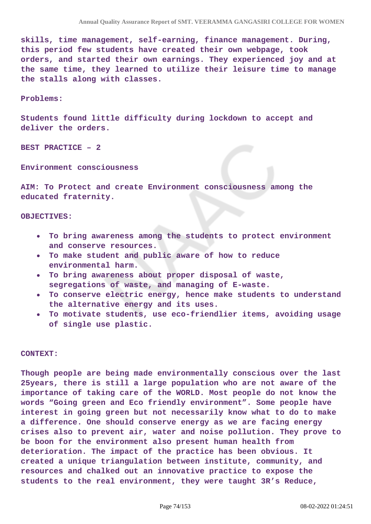**skills, time management, self-earning, finance management. During, this period few students have created their own webpage, took orders, and started their own earnings. They experienced joy and at the same time, they learned to utilize their leisure time to manage the stalls along with classes.**

#### **Problems:**

**Students found little difficulty during lockdown to accept and deliver the orders.**

**BEST PRACTICE – 2** 

**Environment consciousness**

**AIM: To Protect and create Environment consciousness among the educated fraternity.**

#### **OBJECTIVES:**

- **To bring awareness among the students to protect environment and conserve resources.**
- **To make student and public aware of how to reduce environmental harm.**
- **To bring awareness about proper disposal of waste, segregations of waste, and managing of E-waste.**
- **To conserve electric energy, hence make students to understand the alternative energy and its uses.**
- **To motivate students, use eco-friendlier items, avoiding usage of single use plastic.**

#### **CONTEXT:**

**Though people are being made environmentally conscious over the last 25years, there is still a large population who are not aware of the importance of taking care of the WORLD. Most people do not know the words "Going green and Eco friendly environment". Some people have interest in going green but not necessarily know what to do to make a difference. One should conserve energy as we are facing energy crises also to prevent air, water and noise pollution. They prove to be boon for the environment also present human health from deterioration. The impact of the practice has been obvious. It created a unique triangulation between institute, community, and resources and chalked out an innovative practice to expose the students to the real environment, they were taught 3R's Reduce,**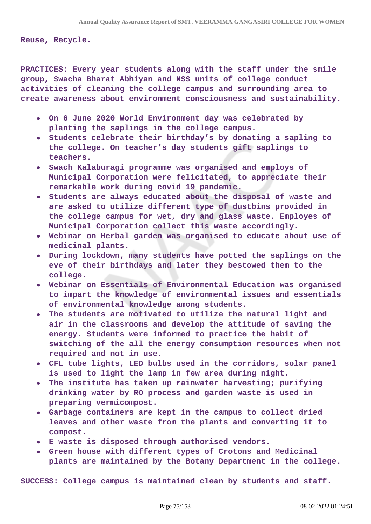**Reuse, Recycle.**

**PRACTICES: Every year students along with the staff under the smile group, Swacha Bharat Abhiyan and NSS units of college conduct activities of cleaning the college campus and surrounding area to create awareness about environment consciousness and sustainability.**

- **On 6 June 2020 World Environment day was celebrated by planting the saplings in the college campus.**
- **Students celebrate their birthday's by donating a sapling to the college. On teacher's day students gift saplings to teachers.**
- **Swach Kalaburagi programme was organised and employs of Municipal Corporation were felicitated, to appreciate their remarkable work during covid 19 pandemic.**
- **Students are always educated about the disposal of waste and**  $\bullet$ **are asked to utilize different type of dustbins provided in the college campus for wet, dry and glass waste. Employes of Municipal Corporation collect this waste accordingly.**
- **Webinar on Herbal garden was organised to educate about use of medicinal plants.**
- **During lockdown, many students have potted the saplings on the eve of their birthdays and later they bestowed them to the college.**
- **Webinar on Essentials of Environmental Education was organised to impart the knowledge of environmental issues and essentials of environmental knowledge among students.**
- **The students are motivated to utilize the natural light and air in the classrooms and develop the attitude of saving the energy. Students were informed to practice the habit of switching of the all the energy consumption resources when not required and not in use.**
- **CFL tube lights, LED bulbs used in the corridors, solar panel is used to light the lamp in few area during night.**
- **The institute has taken up rainwater harvesting; purifying drinking water by RO process and garden waste is used in preparing vermicompost.**
- **Garbage containers are kept in the campus to collect dried leaves and other waste from the plants and converting it to compost.**
- **E waste is disposed through authorised vendors.**
- **Green house with different types of Crotons and Medicinal**  $\bullet$ **plants are maintained by the Botany Department in the college.**

**SUCCESS: College campus is maintained clean by students and staff.**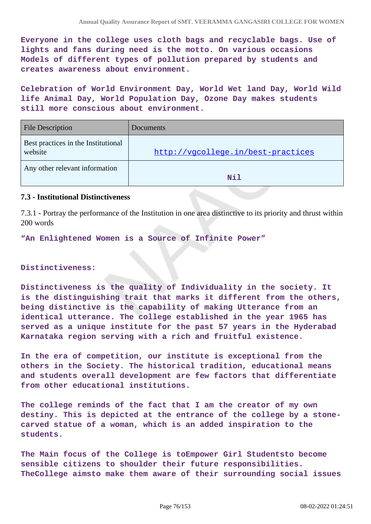**Everyone in the college uses cloth bags and recyclable bags. Use of lights and fans during need is the motto. On various occasions Models of different types of pollution prepared by students and creates awareness about environment.**

**Celebration of World Environment Day, World Wet land Day, World Wild life Animal Day, World Population Day, Ozone Day makes students still more conscious about environment.**

| <b>File Description</b>                        | Documents                          |
|------------------------------------------------|------------------------------------|
| Best practices in the Institutional<br>website | http://vgcollege.in/best-practices |
| Any other relevant information                 | Nil                                |

#### **7.3 - Institutional Distinctiveness**

7.3.1 - Portray the performance of the Institution in one area distinctive to its priority and thrust within 200 words

**"An Enlightened Women is a Source of Infinite Power"** 

#### **Distinctiveness:**

**Distinctiveness is the quality of Individuality in the society. It is the distinguishing trait that marks it different from the others, being distinctive is the capability of making Utterance from an identical utterance. The college established in the year 1965 has served as a unique institute for the past 57 years in the Hyderabad Karnataka region serving with a rich and fruitful existence.**

**In the era of competition, our institute is exceptional from the others in the Society. The historical tradition, educational means and students overall development are few factors that differentiate from other educational institutions.**

**The college reminds of the fact that I am the creator of my own destiny. This is depicted at the entrance of the college by a stonecarved statue of a woman, which is an added inspiration to the students.**

**The Main focus of the College is toEmpower Girl Studentsto become sensible citizens to shoulder their future responsibilities. TheCollege aimsto make them aware of their surrounding social issues**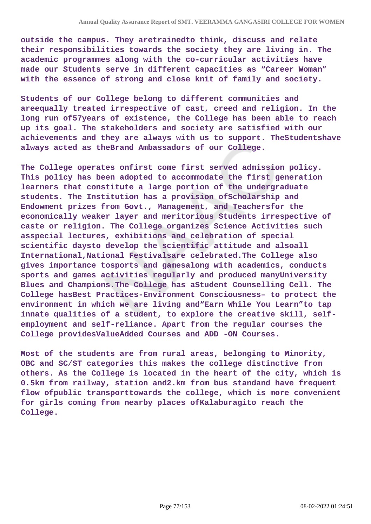**outside the campus. They aretrainedto think, discuss and relate their responsibilities towards the society they are living in. The academic programmes along with the co-curricular activities have made our Students serve in different capacities as "Career Woman" with the essence of strong and close knit of family and society.**

**Students of our College belong to different communities and areequally treated irrespective of cast, creed and religion. In the long run of57years of existence, the College has been able to reach up its goal. The stakeholders and society are satisfied with our achievements and they are always with us to support. TheStudentshave always acted as theBrand Ambassadors of our College.**

**The College operates onfirst come first served admission policy. This policy has been adopted to accommodate the first generation learners that constitute a large portion of the undergraduate students. The Institution has a provision ofScholarship and Endowment prizes from Govt., Management, and Teachersfor the economically weaker layer and meritorious Students irrespective of caste or religion. The College organizes Science Activities such asspecial lectures, exhibitions and celebration of special scientific daysto develop the scientific attitude and alsoall International,National Festivalsare celebrated.The College also gives importance tosports and gamesalong with academics, conducts sports and games activities regularly and produced manyUniversity Blues and Champions.The College has aStudent Counselling Cell. The College hasBest Practices-Environment Consciousness– to protect the environment in which we are living and"Earn While You Learn"to tap innate qualities of a student, to explore the creative skill, selfemployment and self-reliance. Apart from the regular courses the College providesValueAdded Courses and ADD -ON Courses.**

**Most of the students are from rural areas, belonging to Minority, OBC and SC/ST categories this makes the college distinctive from others. As the College is located in the heart of the city, which is 0.5km from railway, station and2.km from bus standand have frequent flow ofpublic transporttowards the college, which is more convenient for girls coming from nearby places ofKalaburagito reach the College.**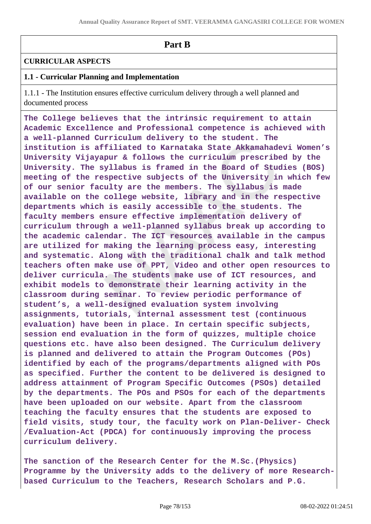# **Part B**

## **CURRICULAR ASPECTS**

## **1.1 - Curricular Planning and Implementation**

1.1.1 - The Institution ensures effective curriculum delivery through a well planned and documented process

**The College believes that the intrinsic requirement to attain Academic Excellence and Professional competence is achieved with a well-planned Curriculum delivery to the student. The institution is affiliated to Karnataka State Akkamahadevi Women's University Vijayapur & follows the curriculum prescribed by the University. The syllabus is framed in the Board of Studies (BOS) meeting of the respective subjects of the University in which few of our senior faculty are the members. The syllabus is made available on the college website, library and in the respective departments which is easily accessible to the students. The faculty members ensure effective implementation delivery of curriculum through a well-planned syllabus break up according to the academic calendar. The ICT resources available in the campus are utilized for making the learning process easy, interesting and systematic. Along with the traditional chalk and talk method teachers often make use of PPT, Video and other open resources to deliver curricula. The students make use of ICT resources, and exhibit models to demonstrate their learning activity in the classroom during seminar. To review periodic performance of student's, a well-designed evaluation system involving assignments, tutorials, internal assessment test (continuous evaluation) have been in place. In certain specific subjects, session end evaluation in the form of quizzes, multiple choice questions etc. have also been designed. The Curriculum delivery is planned and delivered to attain the Program Outcomes (POs) identified by each of the programs/departments aligned with POs as specified. Further the content to be delivered is designed to address attainment of Program Specific Outcomes (PSOs) detailed by the departments. The POs and PSOs for each of the departments have been uploaded on our website. Apart from the classroom teaching the faculty ensures that the students are exposed to field visits, study tour, the faculty work on Plan-Deliver- Check /Evaluation-Act (PDCA) for continuously improving the process curriculum delivery.** 

**The sanction of the Research Center for the M.Sc.(Physics) Programme by the University adds to the delivery of more Researchbased Curriculum to the Teachers, Research Scholars and P.G.**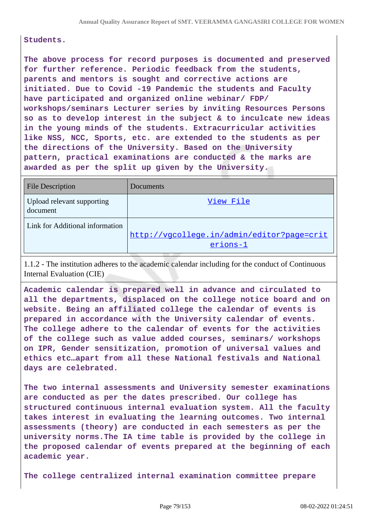#### **Students.**

**The above process for record purposes is documented and preserved for further reference. Periodic feedback from the students, parents and mentors is sought and corrective actions are initiated. Due to Covid -19 Pandemic the students and Faculty have participated and organized online webinar/ FDP/ workshops/seminars Lecturer series by inviting Resources Persons so as to develop interest in the subject & to inculcate new ideas in the young minds of the students. Extracurricular activities like NSS, NCC, Sports, etc. are extended to the students as per the directions of the University. Based on the University pattern, practical examinations are conducted & the marks are awarded as per the split up given by the University.** 

| <b>File Description</b>                | Documents                                              |
|----------------------------------------|--------------------------------------------------------|
| Upload relevant supporting<br>document | View File                                              |
| Link for Additional information        | http://vgcollege.in/admin/editor?page=crit<br>erions-1 |

1.1.2 - The institution adheres to the academic calendar including for the conduct of Continuous Internal Evaluation (CIE)

**Academic calendar is prepared well in advance and circulated to all the departments, displaced on the college notice board and on website. Being an affiliated college the calendar of events is prepared in accordance with the University calendar of events. The college adhere to the calendar of events for the activities of the college such as value added courses, seminars/ workshops on IPR, Gender sensitization, promotion of universal values and ethics etc…apart from all these National festivals and National days are celebrated.** 

**The two internal assessments and University semester examinations are conducted as per the dates prescribed. Our college has structured continuous internal evaluation system. All the faculty takes interest in evaluating the learning outcomes. Two internal assessments (theory) are conducted in each semesters as per the university norms.The IA time table is provided by the college in the proposed calendar of events prepared at the beginning of each academic year.**

**The college centralized internal examination committee prepare**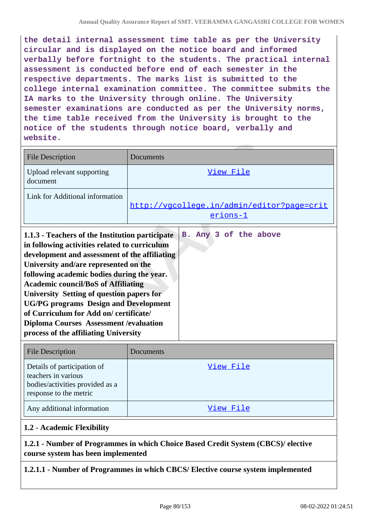**the detail internal assessment time table as per the University circular and is displayed on the notice board and informed verbally before fortnight to the students. The practical internal assessment is conducted before end of each semester in the respective departments. The marks list is submitted to the college internal examination committee. The committee submits the IA marks to the University through online. The University semester examinations are conducted as per the University norms, the time table received from the University is brought to the notice of the students through notice board, verbally and website.**

| <b>File Description</b>                                                                                                                                                                                                                                                                                                                                                                                                                                                                                                 | Documents                                              |  |
|-------------------------------------------------------------------------------------------------------------------------------------------------------------------------------------------------------------------------------------------------------------------------------------------------------------------------------------------------------------------------------------------------------------------------------------------------------------------------------------------------------------------------|--------------------------------------------------------|--|
| Upload relevant supporting<br>document                                                                                                                                                                                                                                                                                                                                                                                                                                                                                  | View File                                              |  |
| Link for Additional information                                                                                                                                                                                                                                                                                                                                                                                                                                                                                         | http://vgcollege.in/admin/editor?page=crit<br>erions-1 |  |
| 1.1.3 - Teachers of the Institution participate<br>in following activities related to curriculum<br>development and assessment of the affiliating<br>University and/are represented on the<br>following academic bodies during the year.<br><b>Academic council/BoS of Affiliating</b><br>University Setting of question papers for<br><b>UG/PG</b> programs Design and Development<br>of Curriculum for Add on/certificate/<br><b>Diploma Courses Assessment / evaluation</b><br>process of the affiliating University | B. Any 3 of the above                                  |  |
| File Description                                                                                                                                                                                                                                                                                                                                                                                                                                                                                                        | Documents                                              |  |

| <b>File Description</b>                                                                                         | Documents |
|-----------------------------------------------------------------------------------------------------------------|-----------|
| Details of participation of<br>teachers in various<br>bodies/activities provided as a<br>response to the metric | View File |
| Any additional information                                                                                      | View File |

## **1.2 - Academic Flexibility**

## **1.2.1 - Number of Programmes in which Choice Based Credit System (CBCS)/ elective course system has been implemented**

**1.2.1.1 - Number of Programmes in which CBCS/ Elective course system implemented**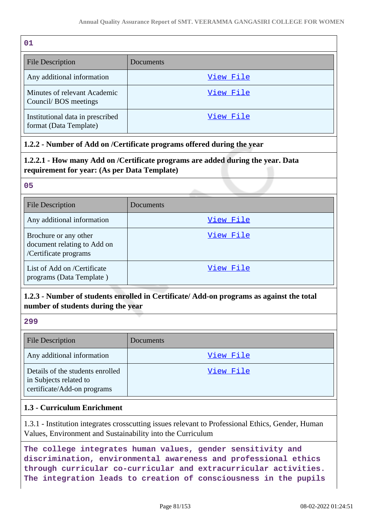| 01                                                         |           |
|------------------------------------------------------------|-----------|
| <b>File Description</b>                                    | Documents |
| Any additional information                                 | View File |
| Minutes of relevant Academic<br>Council/BOS meetings       | View File |
| Institutional data in prescribed<br>format (Data Template) | View File |

## **1.2.2 - Number of Add on /Certificate programs offered during the year**

## **1.2.2.1 - How many Add on /Certificate programs are added during the year. Data requirement for year: (As per Data Template)**

#### **05**

| <b>File Description</b>                                                       | Documents |
|-------------------------------------------------------------------------------|-----------|
| Any additional information                                                    | View File |
| Brochure or any other<br>document relating to Add on<br>/Certificate programs | View File |
| List of Add on /Certificate<br>programs (Data Template)                       | View File |

## **1.2.3 - Number of students enrolled in Certificate/ Add-on programs as against the total number of students during the year**

## **299**

| <b>File Description</b>                                                                   | Documents |
|-------------------------------------------------------------------------------------------|-----------|
| Any additional information                                                                | View File |
| Details of the students enrolled<br>in Subjects related to<br>certificate/Add-on programs | View File |

## **1.3 - Curriculum Enrichment**

1.3.1 - Institution integrates crosscutting issues relevant to Professional Ethics, Gender, Human Values, Environment and Sustainability into the Curriculum

**The college integrates human values, gender sensitivity and discrimination, environmental awareness and professional ethics through curricular co-curricular and extracurricular activities. The integration leads to creation of consciousness in the pupils**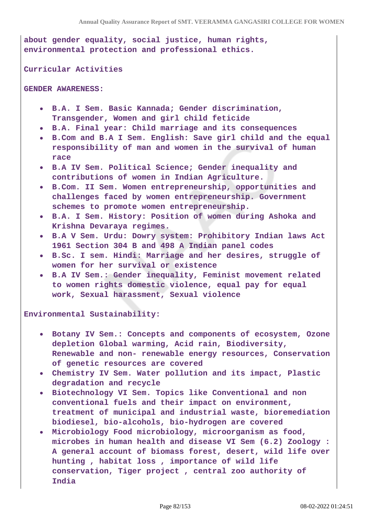**about gender equality, social justice, human rights, environmental protection and professional ethics.**

**Curricular Activities** 

**GENDER AWARENESS:**

- **B.A. I Sem. Basic Kannada; Gender discrimination, Transgender, Women and girl child feticide**
- **B.A. Final year: Child marriage and its consequences**
- **B.Com and B.A I Sem. English: Save girl child and the equal responsibility of man and women in the survival of human race**
- **B.A IV Sem. Political Science; Gender inequality and contributions of women in Indian Agriculture.**
- **B.Com. II Sem. Women entrepreneurship, opportunities and challenges faced by women entrepreneurship. Government schemes to promote women entrepreneurship.**
- **B.A. I Sem. History: Position of women during Ashoka and Krishna Devaraya regimes.**
- **B.A V Sem. Urdu: Dowry system: Prohibitory Indian laws Act 1961 Section 304 B and 498 A Indian panel codes**
- **B.Sc. I sem. Hindi: Marriage and her desires, struggle of women for her survival or existence**
- **B.A IV Sem.: Gender inequality, Feminist movement related to women rights domestic violence, equal pay for equal work, Sexual harassment, Sexual violence**

**Environmental Sustainability:** 

- **Botany IV Sem.: Concepts and components of ecosystem, Ozone depletion Global warming, Acid rain, Biodiversity, Renewable and non- renewable energy resources, Conservation of genetic resources are covered**
- **Chemistry IV Sem. Water pollution and its impact, Plastic degradation and recycle**
- **Biotechnology VI Sem. Topics like Conventional and non conventional fuels and their impact on environment, treatment of municipal and industrial waste, bioremediation biodiesel, bio-alcohols, bio-hydrogen are covered**
- **Microbiology Food microbiology, microorganism as food, microbes in human health and disease VI Sem (6.2) Zoology : A general account of biomass forest, desert, wild life over hunting , habitat loss , importance of wild life conservation, Tiger project , central zoo authority of India**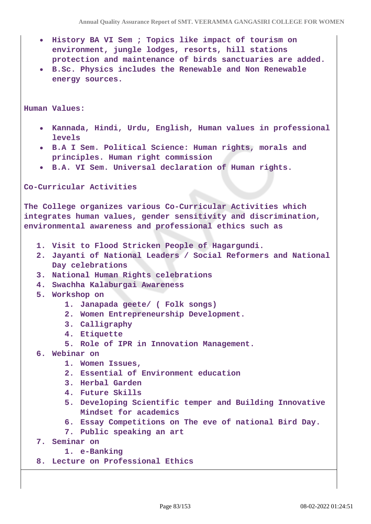- **History BA VI Sem ; Topics like impact of tourism on environment, jungle lodges, resorts, hill stations protection and maintenance of birds sanctuaries are added.**
- **B.Sc. Physics includes the Renewable and Non Renewable energy sources.**

**Human Values:** 

- **Kannada, Hindi, Urdu, English, Human values in professional levels**
- **B.A I Sem. Political Science: Human rights, morals and principles. Human right commission**
- **B.A. VI Sem. Universal declaration of Human rights.**

**Co-Curricular Activities**

**The College organizes various Co-Curricular Activities which integrates human values, gender sensitivity and discrimination, environmental awareness and professional ethics such as**

- **1. Visit to Flood Stricken People of Hagargundi.**
- **2. Jayanti of National Leaders / Social Reformers and National Day celebrations**
- **3. National Human Rights celebrations**
- **4. Swachha Kalaburgai Awareness**
- **5. Workshop on**
	- **1. Janapada geete/ ( Folk songs)**
	- **2. Women Entrepreneurship Development.**
	- **3. Calligraphy**
	- **4. Etiquette**
	- **5. Role of IPR in Innovation Management.**
- **6. Webinar on**
	- **1. Women Issues,**
	- **2. Essential of Environment education**
	- **3. Herbal Garden**
	- **4. Future Skills**
	- **5. Developing Scientific temper and Building Innovative Mindset for academics**
	- **6. Essay Competitions on The eve of national Bird Day.**
	- **7. Public speaking an art**
- **7. Seminar on**

```
1. e-Banking
```
**8. Lecture on Professional Ethics**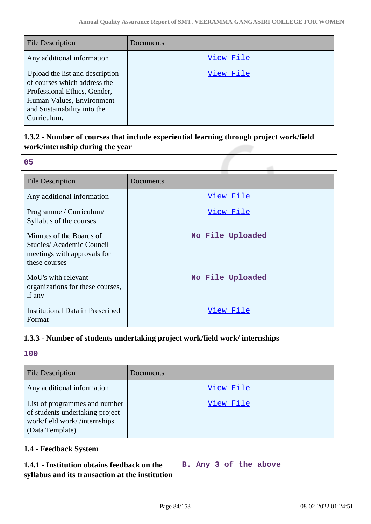| <b>File Description</b>                                                                                                                                                    | Documents |
|----------------------------------------------------------------------------------------------------------------------------------------------------------------------------|-----------|
| Any additional information                                                                                                                                                 | View File |
| Upload the list and description<br>of courses which address the<br>Professional Ethics, Gender,<br>Human Values, Environment<br>and Sustainability into the<br>Curriculum. | View File |

# **1.3.2 - Number of courses that include experiential learning through project work/field work/internship during the year**

| .,                     |  |
|------------------------|--|
|                        |  |
| ×<br>I<br>-<br>-<br>M. |  |

| <b>File Description</b>                                                                              | Documents        |
|------------------------------------------------------------------------------------------------------|------------------|
| Any additional information                                                                           | <u>View File</u> |
| Programme / Curriculum/<br>Syllabus of the courses                                                   | <u>View File</u> |
| Minutes of the Boards of<br>Studies/Academic Council<br>meetings with approvals for<br>these courses | No File Uploaded |
| MoU's with relevant<br>organizations for these courses,<br>if any                                    | No File Uploaded |
| <b>Institutional Data in Prescribed</b><br>Format                                                    | View File        |

# **1.3.3 - Number of students undertaking project work/field work/ internships**

## **100**

| <b>File Description</b>                                                                                             | Documents             |  |
|---------------------------------------------------------------------------------------------------------------------|-----------------------|--|
| Any additional information                                                                                          | View File             |  |
| List of programmes and number<br>of students undertaking project<br>work/field work//internships<br>(Data Template) | View File             |  |
| 1.4 - Feedback System                                                                                               |                       |  |
| 1.4.1 - Institution obtains feedback on the<br>syllabus and its transaction at the institution                      | B. Any 3 of the above |  |

 $\overline{\phantom{a}}$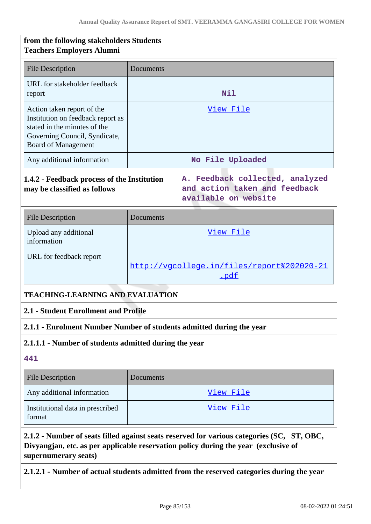| from the following stakeholders Students<br><b>Teachers Employers Alumni</b>                                                                                                                              |                                                                                          |           |
|-----------------------------------------------------------------------------------------------------------------------------------------------------------------------------------------------------------|------------------------------------------------------------------------------------------|-----------|
| <b>File Description</b>                                                                                                                                                                                   | Documents                                                                                |           |
| URL for stakeholder feedback<br>report                                                                                                                                                                    | Nil                                                                                      |           |
| Action taken report of the<br>Institution on feedback report as<br>stated in the minutes of the<br>Governing Council, Syndicate,<br><b>Board of Management</b>                                            | <u>View File</u>                                                                         |           |
| Any additional information                                                                                                                                                                                | No File Uploaded                                                                         |           |
| 1.4.2 - Feedback process of the Institution<br>may be classified as follows                                                                                                                               | A. Feedback collected, analyzed<br>and action taken and feedback<br>available on website |           |
| <b>File Description</b>                                                                                                                                                                                   | Documents                                                                                |           |
| Upload any additional<br>information                                                                                                                                                                      | View File                                                                                |           |
| URL for feedback report                                                                                                                                                                                   | http://vgcollege.in/files/report%202020-21<br>.pdf                                       |           |
| <b>TEACHING-LEARNING AND EVALUATION</b>                                                                                                                                                                   |                                                                                          |           |
| 2.1 - Student Enrollment and Profile                                                                                                                                                                      |                                                                                          |           |
| 2.1.1 - Enrolment Number Number of students admitted during the year                                                                                                                                      |                                                                                          |           |
| 2.1.1.1 - Number of students admitted during the year                                                                                                                                                     |                                                                                          |           |
| 441                                                                                                                                                                                                       |                                                                                          |           |
| <b>File Description</b>                                                                                                                                                                                   | Documents                                                                                |           |
| Any additional information                                                                                                                                                                                |                                                                                          | View File |
| Institutional data in prescribed<br>format                                                                                                                                                                |                                                                                          | View File |
| 2.1.2 - Number of seats filled against seats reserved for various categories (SC, ST, OBC,<br>Divyangjan, etc. as per applicable reservation policy during the year (exclusive of<br>supernumerary seats) |                                                                                          |           |

**2.1.2.1 - Number of actual students admitted from the reserved categories during the year**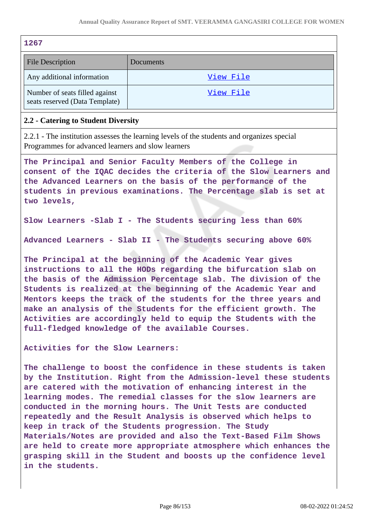| 1267                                                                                                                                                                                                                                                                                                                                                                                                                                                                                                                        |                                                                                                                                                                                                                                                                                                                                                                                                                                                                                                                                                                                                                                                                              |
|-----------------------------------------------------------------------------------------------------------------------------------------------------------------------------------------------------------------------------------------------------------------------------------------------------------------------------------------------------------------------------------------------------------------------------------------------------------------------------------------------------------------------------|------------------------------------------------------------------------------------------------------------------------------------------------------------------------------------------------------------------------------------------------------------------------------------------------------------------------------------------------------------------------------------------------------------------------------------------------------------------------------------------------------------------------------------------------------------------------------------------------------------------------------------------------------------------------------|
| <b>File Description</b>                                                                                                                                                                                                                                                                                                                                                                                                                                                                                                     | Documents                                                                                                                                                                                                                                                                                                                                                                                                                                                                                                                                                                                                                                                                    |
| Any additional information                                                                                                                                                                                                                                                                                                                                                                                                                                                                                                  | View File                                                                                                                                                                                                                                                                                                                                                                                                                                                                                                                                                                                                                                                                    |
| Number of seats filled against<br>seats reserved (Data Template)                                                                                                                                                                                                                                                                                                                                                                                                                                                            | View File                                                                                                                                                                                                                                                                                                                                                                                                                                                                                                                                                                                                                                                                    |
| 2.2 - Catering to Student Diversity                                                                                                                                                                                                                                                                                                                                                                                                                                                                                         |                                                                                                                                                                                                                                                                                                                                                                                                                                                                                                                                                                                                                                                                              |
| Programmes for advanced learners and slow learners                                                                                                                                                                                                                                                                                                                                                                                                                                                                          | 2.2.1 - The institution assesses the learning levels of the students and organizes special                                                                                                                                                                                                                                                                                                                                                                                                                                                                                                                                                                                   |
| two levels,                                                                                                                                                                                                                                                                                                                                                                                                                                                                                                                 | The Principal and Senior Faculty Members of the College in<br>consent of the IQAC decides the criteria of the Slow Learners and<br>the Advanced Learners on the basis of the performance of the<br>students in previous examinations. The Percentage slab is set at                                                                                                                                                                                                                                                                                                                                                                                                          |
|                                                                                                                                                                                                                                                                                                                                                                                                                                                                                                                             | Slow Learners - Slab I - The Students securing less than 60%                                                                                                                                                                                                                                                                                                                                                                                                                                                                                                                                                                                                                 |
|                                                                                                                                                                                                                                                                                                                                                                                                                                                                                                                             | Advanced Learners - Slab II - The Students securing above 60%                                                                                                                                                                                                                                                                                                                                                                                                                                                                                                                                                                                                                |
| The Principal at the beginning of the Academic Year gives<br>instructions to all the HODs regarding the bifurcation slab on<br>the basis of the Admission Percentage slab. The division of the<br>Students is realized at the beginning of the Academic Year and<br>Mentors keeps the track of the students for the three years and<br>make an analysis of the Students for the efficient growth. The<br>Activities are accordingly held to equip the Students with the<br>full-fledged knowledge of the available Courses. |                                                                                                                                                                                                                                                                                                                                                                                                                                                                                                                                                                                                                                                                              |
| Activities for the Slow Learners:                                                                                                                                                                                                                                                                                                                                                                                                                                                                                           |                                                                                                                                                                                                                                                                                                                                                                                                                                                                                                                                                                                                                                                                              |
| in the students.                                                                                                                                                                                                                                                                                                                                                                                                                                                                                                            | The challenge to boost the confidence in these students is taken<br>by the Institution. Right from the Admission-level these students<br>are catered with the motivation of enhancing interest in the<br>learning modes. The remedial classes for the slow learners are<br>conducted in the morning hours. The Unit Tests are conducted<br>repeatedly and the Result Analysis is observed which helps to<br>keep in track of the Students progression. The Study<br>Materials/Notes are provided and also the Text-Based Film Shows<br>are held to create more appropriate atmosphere which enhances the<br>grasping skill in the Student and boosts up the confidence level |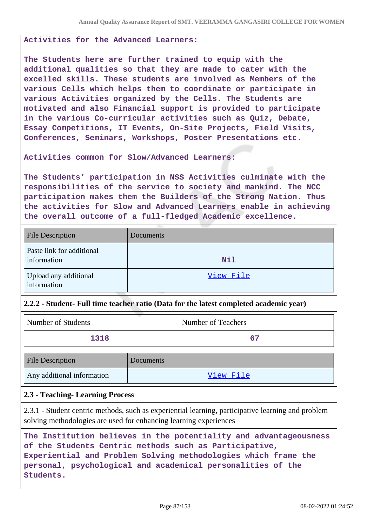#### **Activities for the Advanced Learners:**

**The Students here are further trained to equip with the additional qualities so that they are made to cater with the excelled skills. These students are involved as Members of the various Cells which helps them to coordinate or participate in various Activities organized by the Cells. The Students are motivated and also Financial support is provided to participate in the various Co-curricular activities such as Quiz, Debate, Essay Competitions, IT Events, On-Site Projects, Field Visits, Conferences, Seminars, Workshops, Poster Presentations etc.**

**Activities common for Slow/Advanced Learners:**

**The Students' participation in NSS Activities culminate with the responsibilities of the service to society and mankind. The NCC participation makes them the Builders of the Strong Nation. Thus the activities for Slow and Advanced Learners enable in achieving the overall outcome of a full-fledged Academic excellence.**

| <b>File Description</b>                  | Documents  |
|------------------------------------------|------------|
| Paste link for additional<br>information | <b>Nil</b> |
| Upload any additional<br>information     | View File  |

#### **2.2.2 - Student- Full time teacher ratio (Data for the latest completed academic year)**

| Number of Students | Number of Teachers |
|--------------------|--------------------|
| 1318               |                    |
|                    |                    |

| <b>File Description</b>    | Documents |
|----------------------------|-----------|
| Any additional information | View File |

## **2.3 - Teaching- Learning Process**

2.3.1 - Student centric methods, such as experiential learning, participative learning and problem solving methodologies are used for enhancing learning experiences

**The Institution believes in the potentiality and advantageousness of the Students Centric methods such as Participative, Experiential and Problem Solving methodologies which frame the personal, psychological and academical personalities of the Students.**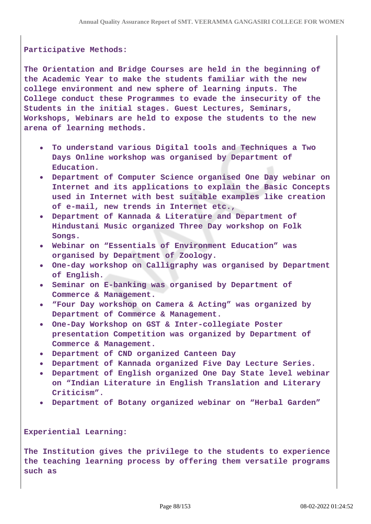## **Participative Methods:**

**The Orientation and Bridge Courses are held in the beginning of the Academic Year to make the students familiar with the new college environment and new sphere of learning inputs. The College conduct these Programmes to evade the insecurity of the Students in the initial stages. Guest Lectures, Seminars, Workshops, Webinars are held to expose the students to the new arena of learning methods.**

- **To understand various Digital tools and Techniques a Two Days Online workshop was organised by Department of Education.**
- **Department of Computer Science organised One Day webinar on Internet and its applications to explain the Basic Concepts used in Internet with best suitable examples like creation of e-mail, new trends in Internet etc.,**
- **Department of Kannada & Literature and Department of Hindustani Music organized Three Day workshop on Folk Songs.**
- **Webinar on "Essentials of Environment Education" was organised by Department of Zoology.**
- **One-day workshop on Calligraphy was organised by Department of English.**
- **Seminar on E-banking was organised by Department of Commerce & Management.**
- **"Four Day workshop on Camera & Acting" was organized by Department of Commerce & Management.**
- **One-Day Workshop on GST & Inter-collegiate Poster presentation Competition was organized by Department of Commerce & Management.**
- **Department of CND organized Canteen Day**
- **Department of Kannada organized Five Day Lecture Series.**
- **Department of English organized One Day State level webinar on "Indian Literature in English Translation and Literary Criticism".**
- **Department of Botany organized webinar on "Herbal Garden"**

**Experiential Learning:**

**The Institution gives the privilege to the students to experience the teaching learning process by offering them versatile programs such as**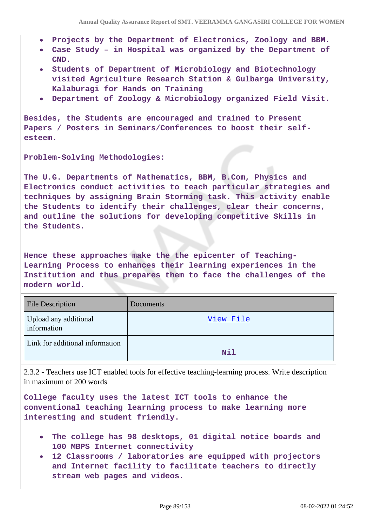- **Projects by the Department of Electronics, Zoology and BBM.**
- **Case Study in Hospital was organized by the Department of CND.**
- **Students of Department of Microbiology and Biotechnology visited Agriculture Research Station & Gulbarga University, Kalaburagi for Hands on Training**
- **Department of Zoology & Microbiology organized Field Visit.**

**Besides, the Students are encouraged and trained to Present Papers / Posters in Seminars/Conferences to boost their selfesteem.**

**Problem-Solving Methodologies:**

**The U.G. Departments of Mathematics, BBM, B.Com, Physics and Electronics conduct activities to teach particular strategies and techniques by assigning Brain Storming task. This activity enable the Students to identify their challenges, clear their concerns, and outline the solutions for developing competitive Skills in the Students.**

**Hence these approaches make the the epicenter of Teaching-Learning Process to enhances their learning experiences in the Institution and thus prepares them to face the challenges of the modern world.**

| <b>File Description</b>              | Documents |
|--------------------------------------|-----------|
| Upload any additional<br>information | View File |
| Link for additional information      | Nil       |

2.3.2 - Teachers use ICT enabled tools for effective teaching-learning process. Write description in maximum of 200 words

**College faculty uses the latest ICT tools to enhance the conventional teaching learning process to make learning more interesting and student friendly.**

- **The college has 98 desktops, 01 digital notice boards and 100 MBPS Internet connectivity**
- **12 Classrooms / laboratories are equipped with projectors and Internet facility to facilitate teachers to directly stream web pages and videos.**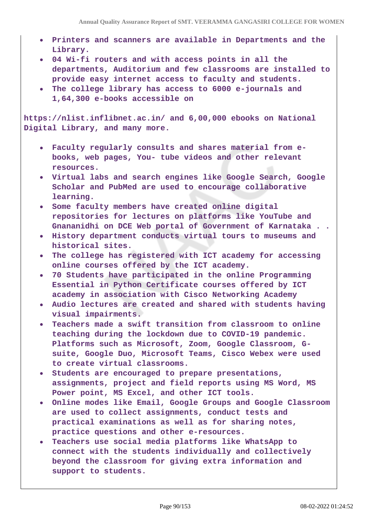- **Printers and scanners are available in Departments and the Library.**
- **04 Wi-fi routers and with access points in all the departments, Auditorium and few classrooms are installed to provide easy internet access to faculty and students.**
- **The college library has access to 6000 e-journals and 1,64,300 e-books accessible on**

**https://nlist.inflibnet.ac.in/ and 6,00,000 ebooks on National Digital Library, and many more.**

- **Faculty regularly consults and shares material from ebooks, web pages, You- tube videos and other relevant resources.**
- **Virtual labs and search engines like Google Search, Google Scholar and PubMed are used to encourage collaborative learning.**
- **Some faculty members have created online digital repositories for lectures on platforms like YouTube and Gnananidhi on DCE Web portal of Government of Karnataka . .**
- **History department conducts virtual tours to museums and historical sites.**
- **The college has registered with ICT academy for accessing online courses offered by the ICT academy.**
- **70 Students have participated in the online Programming Essential in Python Certificate courses offered by ICT academy in association with Cisco Networking Academy**
- **Audio lectures are created and shared with students having visual impairments.**
- **Teachers made a swift transition from classroom to online teaching during the lockdown due to COVID-19 pandemic. Platforms such as Microsoft, Zoom, Google Classroom, Gsuite, Google Duo, Microsoft Teams, Cisco Webex were used to create virtual classrooms.**
- **Students are encouraged to prepare presentations, assignments, project and field reports using MS Word, MS Power point, MS Excel, and other ICT tools.**
- **Online modes like Email, Google Groups and Google Classroom are used to collect assignments, conduct tests and practical examinations as well as for sharing notes, practice questions and other e-resources.**
- **Teachers use social media platforms like WhatsApp to connect with the students individually and collectively beyond the classroom for giving extra information and support to students.**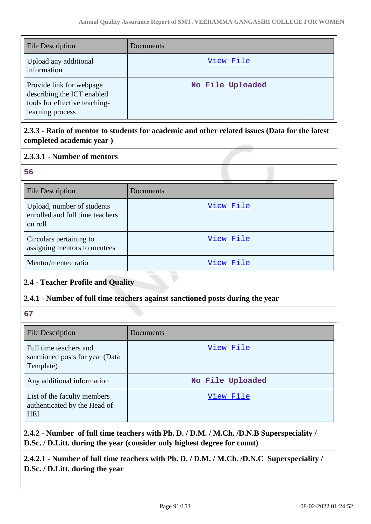| <b>File Description</b>                                                                                     | Documents        |
|-------------------------------------------------------------------------------------------------------------|------------------|
| Upload any additional<br>information                                                                        | View File        |
| Provide link for webpage<br>describing the ICT enabled<br>tools for effective teaching-<br>learning process | No File Uploaded |

## **2.3.3 - Ratio of mentor to students for academic and other related issues (Data for the latest completed academic year )**

## **2.3.3.1 - Number of mentors**

| ۰.      | u. |  |
|---------|----|--|
|         |    |  |
| ۰.<br>w | ۰. |  |
|         |    |  |

| <b>File Description</b>                                                  | Documents |
|--------------------------------------------------------------------------|-----------|
| Upload, number of students<br>enrolled and full time teachers<br>on roll | View File |
| Circulars pertaining to<br>assigning mentors to mentees                  | View File |
| Mentor/mentee ratio                                                      | View File |

# **2.4 - Teacher Profile and Quality**

## **2.4.1 - Number of full time teachers against sanctioned posts during the year**

**67**

| <b>File Description</b>                                                   | Documents        |
|---------------------------------------------------------------------------|------------------|
| Full time teachers and<br>sanctioned posts for year (Data)<br>Template)   | View File        |
| Any additional information                                                | No File Uploaded |
| List of the faculty members<br>authenticated by the Head of<br><b>HEI</b> | View File        |

**2.4.2 - Number of full time teachers with Ph. D. / D.M. / M.Ch. /D.N.B Superspeciality / D.Sc. / D.Litt. during the year (consider only highest degree for count)**

**2.4.2.1 - Number of full time teachers with Ph. D. / D.M. / M.Ch. /D.N.C Superspeciality / D.Sc. / D.Litt. during the year**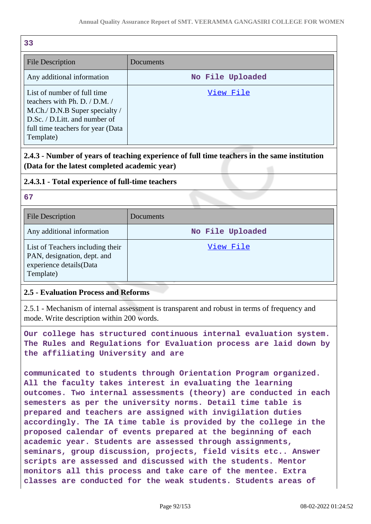| 33                                                                                                                                                                                    |                  |
|---------------------------------------------------------------------------------------------------------------------------------------------------------------------------------------|------------------|
| <b>File Description</b>                                                                                                                                                               | Documents        |
| Any additional information                                                                                                                                                            | No File Uploaded |
| List of number of full time<br>teachers with Ph. D. $/$ D.M. $/$<br>M.Ch./ D.N.B Super specialty /<br>D.Sc. / D.Litt. and number of<br>full time teachers for year (Data<br>Template) | View File        |

## **2.4.3 - Number of years of teaching experience of full time teachers in the same institution (Data for the latest completed academic year)**

## **2.4.3.1 - Total experience of full-time teachers**

**67**

| <b>File Description</b>                                                                                 | Documents        |
|---------------------------------------------------------------------------------------------------------|------------------|
| Any additional information                                                                              | No File Uploaded |
| List of Teachers including their<br>PAN, designation, dept. and<br>experience details(Data<br>Template) | View File        |

## **2.5 - Evaluation Process and Reforms**

2.5.1 - Mechanism of internal assessment is transparent and robust in terms of frequency and mode. Write description within 200 words.

**Our college has structured continuous internal evaluation system. The Rules and Regulations for Evaluation process are laid down by the affiliating University and are**

**communicated to students through Orientation Program organized. All the faculty takes interest in evaluating the learning outcomes. Two internal assessments (theory) are conducted in each semesters as per the university norms. Detail time table is prepared and teachers are assigned with invigilation duties accordingly. The IA time table is provided by the college in the proposed calendar of events prepared at the beginning of each academic year. Students are assessed through assignments, seminars, group discussion, projects, field visits etc.. Answer scripts are assessed and discussed with the students. Mentor monitors all this process and take care of the mentee. Extra classes are conducted for the weak students. Students areas of**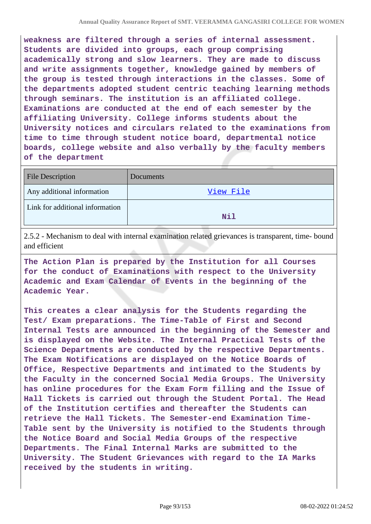**weakness are filtered through a series of internal assessment. Students are divided into groups, each group comprising academically strong and slow learners. They are made to discuss and write assignments together, knowledge gained by members of the group is tested through interactions in the classes. Some of the departments adopted student centric teaching learning methods through seminars. The institution is an affiliated college. Examinations are conducted at the end of each semester by the affiliating University. College informs students about the University notices and circulars related to the examinations from time to time through student notice board, departmental notice boards, college website and also verbally by the faculty members of the department**

| <b>File Description</b>         | Documents |
|---------------------------------|-----------|
| Any additional information      | View File |
| Link for additional information | Nil       |

2.5.2 - Mechanism to deal with internal examination related grievances is transparent, time- bound and efficient

**The Action Plan is prepared by the Institution for all Courses for the conduct of Examinations with respect to the University Academic and Exam Calendar of Events in the beginning of the Academic Year.**

**This creates a clear analysis for the Students regarding the Test/ Exam preparations. The Time-Table of First and Second Internal Tests are announced in the beginning of the Semester and is displayed on the Website. The Internal Practical Tests of the Science Departments are conducted by the respective Departments. The Exam Notifications are displayed on the Notice Boards of Office, Respective Departments and intimated to the Students by the Faculty in the concerned Social Media Groups. The University has online procedures for the Exam Form filling and the Issue of Hall Tickets is carried out through the Student Portal. The Head of the Institution certifies and thereafter the Students can retrieve the Hall Tickets. The Semester-end Examination Time-Table sent by the University is notified to the Students through the Notice Board and Social Media Groups of the respective Departments. The Final Internal Marks are submitted to the University. The Student Grievances with regard to the IA Marks received by the students in writing.**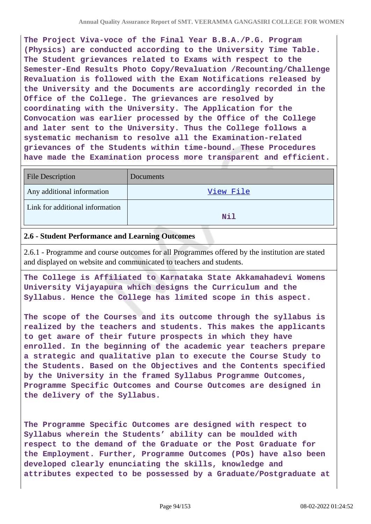**The Project Viva-voce of the Final Year B.B.A./P.G. Program (Physics) are conducted according to the University Time Table. The Student grievances related to Exams with respect to the Semester-End Results Photo Copy/Revaluation /Recounting/Challenge Revaluation is followed with the Exam Notifications released by the University and the Documents are accordingly recorded in the Office of the College. The grievances are resolved by coordinating with the University. The Application for the Convocation was earlier processed by the Office of the College and later sent to the University. Thus the College follows a systematic mechanism to resolve all the Examination-related grievances of the Students within time-bound. These Procedures have made the Examination process more transparent and efficient.**

| <b>File Description</b>         | Documents |
|---------------------------------|-----------|
| Any additional information      | View File |
| Link for additional information | Nil       |

#### **2.6 - Student Performance and Learning Outcomes**

2.6.1 - Programme and course outcomes for all Programmes offered by the institution are stated and displayed on website and communicated to teachers and students.

**The College is Affiliated to Karnataka State Akkamahadevi Womens University Vijayapura which designs the Curriculum and the Syllabus. Hence the College has limited scope in this aspect.**

**The scope of the Courses and its outcome through the syllabus is realized by the teachers and students. This makes the applicants to get aware of their future prospects in which they have enrolled. In the beginning of the academic year teachers prepare a strategic and qualitative plan to execute the Course Study to the Students. Based on the Objectives and the Contents specified by the University in the framed Syllabus Programme Outcomes, Programme Specific Outcomes and Course Outcomes are designed in the delivery of the Syllabus.**

**The Programme Specific Outcomes are designed with respect to Syllabus wherein the Students' ability can be moulded with respect to the demand of the Graduate or the Post Graduate for the Employment. Further, Programme Outcomes (POs) have also been developed clearly enunciating the skills, knowledge and attributes expected to be possessed by a Graduate/Postgraduate at**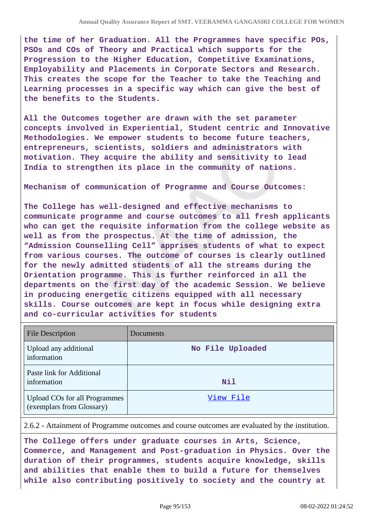**the time of her Graduation. All the Programmes have specific POs, PSOs and COs of Theory and Practical which supports for the Progression to the Higher Education, Competitive Examinations, Employability and Placements in Corporate Sectors and Research. This creates the scope for the Teacher to take the Teaching and Learning processes in a specific way which can give the best of the benefits to the Students.**

**All the Outcomes together are drawn with the set parameter concepts involved in Experiential, Student centric and Innovative Methodologies. We empower students to become future teachers, entrepreneurs, scientists, soldiers and administrators with motivation. They acquire the ability and sensitivity to lead India to strengthen its place in the community of nations.**

**Mechanism of communication of Programme and Course Outcomes:**

**The College has well-designed and effective mechanisms to communicate programme and course outcomes to all fresh applicants who can get the requisite information from the college website as well as from the prospectus. At the time of admission, the "Admission Counselling Cell" apprises students of what to expect from various courses. The outcome of courses is clearly outlined for the newly admitted students of all the streams during the Orientation programme. This is further reinforced in all the departments on the first day of the academic Session. We believe in producing energetic citizens equipped with all necessary skills. Course outcomes are kept in focus while designing extra and co-curricular activities for students**

| <b>File Description</b>                                           | Documents        |
|-------------------------------------------------------------------|------------------|
| Upload any additional<br>information                              | No File Uploaded |
| Paste link for Additional<br>information                          | Nil              |
| <b>Upload COs for all Programmes</b><br>(exemplars from Glossary) | View File        |

2.6.2 - Attainment of Programme outcomes and course outcomes are evaluated by the institution.

**The College offers under graduate courses in Arts, Science, Commerce, and Management and Post-graduation in Physics. Over the duration of their programmes, students acquire knowledge, skills and abilities that enable them to build a future for themselves while also contributing positively to society and the country at**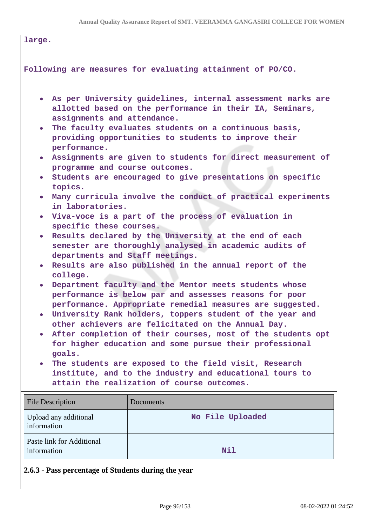| large.                                                                                                                                                                                                                                                                                                                             |                                                                                                                                                                                                                                                                                                                                                                                                                                                                                                                                                                                                                                                                                                                                                                                                                                                                                                                                                                                                                                                                                                                                                                                                                                                                          |
|------------------------------------------------------------------------------------------------------------------------------------------------------------------------------------------------------------------------------------------------------------------------------------------------------------------------------------|--------------------------------------------------------------------------------------------------------------------------------------------------------------------------------------------------------------------------------------------------------------------------------------------------------------------------------------------------------------------------------------------------------------------------------------------------------------------------------------------------------------------------------------------------------------------------------------------------------------------------------------------------------------------------------------------------------------------------------------------------------------------------------------------------------------------------------------------------------------------------------------------------------------------------------------------------------------------------------------------------------------------------------------------------------------------------------------------------------------------------------------------------------------------------------------------------------------------------------------------------------------------------|
|                                                                                                                                                                                                                                                                                                                                    | Following are measures for evaluating attainment of PO/CO.                                                                                                                                                                                                                                                                                                                                                                                                                                                                                                                                                                                                                                                                                                                                                                                                                                                                                                                                                                                                                                                                                                                                                                                                               |
| $\bullet$<br>assignments and attendance.<br>$\bullet$<br>performance.<br>$\bullet$<br>programme and course outcomes.<br>$\bullet$<br>topics.<br>$\bullet$<br>in laboratories.<br>specific these courses.<br>$\bullet$<br>departments and Staff meetings.<br>$\bullet$<br>college.<br>$\bullet$<br>$\bullet$<br>$\bullet$<br>goals. | As per University guidelines, internal assessment marks are<br>allotted based on the performance in their IA, Seminars,<br>The faculty evaluates students on a continuous basis,<br>providing opportunities to students to improve their<br>Assignments are given to students for direct measurement of<br>Students are encouraged to give presentations on specific<br>Many curricula involve the conduct of practical experiments<br>• Viva-voce is a part of the process of evaluation in<br>Results declared by the University at the end of each<br>semester are thoroughly analysed in academic audits of<br>Results are also published in the annual report of the<br>Department faculty and the Mentor meets students whose<br>performance is below par and assesses reasons for poor<br>performance. Appropriate remedial measures are suggested.<br>University Rank holders, toppers student of the year and<br>other achievers are felicitated on the Annual Day.<br>After completion of their courses, most of the students opt<br>for higher education and some pursue their professional<br>The students are exposed to the field visit, Research<br>institute, and to the industry and educational tours to<br>attain the realization of course outcomes. |
| <b>File Description</b>                                                                                                                                                                                                                                                                                                            | Documents                                                                                                                                                                                                                                                                                                                                                                                                                                                                                                                                                                                                                                                                                                                                                                                                                                                                                                                                                                                                                                                                                                                                                                                                                                                                |
| Upload any additional<br>information                                                                                                                                                                                                                                                                                               | No File Uploaded                                                                                                                                                                                                                                                                                                                                                                                                                                                                                                                                                                                                                                                                                                                                                                                                                                                                                                                                                                                                                                                                                                                                                                                                                                                         |
| Paste link for Additional<br>information                                                                                                                                                                                                                                                                                           | Nil                                                                                                                                                                                                                                                                                                                                                                                                                                                                                                                                                                                                                                                                                                                                                                                                                                                                                                                                                                                                                                                                                                                                                                                                                                                                      |
| 2.6.3 - Pass percentage of Students during the year                                                                                                                                                                                                                                                                                |                                                                                                                                                                                                                                                                                                                                                                                                                                                                                                                                                                                                                                                                                                                                                                                                                                                                                                                                                                                                                                                                                                                                                                                                                                                                          |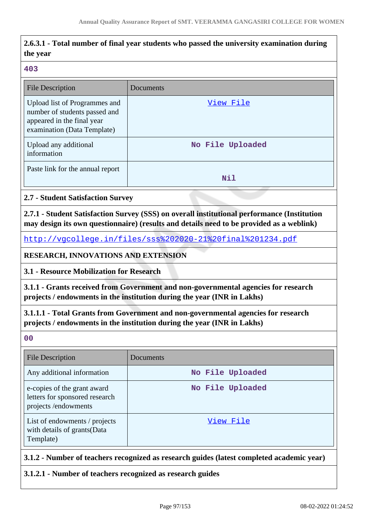# **2.6.3.1 - Total number of final year students who passed the university examination during the year**

#### **403**

| <b>File Description</b>                                                                                                     | Documents        |
|-----------------------------------------------------------------------------------------------------------------------------|------------------|
| Upload list of Programmes and<br>number of students passed and<br>appeared in the final year<br>examination (Data Template) | View File        |
| Upload any additional<br>information                                                                                        | No File Uploaded |
| Paste link for the annual report                                                                                            | Nil              |

## **2.7 - Student Satisfaction Survey**

**2.7.1 - Student Satisfaction Survey (SSS) on overall institutional performance (Institution may design its own questionnaire) (results and details need to be provided as a weblink)**

<http://vgcollege.in/files/sss%202020-21%20final%201234.pdf>

**RESEARCH, INNOVATIONS AND EXTENSION**

**3.1 - Resource Mobilization for Research**

**3.1.1 - Grants received from Government and non-governmental agencies for research projects / endowments in the institution during the year (INR in Lakhs)**

**3.1.1.1 - Total Grants from Government and non-governmental agencies for research projects / endowments in the institution during the year (INR in Lakhs)**

**00**

| <b>File Description</b>                                                              | Documents        |
|--------------------------------------------------------------------------------------|------------------|
| Any additional information                                                           | No File Uploaded |
| e-copies of the grant award<br>letters for sponsored research<br>projects/endowments | No File Uploaded |
| List of endowments / projects<br>with details of grants (Data<br>Template)           | View File        |

## **3.1.2 - Number of teachers recognized as research guides (latest completed academic year)**

**3.1.2.1 - Number of teachers recognized as research guides**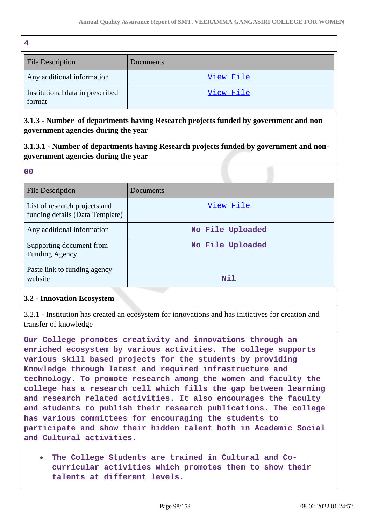| 4                                          |           |
|--------------------------------------------|-----------|
| <b>File Description</b>                    | Documents |
| Any additional information                 | View File |
| Institutional data in prescribed<br>format | View File |

**3.1.3 - Number of departments having Research projects funded by government and non government agencies during the year**

**3.1.3.1 - Number of departments having Research projects funded by government and nongovernment agencies during the year**

| 0 <sub>0</sub>                                                   |                  |
|------------------------------------------------------------------|------------------|
| <b>File Description</b>                                          | Documents        |
| List of research projects and<br>funding details (Data Template) | View File        |
| Any additional information                                       | No File Uploaded |
| Supporting document from<br><b>Funding Agency</b>                | No File Uploaded |
| Paste link to funding agency<br>website                          | Nil              |

## **3.2 - Innovation Ecosystem**

3.2.1 - Institution has created an ecosystem for innovations and has initiatives for creation and transfer of knowledge

**Our College promotes creativity and innovations through an enriched ecosystem by various activities. The college supports various skill based projects for the students by providing Knowledge through latest and required infrastructure and technology. To promote research among the women and faculty the college has a research cell which fills the gap between learning and research related activities. It also encourages the faculty and students to publish their research publications. The college has various committees for encouraging the students to participate and show their hidden talent both in Academic Social and Cultural activities.**

**The College Students are trained in Cultural and Cocurricular activities which promotes them to show their talents at different levels.**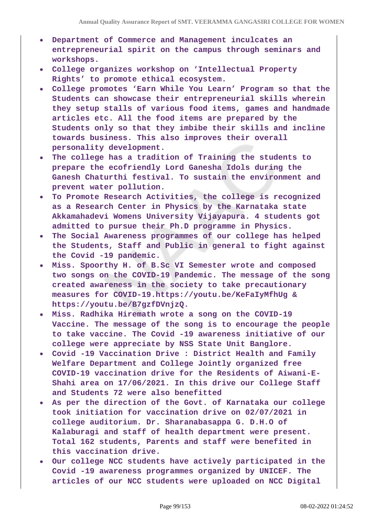- **Department of Commerce and Management inculcates an entrepreneurial spirit on the campus through seminars and workshops.**
- **College organizes workshop on 'Intellectual Property Rights' to promote ethical ecosystem.**
- **College promotes 'Earn While You Learn' Program so that the Students can showcase their entrepreneurial skills wherein they setup stalls of various food items, games and handmade articles etc. All the food items are prepared by the Students only so that they imbibe their skills and incline towards business. This also improves their overall personality development.**
- **The college has a tradition of Training the students to prepare the ecofriendly Lord Ganesha Idols during the Ganesh Chaturthi festival. To sustain the environment and prevent water pollution.**
- **To Promote Research Activities, the college is recognized as a Research Center in Physics by the Karnataka state Akkamahadevi Womens University Vijayapura. 4 students got admitted to pursue their Ph.D programme in Physics.**
- **The Social Awareness programmes of our college has helped the Students, Staff and Public in general to fight against the Covid -19 pandemic.**
- **Miss. Spoorthy H. of B.Sc VI Semester wrote and composed two songs on the COVID-19 Pandemic. The message of the song created awareness in the society to take precautionary measures for COVID-19.https://youtu.be/KeFaIyMfhUg & https://youtu.be/B7gzfDVnjzQ.**
- **Miss. Radhika Hiremath wrote a song on the COVID-19 Vaccine. The message of the song is to encourage the people to take vaccine. The Covid -19 awareness initiative of our college were appreciate by NSS State Unit Banglore.**
- **Covid -19 Vaccination Drive : District Health and Family Welfare Department and College Jointly organized free COVID-19 vaccination drive for the Residents of Aiwani-E-Shahi area on 17/06/2021. In this drive our College Staff and Students 72 were also benefitted**
- **As per the direction of the Govt. of Karnataka our college took initiation for vaccination drive on 02/07/2021 in college auditorium. Dr. Sharanabasappa G. D.H.O of Kalaburagi and staff of health department were present. Total 162 students, Parents and staff were benefited in this vaccination drive.**
- **Our college NCC students have actively participated in the Covid -19 awareness programmes organized by UNICEF. The articles of our NCC students were uploaded on NCC Digital**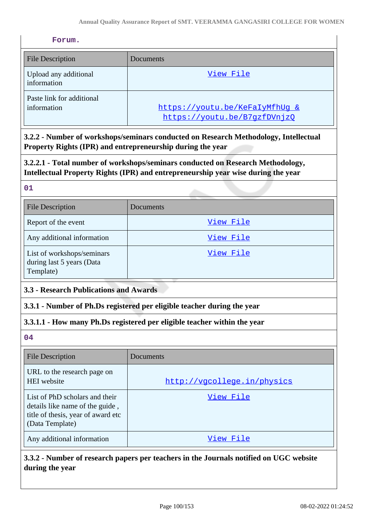#### **Forum.**

| <b>File Description</b>                  | Documents                                                      |
|------------------------------------------|----------------------------------------------------------------|
| Upload any additional<br>information     | View File                                                      |
| Paste link for additional<br>information | https://youtu.be/KeFaIyMfhUq &<br>https://youtu.be/B7qzfDVnjzQ |

**3.2.2 - Number of workshops/seminars conducted on Research Methodology, Intellectual Property Rights (IPR) and entrepreneurship during the year**

**3.2.2.1 - Total number of workshops/seminars conducted on Research Methodology, Intellectual Property Rights (IPR) and entrepreneurship year wise during the year**

**01**

| <b>File Description</b>                                              | <b>Documents</b> |
|----------------------------------------------------------------------|------------------|
| Report of the event                                                  | View File        |
| Any additional information                                           | View File        |
| List of workshops/seminars<br>during last 5 years (Data<br>Template) | View File        |

## **3.3 - Research Publications and Awards**

#### **3.3.1 - Number of Ph.Ds registered per eligible teacher during the year**

## **3.3.1.1 - How many Ph.Ds registered per eligible teacher within the year**

**04**

| <b>File Description</b>                                                                                                    | Documents                   |
|----------------------------------------------------------------------------------------------------------------------------|-----------------------------|
| URL to the research page on<br>HEI website                                                                                 | http://vgcollege.in/physics |
| List of PhD scholars and their<br>details like name of the guide,<br>title of thesis, year of award etc<br>(Data Template) | View File                   |
| Any additional information                                                                                                 | View File                   |

## **3.3.2 - Number of research papers per teachers in the Journals notified on UGC website during the year**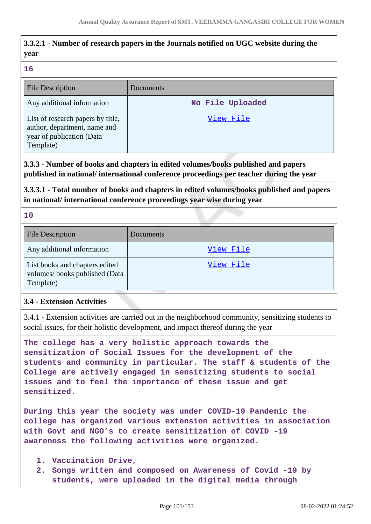# **3.3.2.1 - Number of research papers in the Journals notified on UGC website during the year**

#### **16**

| <b>File Description</b>                                                                                     | Documents        |
|-------------------------------------------------------------------------------------------------------------|------------------|
| Any additional information                                                                                  | No File Uploaded |
| List of research papers by title,<br>author, department, name and<br>year of publication (Data<br>Template) | View File        |

**3.3.3 - Number of books and chapters in edited volumes/books published and papers published in national/ international conference proceedings per teacher during the year**

**3.3.3.1 - Total number of books and chapters in edited volumes/books published and papers in national/ international conference proceedings year wise during year**

**10**

| File Description                                                             | Documents |
|------------------------------------------------------------------------------|-----------|
| Any additional information                                                   | View File |
| List books and chapters edited<br>volumes/books published (Data<br>Template) | View File |

## **3.4 - Extension Activities**

3.4.1 - Extension activities are carried out in the neighborhood community, sensitizing students to social issues, for their holistic development, and impact thereof during the year

**The college has a very holistic approach towards the sensitization of Social Issues for the development of the students and community in particular. The staff & students of the College are actively engaged in sensitizing students to social issues and to feel the importance of these issue and get sensitized.**

**During this year the society was under COVID-19 Pandemic the college has organized various extension activities in association with Govt and NGO's to create sensitization of COVID -19 awareness the following activities were organized.**

- **1. Vaccination Drive,**
- **2. Songs written and composed on Awareness of Covid -19 by students, were uploaded in the digital media through**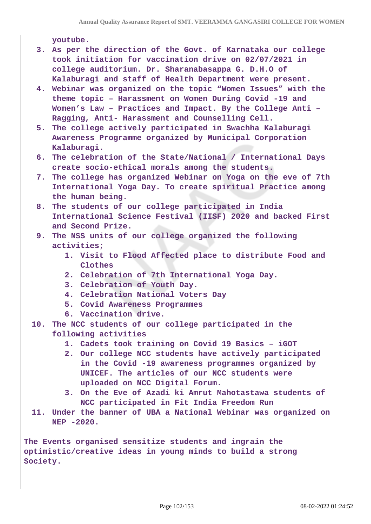**youtube.**

- **3. As per the direction of the Govt. of Karnataka our college took initiation for vaccination drive on 02/07/2021 in college auditorium. Dr. Sharanabasappa G. D.H.O of Kalaburagi and staff of Health Department were present.**
- **4. Webinar was organized on the topic "Women Issues" with the theme topic – Harassment on Women During Covid -19 and Women's Law – Practices and Impact. By the College Anti – Ragging, Anti- Harassment and Counselling Cell.**
- **5. The college actively participated in Swachha Kalaburagi Awareness Programme organized by Municipal Corporation Kalaburagi.**
- **6. The celebration of the State/National / International Days create socio-ethical morals among the students.**
- **7. The college has organized Webinar on Yoga on the eve of 7th International Yoga Day. To create spiritual Practice among the human being.**
- **8. The students of our college participated in India International Science Festival (IISF) 2020 and backed First and Second Prize.**
- **9. The NSS units of our college organized the following activities;**
	- **1. Visit to Flood Affected place to distribute Food and Clothes**
	- **2. Celebration of 7th International Yoga Day.**
	- **3. Celebration of Youth Day.**
	- **4. Celebration National Voters Day**
	- **5. Covid Awareness Programmes**
	- **6. Vaccination drive.**
- **10. The NCC students of our college participated in the following activities**
	- **1. Cadets took training on Covid 19 Basics iGOT**
	- **2. Our college NCC students have actively participated in the Covid -19 awareness programmes organized by UNICEF. The articles of our NCC students were uploaded on NCC Digital Forum.**
	- **3. On the Eve of Azadi ki Amrut Mahotastawa students of NCC participated in Fit India Freedom Run**
- **11. Under the banner of UBA a National Webinar was organized on NEP -2020.**

**The Events organised sensitize students and ingrain the optimistic/creative ideas in young minds to build a strong Society.**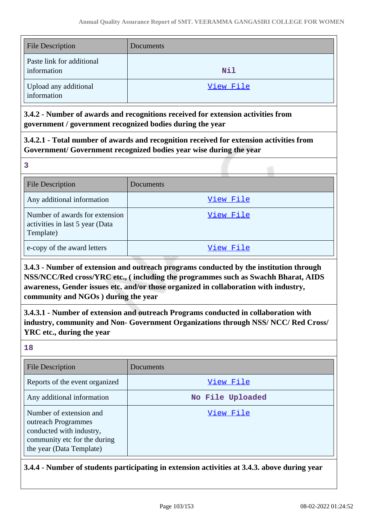| <b>File Description</b>                  | Documents  |
|------------------------------------------|------------|
| Paste link for additional<br>information | <b>Nil</b> |
| Upload any additional<br>information     | View File  |

**3.4.2 - Number of awards and recognitions received for extension activities from government / government recognized bodies during the year**

**3.4.2.1 - Total number of awards and recognition received for extension activities from Government/ Government recognized bodies year wise during the year**

**3**

| <b>File Description</b>                                                        | Documents |
|--------------------------------------------------------------------------------|-----------|
| Any additional information                                                     | View File |
| Number of awards for extension<br>activities in last 5 year (Data<br>Template) | View File |
| e-copy of the award letters                                                    | View File |

**3.4.3 - Number of extension and outreach programs conducted by the institution through NSS/NCC/Red cross/YRC etc., ( including the programmes such as Swachh Bharat, AIDS awareness, Gender issues etc. and/or those organized in collaboration with industry, community and NGOs ) during the year**

**3.4.3.1 - Number of extension and outreach Programs conducted in collaboration with industry, community and Non- Government Organizations through NSS/ NCC/ Red Cross/ YRC etc., during the year**

**18**

| File Description                                                                                                                       | Documents        |
|----------------------------------------------------------------------------------------------------------------------------------------|------------------|
| Reports of the event organized                                                                                                         | View File        |
| Any additional information                                                                                                             | No File Uploaded |
| Number of extension and<br>outreach Programmes<br>conducted with industry,<br>community etc for the during<br>the year (Data Template) | View File        |

**3.4.4 - Number of students participating in extension activities at 3.4.3. above during year**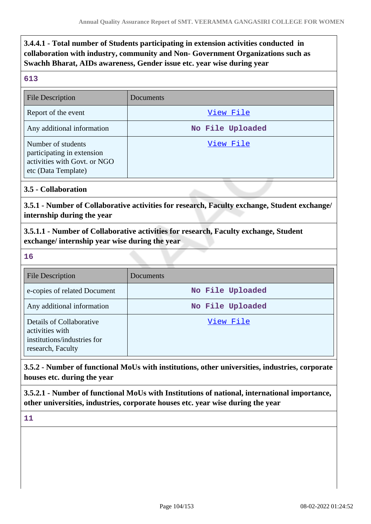**3.4.4.1 - Total number of Students participating in extension activities conducted in collaboration with industry, community and Non- Government Organizations such as Swachh Bharat, AIDs awareness, Gender issue etc. year wise during year**

#### **613**

| <b>File Description</b>                                                                                 | Documents        |
|---------------------------------------------------------------------------------------------------------|------------------|
| Report of the event                                                                                     | View File        |
| Any additional information                                                                              | No File Uploaded |
| Number of students<br>participating in extension<br>activities with Govt. or NGO<br>etc (Data Template) | View File        |

## **3.5 - Collaboration**

**3.5.1 - Number of Collaborative activities for research, Faculty exchange, Student exchange/ internship during the year**

**3.5.1.1 - Number of Collaborative activities for research, Faculty exchange, Student exchange/ internship year wise during the year**

## **16**

| <b>File Description</b>                                                                         | Documents        |
|-------------------------------------------------------------------------------------------------|------------------|
| e-copies of related Document                                                                    | No File Uploaded |
| Any additional information                                                                      | No File Uploaded |
| Details of Collaborative<br>activities with<br>institutions/industries for<br>research, Faculty | View File        |

**3.5.2 - Number of functional MoUs with institutions, other universities, industries, corporate houses etc. during the year**

**3.5.2.1 - Number of functional MoUs with Institutions of national, international importance, other universities, industries, corporate houses etc. year wise during the year**

**11**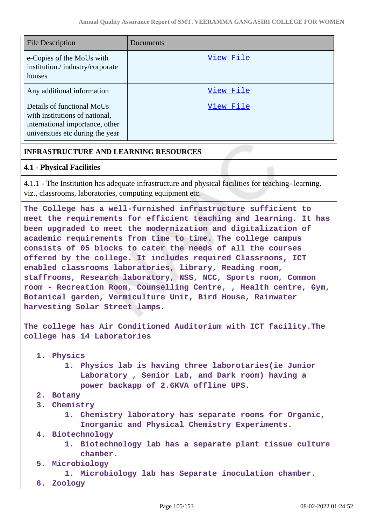| <b>File Description</b>                                                                                                             | Documents |
|-------------------------------------------------------------------------------------------------------------------------------------|-----------|
| e-Copies of the MoUs with<br>institution./industry/corporate<br>houses                                                              | View File |
| Any additional information                                                                                                          | View File |
| Details of functional MoUs<br>with institutions of national,<br>international importance, other<br>universities etc during the year | View File |

## **INFRASTRUCTURE AND LEARNING RESOURCES**

## **4.1 - Physical Facilities**

4.1.1 - The Institution has adequate infrastructure and physical facilities for teaching- learning. viz., classrooms, laboratories, computing equipment etc.

**The College has a well-furnished infrastructure sufficient to meet the requirements for efficient teaching and learning. It has been upgraded to meet the modernization and digitalization of academic requirements from time to time. The college campus consists of 05 blocks to cater the needs of all the courses offered by the college. It includes required Classrooms, ICT enabled classrooms laboratories, library, Reading room, staffrooms, Research laboratory, NSS, NCC, Sports room, Common room - Recreation Room, Counselling Centre, , Health centre, Gym, Botanical garden, Vermiculture Unit, Bird House, Rainwater harvesting Solar Street lamps.**

**The college has Air Conditioned Auditorium with ICT facility.The college has 14 Laboratories**

- **1. Physics**
	- **1. Physics lab is having three laborotaries(ie Junior Laboratory , Senior Lab, and Dark room) having a power backapp of 2.6KVA offline UPS.**
- **2. Botany**
- **3. Chemistry**
	- **1. Chemistry laboratory has separate rooms for Organic, Inorganic and Physical Chemistry Experiments.**
- **4. Biotechnology**
	- **1. Biotechnology lab has a separate plant tissue culture chamber.**
- **5. Microbiology**

**1. Microbiology lab has Separate inoculation chamber.**

**6. Zoology**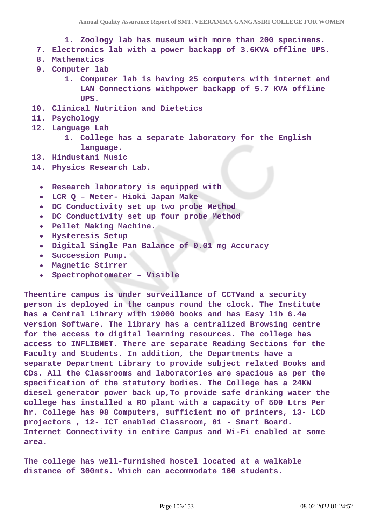- **1. Zoology lab has museum with more than 200 specimens.**
- **7. Electronics lab with a power backapp of 3.6KVA offline UPS.**
- **8. Mathematics**
- **9. Computer lab**
	- **1. Computer lab is having 25 computers with internet and LAN Connections withpower backapp of 5.7 KVA offline UPS.**
- **10. Clinical Nutrition and Dietetics**
- **11. Psychology**
- **12. Language Lab**
	- **1. College has a separate laboratory for the English language.**
- **13. Hindustani Music**
- **14. Physics Research Lab.**
	- **Research laboratory is equipped with**
	- **LCR Q Meter- Hioki Japan Make**
	- **DC Conductivity set up two probe Method**
	- **DC Conductivity set up four probe Method**
	- **Pellet Making Machine.**  $\bullet$
	- **Hysteresis Setup**
	- **Digital Single Pan Balance of 0.01 mg Accuracy**
	- **Succession Pump.**
	- **Magnetic Stirrer**
	- **Spectrophotometer Visible**

**Theentire campus is under surveillance of CCTVand a security person is deployed in the campus round the clock. The Institute has a Central Library with 19000 books and has Easy lib 6.4a version Software. The library has a centralized Browsing centre for the access to digital learning resources. The college has access to INFLIBNET. There are separate Reading Sections for the Faculty and Students. In addition, the Departments have a separate Department Library to provide subject related Books and CDs. All the Classrooms and laboratories are spacious as per the specification of the statutory bodies. The College has a 24KW diesel generator power back up,To provide safe drinking water the college has installed a RO plant with a capacity of 500 Ltrs Per hr. College has 98 Computers, sufficient no of printers, 13- LCD projectors , 12- ICT enabled Classroom, 01 - Smart Board. Internet Connectivity in entire Campus and Wi-Fi enabled at some area.**

**The college has well-furnished hostel located at a walkable distance of 300mts. Which can accommodate 160 students.**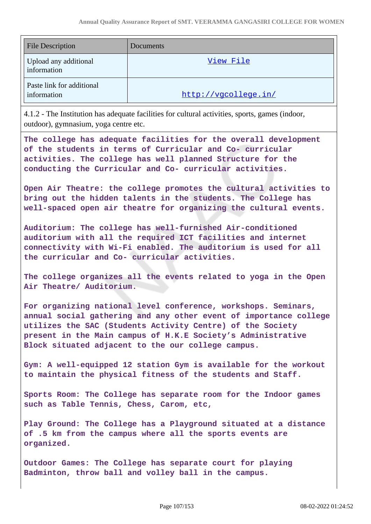| <b>File Description</b>                  | Documents            |
|------------------------------------------|----------------------|
| Upload any additional<br>information     | View File            |
| Paste link for additional<br>information | http://vgcollege.in/ |

4.1.2 - The Institution has adequate facilities for cultural activities, sports, games (indoor, outdoor), gymnasium, yoga centre etc.

**The college has adequate facilities for the overall development of the students in terms of Curricular and Co- curricular activities. The college has well planned Structure for the conducting the Curricular and Co- curricular activities.**

**Open Air Theatre: the college promotes the cultural activities to bring out the hidden talents in the students. The College has well-spaced open air theatre for organizing the cultural events.** 

**Auditorium: The college has well-furnished Air-conditioned auditorium with all the required ICT facilities and internet connectivity with Wi-Fi enabled. The auditorium is used for all the curricular and Co- curricular activities.**

**The college organizes all the events related to yoga in the Open Air Theatre/ Auditorium.** 

**For organizing national level conference, workshops. Seminars, annual social gathering and any other event of importance college utilizes the SAC (Students Activity Centre) of the Society present in the Main campus of H.K.E Society's Administrative Block situated adjacent to the our college campus.** 

**Gym: A well-equipped 12 station Gym is available for the workout to maintain the physical fitness of the students and Staff.** 

**Sports Room: The College has separate room for the Indoor games such as Table Tennis, Chess, Carom, etc,**

**Play Ground: The College has a Playground situated at a distance of .5 km from the campus where all the sports events are organized.** 

**Outdoor Games: The College has separate court for playing Badminton, throw ball and volley ball in the campus.**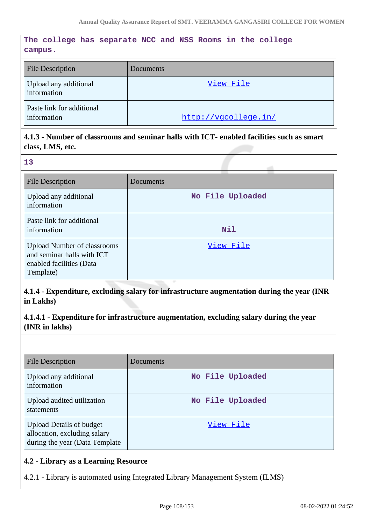## **The college has separate NCC and NSS Rooms in the college campus.**

| <b>File Description</b>                  | Documents            |
|------------------------------------------|----------------------|
| Upload any additional<br>information     | View File            |
| Paste link for additional<br>information | http://vgcollege.in/ |

## **4.1.3 - Number of classrooms and seminar halls with ICT- enabled facilities such as smart class, LMS, etc.**

**13**

| File Description                                                                                          | Documents        |
|-----------------------------------------------------------------------------------------------------------|------------------|
| Upload any additional<br>information                                                                      | No File Uploaded |
| Paste link for additional<br>information                                                                  | Nil              |
| <b>Upload Number of classrooms</b><br>and seminar halls with ICT<br>enabled facilities (Data<br>Template) | View File        |

**4.1.4 - Expenditure, excluding salary for infrastructure augmentation during the year (INR in Lakhs)**

**4.1.4.1 - Expenditure for infrastructure augmentation, excluding salary during the year (INR in lakhs)**

| File Description                                                                                   | Documents        |
|----------------------------------------------------------------------------------------------------|------------------|
| Upload any additional<br>information                                                               | No File Uploaded |
| Upload audited utilization<br>statements                                                           | No File Uploaded |
| <b>Upload Details of budget</b><br>allocation, excluding salary<br>during the year (Data Template) | View File        |

## **4.2 - Library as a Learning Resource**

4.2.1 - Library is automated using Integrated Library Management System (ILMS)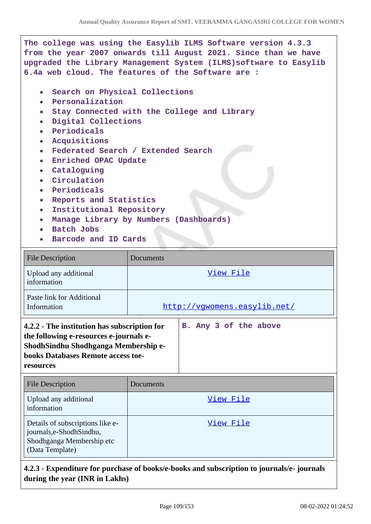| The college was using the Easylib ILMS Software version 4.3.3<br>from the year 2007 onwards till August 2021. Since than we have<br>upgraded the Library Management System (ILMS) software to Easylib<br>6.4a web cloud. The features of the Software are :                                                                                                                                                                                                                                    |  |  |  |
|------------------------------------------------------------------------------------------------------------------------------------------------------------------------------------------------------------------------------------------------------------------------------------------------------------------------------------------------------------------------------------------------------------------------------------------------------------------------------------------------|--|--|--|
| Search on Physical Collections<br>$\bullet$<br>Personalization<br>Stay Connected with the College and Library<br>$\bullet$<br>Digital Collections<br>Periodicals<br>$\bullet$<br>Acquisitions<br>Federated Search / Extended Search<br>Enriched OPAC Update<br>• Cataloguing<br>Circulation<br>Periodicals<br>$\bullet$<br>Reports and Statistics<br>$\bullet$<br>Institutional Repository<br>$\bullet$<br>Manage Library by Numbers (Dashboards)<br><b>Batch Jobs</b><br>Barcode and ID Cards |  |  |  |
| <b>File Description</b><br><b>Documents</b>                                                                                                                                                                                                                                                                                                                                                                                                                                                    |  |  |  |
| Upload any additional<br>View File<br>information                                                                                                                                                                                                                                                                                                                                                                                                                                              |  |  |  |
| Paste link for Additional<br>Information<br>http://vqwomens.easylib.net/                                                                                                                                                                                                                                                                                                                                                                                                                       |  |  |  |
|                                                                                                                                                                                                                                                                                                                                                                                                                                                                                                |  |  |  |

| 4.2.2 - The institution has subscription for |  |  | B. Any 3 of the above |
|----------------------------------------------|--|--|-----------------------|
| the following e-resources e-journals e-      |  |  |                       |
| ShodhSindhu Shodhganga Membership e-         |  |  |                       |
| books Databases Remote access toe-           |  |  |                       |
| resources                                    |  |  |                       |

| <b>File Description</b>                                                                                     | Documents |
|-------------------------------------------------------------------------------------------------------------|-----------|
| Upload any additional<br>information                                                                        | View File |
| Details of subscriptions like e-<br>journals,e-ShodhSindhu,<br>Shodhganga Membership etc<br>(Data Template) | View File |

# **4.2.3 - Expenditure for purchase of books/e-books and subscription to journals/e- journals during the year (INR in Lakhs)**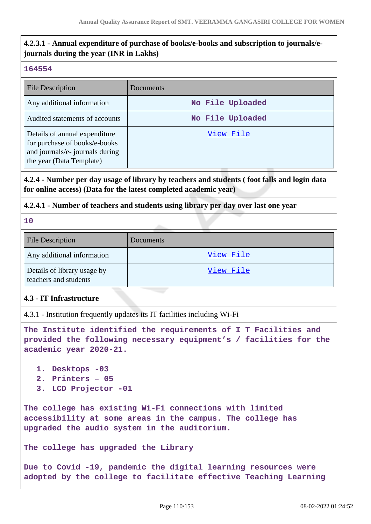## **4.2.3.1 - Annual expenditure of purchase of books/e-books and subscription to journals/ejournals during the year (INR in Lakhs)**

### **164554**

| <b>File Description</b>                                                                                                       | Documents        |
|-------------------------------------------------------------------------------------------------------------------------------|------------------|
| Any additional information                                                                                                    | No File Uploaded |
| Audited statements of accounts                                                                                                | No File Uploaded |
| Details of annual expenditure<br>for purchase of books/e-books<br>and journals/e- journals during<br>the year (Data Template) | View File        |

## **4.2.4 - Number per day usage of library by teachers and students ( foot falls and login data for online access) (Data for the latest completed academic year)**

## **4.2.4.1 - Number of teachers and students using library per day over last one year**

**10**

| <b>File Description</b>                              | Documents |
|------------------------------------------------------|-----------|
| Any additional information                           | View File |
| Details of library usage by<br>teachers and students | View File |

## **4.3 - IT Infrastructure**

4.3.1 - Institution frequently updates its IT facilities including Wi-Fi

```
The Institute identified the requirements of I T Facilities and
provided the following necessary equipment's / facilities for the
academic year 2020-21.
```
- **1. Desktops -03**
- **2. Printers 05**
- **3. LCD Projector -01**

**The college has existing Wi-Fi connections with limited accessibility at some areas in the campus. The college has upgraded the audio system in the auditorium.** 

**The college has upgraded the Library** 

**Due to Covid -19, pandemic the digital learning resources were adopted by the college to facilitate effective Teaching Learning**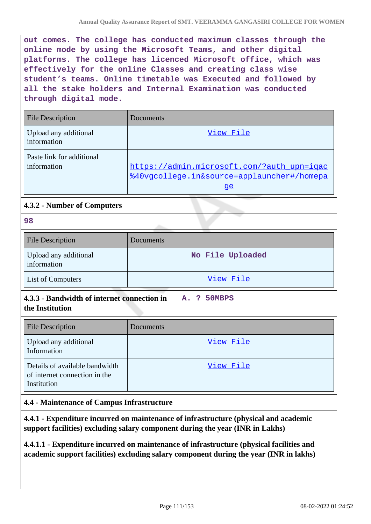**out comes. The college has conducted maximum classes through the online mode by using the Microsoft Teams, and other digital platforms. The college has licenced Microsoft office, which was effectively for the online Classes and creating class wise student's teams. Online timetable was Executed and followed by all the stake holders and Internal Examination was conducted through digital mode.**

| <b>File Description</b>                  | Documents                                                                                      |
|------------------------------------------|------------------------------------------------------------------------------------------------|
| Upload any additional<br>information     | View File                                                                                      |
| Paste link for additional<br>information | https://admin.microsoft.com/?auth_upn=iqac<br>%40vgcollege.in&source=applauncher#/homepa<br>qe |

## **4.3.2 - Number of Computers**

|                | $\sim$      |
|----------------|-------------|
|                | ۰           |
|                |             |
| ×              | ٧           |
| ۰,<br>۰.<br>۰. | ×<br>I<br>w |
|                |             |

| <b>File Description</b>                                                        | Documents        |
|--------------------------------------------------------------------------------|------------------|
| Upload any additional<br>information                                           | No File Uploaded |
| List of Computers                                                              | View File        |
| 4.3.3 - Bandwidth of internet connection in<br>the Institution                 | 50MBPS<br>A. ?   |
| <b>File Description</b>                                                        | Documents        |
| Upload any additional<br>Information                                           | View File        |
| Details of available bandwidth<br>of internet connection in the<br>Institution | View File        |

## **4.4 - Maintenance of Campus Infrastructure**

**4.4.1 - Expenditure incurred on maintenance of infrastructure (physical and academic support facilities) excluding salary component during the year (INR in Lakhs)**

**4.4.1.1 - Expenditure incurred on maintenance of infrastructure (physical facilities and academic support facilities) excluding salary component during the year (INR in lakhs)**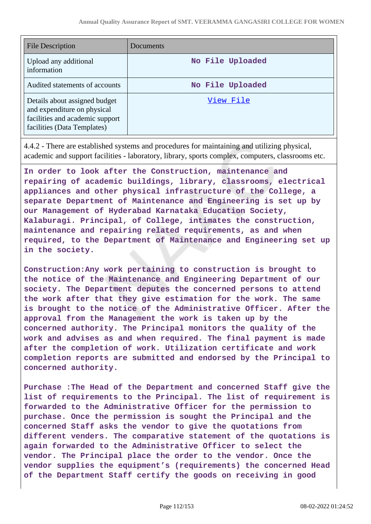| File Description                                                                                                               | Documents        |
|--------------------------------------------------------------------------------------------------------------------------------|------------------|
| Upload any additional<br>information                                                                                           | No File Uploaded |
| Audited statements of accounts                                                                                                 | No File Uploaded |
| Details about assigned budget<br>and expenditure on physical<br>facilities and academic support<br>facilities (Data Templates) | View File        |

4.4.2 - There are established systems and procedures for maintaining and utilizing physical, academic and support facilities - laboratory, library, sports complex, computers, classrooms etc.

**In order to look after the Construction, maintenance and repairing of academic buildings, library, classrooms, electrical appliances and other physical infrastructure of the College, a separate Department of Maintenance and Engineering is set up by our Management of Hyderabad Karnataka Education Society, Kalaburagi. Principal, of College, intimates the construction, maintenance and repairing related requirements, as and when required, to the Department of Maintenance and Engineering set up in the society.**

**Construction:Any work pertaining to construction is brought to the notice of the Maintenance and Engineering Department of our society. The Department deputes the concerned persons to attend the work after that they give estimation for the work. The same is brought to the notice of the Administrative Officer. After the approval from the Management the work is taken up by the concerned authority. The Principal monitors the quality of the work and advises as and when required. The final payment is made after the completion of work. Utilization certificate and work completion reports are submitted and endorsed by the Principal to concerned authority.**

**Purchase :The Head of the Department and concerned Staff give the list of requirements to the Principal. The list of requirement is forwarded to the Administrative Officer for the permission to purchase. Once the permission is sought the Principal and the concerned Staff asks the vendor to give the quotations from different venders. The comparative statement of the quotations is again forwarded to the Administrative Officer to select the vendor. The Principal place the order to the vendor. Once the vendor supplies the equipment's (requirements) the concerned Head of the Department Staff certify the goods on receiving in good**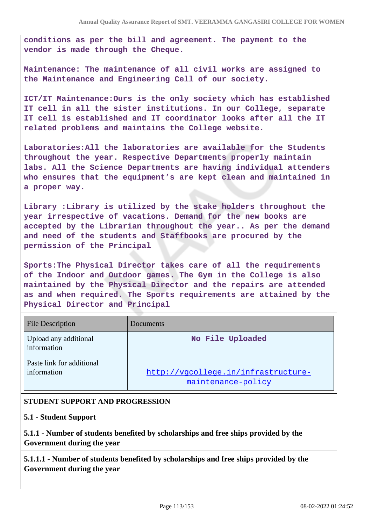**conditions as per the bill and agreement. The payment to the vendor is made through the Cheque.**

**Maintenance: The maintenance of all civil works are assigned to the Maintenance and Engineering Cell of our society.**

**ICT/IT Maintenance:Ours is the only society which has established IT cell in all the sister institutions. In our College, separate IT cell is established and IT coordinator looks after all the IT related problems and maintains the College website.**

**Laboratories:All the laboratories are available for the Students throughout the year. Respective Departments properly maintain labs. All the Science Departments are having individual attenders who ensures that the equipment's are kept clean and maintained in a proper way.**

**Library :Library is utilized by the stake holders throughout the year irrespective of vacations. Demand for the new books are accepted by the Librarian throughout the year.. As per the demand and need of the students and Staffbooks are procured by the permission of the Principal**

**Sports:The Physical Director takes care of all the requirements of the Indoor and Outdoor games. The Gym in the College is also maintained by the Physical Director and the repairs are attended as and when required. The Sports requirements are attained by the Physical Director and Principal**

| <b>File Description</b>                  | Documents                                                 |
|------------------------------------------|-----------------------------------------------------------|
| Upload any additional<br>information     | No File Uploaded                                          |
| Paste link for additional<br>information | http://vgcollege.in/infrastructure-<br>maintenance-policy |

## **STUDENT SUPPORT AND PROGRESSION**

#### **5.1 - Student Support**

**5.1.1 - Number of students benefited by scholarships and free ships provided by the Government during the year**

**5.1.1.1 - Number of students benefited by scholarships and free ships provided by the Government during the year**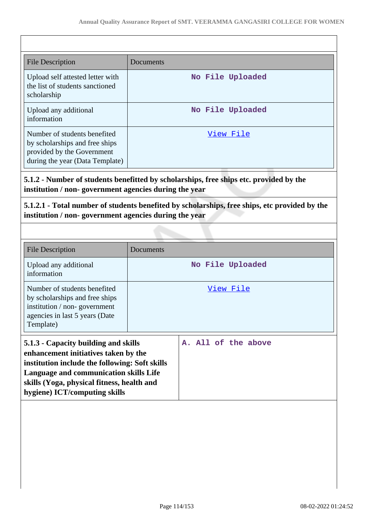| <b>File Description</b>                                                                                                         | Documents        |
|---------------------------------------------------------------------------------------------------------------------------------|------------------|
| Upload self attested letter with<br>the list of students sanctioned<br>scholarship                                              | No File Uploaded |
| Upload any additional<br>information                                                                                            | No File Uploaded |
| Number of students benefited<br>by scholarships and free ships<br>provided by the Government<br>during the year (Data Template) | View File        |

**5.1.2 - Number of students benefitted by scholarships, free ships etc. provided by the institution / non- government agencies during the year**

**5.1.2.1 - Total number of students benefited by scholarships, free ships, etc provided by the institution / non- government agencies during the year**

| <b>File Description</b>                                                                                                                                                                                                                                 | Documents        |                     |  |
|---------------------------------------------------------------------------------------------------------------------------------------------------------------------------------------------------------------------------------------------------------|------------------|---------------------|--|
| Upload any additional<br>information                                                                                                                                                                                                                    | No File Uploaded |                     |  |
| Number of students benefited<br>by scholarships and free ships<br>institution / non-government<br>agencies in last 5 years (Date<br>Template)                                                                                                           | View File        |                     |  |
| 5.1.3 - Capacity building and skills<br>enhancement initiatives taken by the<br>institution include the following: Soft skills<br>Language and communication skills Life<br>skills (Yoga, physical fitness, health and<br>hygiene) ICT/computing skills |                  | A. All of the above |  |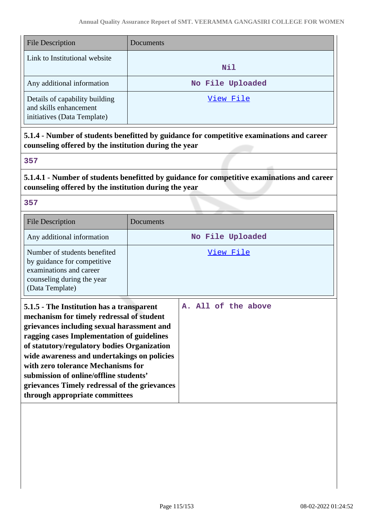| <b>File Description</b>                                                                 | Documents        |
|-----------------------------------------------------------------------------------------|------------------|
| Link to Institutional website                                                           | <b>Nil</b>       |
| Any additional information                                                              | No File Uploaded |
| Details of capability building<br>and skills enhancement<br>initiatives (Data Template) | View File        |

**5.1.4 - Number of students benefitted by guidance for competitive examinations and career counseling offered by the institution during the year**

## **357**

**5.1.4.1 - Number of students benefitted by guidance for competitive examinations and career counseling offered by the institution during the year**

### **357**

**with zero tolerance Mechanisms for submission of online/offline students'**

**through appropriate committees**

**grievances Timely redressal of the grievances**

| <b>File Description</b>                                                                                                                                                                                                                                                          | Documents           |  |
|----------------------------------------------------------------------------------------------------------------------------------------------------------------------------------------------------------------------------------------------------------------------------------|---------------------|--|
| Any additional information                                                                                                                                                                                                                                                       | No File Uploaded    |  |
| Number of students benefited<br>by guidance for competitive<br>examinations and career<br>counseling during the year<br>(Data Template)                                                                                                                                          | View File           |  |
| 5.1.5 - The Institution has a transparent<br>mechanism for timely redressal of student<br>grievances including sexual harassment and<br>ragging cases Implementation of guidelines<br>of statutory/regulatory bodies Organization<br>wide awareness and undertakings on policies | A. All of the above |  |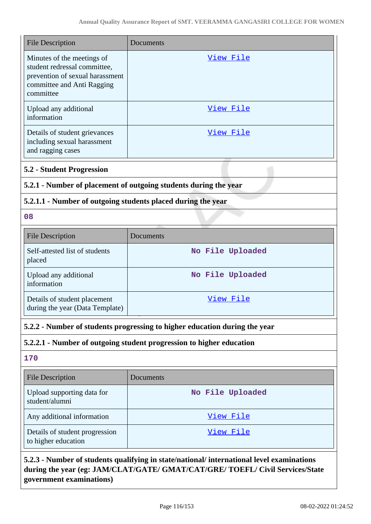| <b>File Description</b>                                                                                                                  | Documents                                                                  |  |
|------------------------------------------------------------------------------------------------------------------------------------------|----------------------------------------------------------------------------|--|
| Minutes of the meetings of<br>student redressal committee,<br>prevention of sexual harassment<br>committee and Anti Ragging<br>committee | <u>View File</u>                                                           |  |
| Upload any additional<br>information                                                                                                     | View File                                                                  |  |
| Details of student grievances<br>including sexual harassment<br>and ragging cases                                                        | <u>View File</u>                                                           |  |
| <b>5.2 - Student Progression</b>                                                                                                         |                                                                            |  |
| 5.2.1 - Number of placement of outgoing students during the year                                                                         |                                                                            |  |
| 5.2.1.1 - Number of outgoing students placed during the year                                                                             |                                                                            |  |
| 08                                                                                                                                       |                                                                            |  |
| <b>File Description</b>                                                                                                                  | Documents                                                                  |  |
| Self-attested list of students<br>placed                                                                                                 | No File Uploaded                                                           |  |
| Upload any additional<br>information                                                                                                     | No File Uploaded                                                           |  |
| Details of student placement<br>during the year (Data Template)                                                                          | <u>View File</u>                                                           |  |
|                                                                                                                                          | 5.2.2 - Number of students progressing to higher education during the year |  |
|                                                                                                                                          | 5.2.2.1 - Number of outgoing student progression to higher education       |  |
| 170                                                                                                                                      |                                                                            |  |
| <b>File Description</b>                                                                                                                  | Documents                                                                  |  |
| Upload supporting data for<br>student/alumni                                                                                             | No File Uploaded                                                           |  |
| Any additional information                                                                                                               | View File                                                                  |  |
| Details of student progression<br>to higher education                                                                                    | <u>View File</u>                                                           |  |
|                                                                                                                                          |                                                                            |  |

## **5.2.3 - Number of students qualifying in state/national/ international level examinations during the year (eg: JAM/CLAT/GATE/ GMAT/CAT/GRE/ TOEFL/ Civil Services/State government examinations)**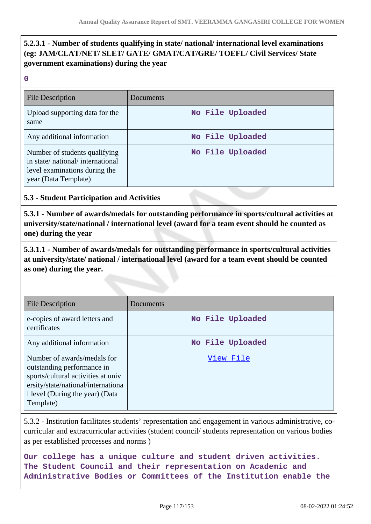## **5.2.3.1 - Number of students qualifying in state/ national/ international level examinations (eg: JAM/CLAT/NET/ SLET/ GATE/ GMAT/CAT/GRE/ TOEFL/ Civil Services/ State government examinations) during the year**

|              | w |        |  |
|--------------|---|--------|--|
|              |   |        |  |
| ×<br>×<br>M. |   | ۰<br>٧ |  |

| <b>File Description</b>                                                                                                   | Documents        |
|---------------------------------------------------------------------------------------------------------------------------|------------------|
| Upload supporting data for the<br>same                                                                                    | No File Uploaded |
| Any additional information                                                                                                | No File Uploaded |
| Number of students qualifying<br>in state/national/international<br>level examinations during the<br>year (Data Template) | No File Uploaded |

## **5.3 - Student Participation and Activities**

**5.3.1 - Number of awards/medals for outstanding performance in sports/cultural activities at university/state/national / international level (award for a team event should be counted as one) during the year**

**5.3.1.1 - Number of awards/medals for outstanding performance in sports/cultural activities at university/state/ national / international level (award for a team event should be counted as one) during the year.**

| File Description                                                                                                                                                                       | Documents        |
|----------------------------------------------------------------------------------------------------------------------------------------------------------------------------------------|------------------|
| e-copies of award letters and<br>certificates                                                                                                                                          | No File Uploaded |
| Any additional information                                                                                                                                                             | No File Uploaded |
| Number of awards/medals for<br>outstanding performance in<br>sports/cultural activities at univ<br>ersity/state/national/international<br>1 level (During the year) (Data<br>Template) | View File        |

5.3.2 - Institution facilitates students' representation and engagement in various administrative, cocurricular and extracurricular activities (student council/ students representation on various bodies as per established processes and norms )

**Our college has a unique culture and student driven activities. The Student Council and their representation on Academic and Administrative Bodies or Committees of the Institution enable the**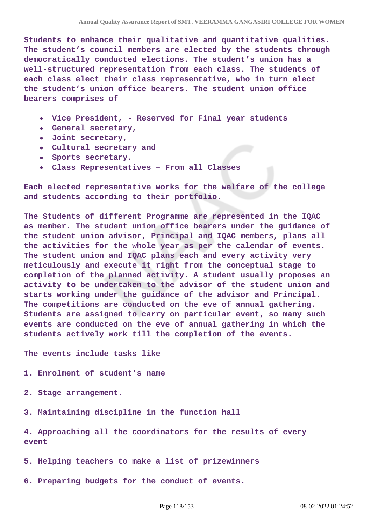**Students to enhance their qualitative and quantitative qualities. The student's council members are elected by the students through democratically conducted elections. The student's union has a well-structured representation from each class. The students of each class elect their class representative, who in turn elect the student's union office bearers. The student union office bearers comprises of**

- **Vice President, Reserved for Final year students**
- **General secretary,**
- **Joint secretary,**
- **Cultural secretary and**  $\bullet$
- **Sports secretary.**
- **Class Representatives From all Classes**

**Each elected representative works for the welfare of the college and students according to their portfolio.**

**The Students of different Programme are represented in the IQAC as member. The student union office bearers under the guidance of the student union advisor, Principal and IQAC members, plans all the activities for the whole year as per the calendar of events. The student union and IQAC plans each and every activity very meticulously and execute it right from the conceptual stage to completion of the planned activity. A student usually proposes an activity to be undertaken to the advisor of the student union and starts working under the guidance of the advisor and Principal. The competitions are conducted on the eve of annual gathering. Students are assigned to carry on particular event, so many such events are conducted on the eve of annual gathering in which the students actively work till the completion of the events.**

**The events include tasks like**

**1. Enrolment of student's name**

- **2. Stage arrangement.**
- **3. Maintaining discipline in the function hall**

**4. Approaching all the coordinators for the results of every event**

**5. Helping teachers to make a list of prizewinners**

**6. Preparing budgets for the conduct of events.**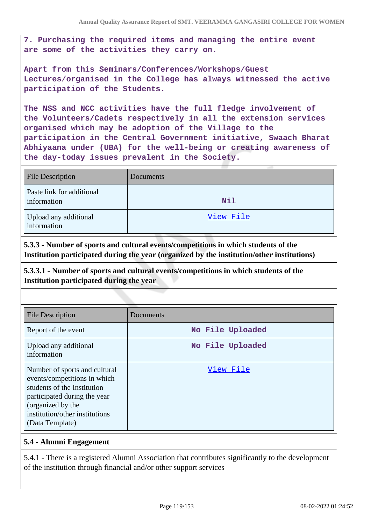**7. Purchasing the required items and managing the entire event are some of the activities they carry on.**

**Apart from this Seminars/Conferences/Workshops/Guest Lectures/organised in the College has always witnessed the active participation of the Students.**

**The NSS and NCC activities have the full fledge involvement of the Volunteers/Cadets respectively in all the extension services organised which may be adoption of the Village to the participation in the Central Government initiative, Swaach Bharat Abhiyaana under (UBA) for the well-being or creating awareness of the day-today issues prevalent in the Society.**

| <b>File Description</b>                  | Documents |
|------------------------------------------|-----------|
| Paste link for additional<br>information | Nil       |
| Upload any additional<br>information     | View File |

**5.3.3 - Number of sports and cultural events/competitions in which students of the Institution participated during the year (organized by the institution/other institutions)**

**5.3.3.1 - Number of sports and cultural events/competitions in which students of the Institution participated during the year**

| <b>File Description</b>                                                                                                                                                                                | Documents        |
|--------------------------------------------------------------------------------------------------------------------------------------------------------------------------------------------------------|------------------|
| Report of the event                                                                                                                                                                                    | No File Uploaded |
| Upload any additional<br>information                                                                                                                                                                   | No File Uploaded |
| Number of sports and cultural<br>events/competitions in which<br>students of the Institution<br>participated during the year<br>(organized by the<br>institution/other institutions<br>(Data Template) | View File        |

## **5.4 - Alumni Engagement**

5.4.1 - There is a registered Alumni Association that contributes significantly to the development of the institution through financial and/or other support services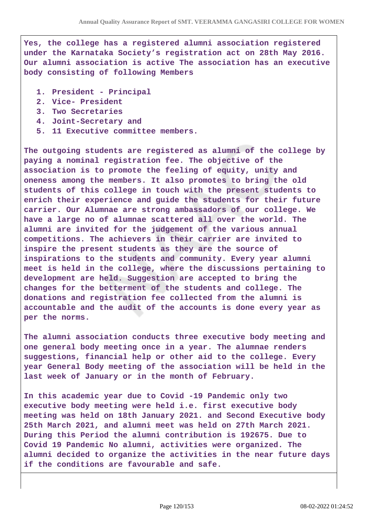**Yes, the college has a registered alumni association registered under the Karnataka Society's registration act on 28th May 2016. Our alumni association is active The association has an executive body consisting of following Members** 

- **1. President Principal**
- **2. Vice- President**
- **3. Two Secretaries**
- **4. Joint-Secretary and**
- **5. 11 Executive committee members.**

**The outgoing students are registered as alumni of the college by paying a nominal registration fee. The objective of the association is to promote the feeling of equity, unity and oneness among the members. It also promotes to bring the old students of this college in touch with the present students to enrich their experience and guide the students for their future carrier. Our Alumnae are strong ambassadors of our college. We have a large no of alumnae scattered all over the world. The alumni are invited for the judgement of the various annual competitions. The achievers in their carrier are invited to inspire the present students as they are the source of inspirations to the students and community. Every year alumni meet is held in the college, where the discussions pertaining to development are held. Suggestion are accepted to bring the changes for the betterment of the students and college. The donations and registration fee collected from the alumni is accountable and the audit of the accounts is done every year as per the norms.**

**The alumni association conducts three executive body meeting and one general body meeting once in a year. The alumnae renders suggestions, financial help or other aid to the college. Every year General Body meeting of the association will be held in the last week of January or in the month of February.** 

**In this academic year due to Covid -19 Pandemic only two executive body meeting were held i.e. first executive body meeting was held on 18th January 2021. and Second Executive body 25th March 2021, and alumni meet was held on 27th March 2021. During this Period the alumni contribution is 192675. Due to Covid 19 Pandemic No alumni, activities were organized. The alumni decided to organize the activities in the near future days if the conditions are favourable and safe.**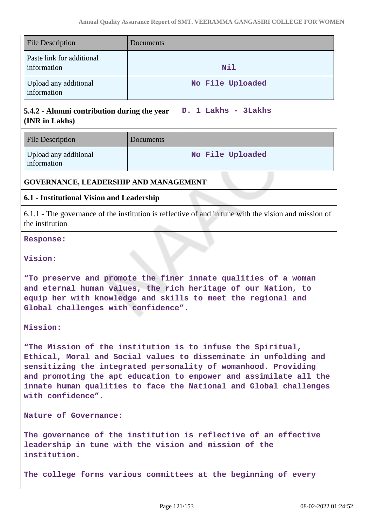| <b>File Description</b>                                                                                                                                                                                                                                                                                                                                          | Documents                                                                                                                |  |
|------------------------------------------------------------------------------------------------------------------------------------------------------------------------------------------------------------------------------------------------------------------------------------------------------------------------------------------------------------------|--------------------------------------------------------------------------------------------------------------------------|--|
| Paste link for additional<br>information                                                                                                                                                                                                                                                                                                                         | Nil                                                                                                                      |  |
| Upload any additional<br>information                                                                                                                                                                                                                                                                                                                             | No File Uploaded                                                                                                         |  |
| 5.4.2 - Alumni contribution during the year<br>(INR in Lakhs)                                                                                                                                                                                                                                                                                                    | D. 1 Lakhs - 3Lakhs                                                                                                      |  |
| <b>File Description</b>                                                                                                                                                                                                                                                                                                                                          | Documents                                                                                                                |  |
| Upload any additional<br>information                                                                                                                                                                                                                                                                                                                             | No File Uploaded                                                                                                         |  |
| GOVERNANCE, LEADERSHIP AND MANAGEMENT                                                                                                                                                                                                                                                                                                                            |                                                                                                                          |  |
| 6.1 - Institutional Vision and Leadership                                                                                                                                                                                                                                                                                                                        |                                                                                                                          |  |
| the institution                                                                                                                                                                                                                                                                                                                                                  | 6.1.1 - The governance of the institution is reflective of and in tune with the vision and mission of                    |  |
| <b>Response:</b>                                                                                                                                                                                                                                                                                                                                                 |                                                                                                                          |  |
| Vision:                                                                                                                                                                                                                                                                                                                                                          |                                                                                                                          |  |
| "To preserve and promote the finer innate qualities of a woman<br>and eternal human values, the rich heritage of our Nation, to<br>equip her with knowledge and skills to meet the regional and<br>Global challenges with confidence".                                                                                                                           |                                                                                                                          |  |
| Mission:                                                                                                                                                                                                                                                                                                                                                         |                                                                                                                          |  |
| "The Mission of the institution is to infuse the Spiritual,<br>Ethical, Moral and Social values to disseminate in unfolding and<br>sensitizing the integrated personality of womanhood. Providing<br>and promoting the apt education to empower and assimilate all the<br>innate human qualities to face the National and Global challenges<br>with confidence". |                                                                                                                          |  |
| Nature of Governance:                                                                                                                                                                                                                                                                                                                                            |                                                                                                                          |  |
| institution.                                                                                                                                                                                                                                                                                                                                                     | The governance of the institution is reflective of an effective<br>leadership in tune with the vision and mission of the |  |
|                                                                                                                                                                                                                                                                                                                                                                  | The college forms various committees at the beginning of every                                                           |  |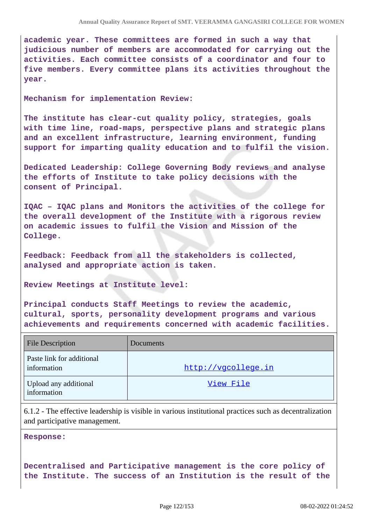**academic year. These committees are formed in such a way that judicious number of members are accommodated for carrying out the activities. Each committee consists of a coordinator and four to five members. Every committee plans its activities throughout the year.**

**Mechanism for implementation Review:**

**The institute has clear-cut quality policy, strategies, goals with time line, road-maps, perspective plans and strategic plans and an excellent infrastructure, learning environment, funding support for imparting quality education and to fulfil the vision.**

**Dedicated Leadership: College Governing Body reviews and analyse the efforts of Institute to take policy decisions with the consent of Principal.**

**IQAC – IQAC plans and Monitors the activities of the college for the overall development of the Institute with a rigorous review on academic issues to fulfil the Vision and Mission of the College.**

**Feedback: Feedback from all the stakeholders is collected, analysed and appropriate action is taken.**

**Review Meetings at Institute level:**

**Principal conducts Staff Meetings to review the academic, cultural, sports, personality development programs and various achievements and requirements concerned with academic facilities.**

| <b>File Description</b>                  | Documents           |
|------------------------------------------|---------------------|
| Paste link for additional<br>information | http://vgcollege.in |
| Upload any additional<br>information     | View File           |

6.1.2 - The effective leadership is visible in various institutional practices such as decentralization and participative management.

**Response:** 

**Decentralised and Participative management is the core policy of the Institute. The success of an Institution is the result of the**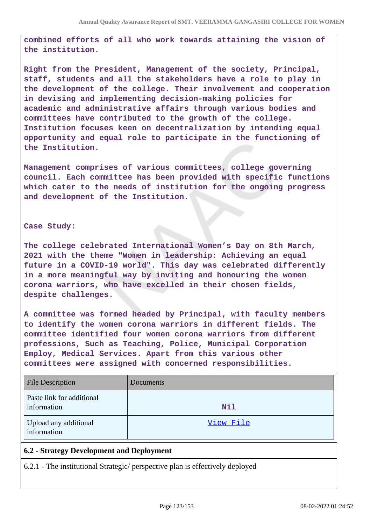**combined efforts of all who work towards attaining the vision of the institution.**

**Right from the President, Management of the society, Principal, staff, students and all the stakeholders have a role to play in the development of the college. Their involvement and cooperation in devising and implementing decision-making policies for academic and administrative affairs through various bodies and committees have contributed to the growth of the college. Institution focuses keen on decentralization by intending equal opportunity and equal role to participate in the functioning of the Institution.**

**Management comprises of various committees, college governing council. Each committee has been provided with specific functions which cater to the needs of institution for the ongoing progress and development of the Institution.**

#### **Case Study:**

**The college celebrated International Women's Day on 8th March, 2021 with the theme "Women in leadership: Achieving an equal future in a COVID-19 world". This day was celebrated differently in a more meaningful way by inviting and honouring the women corona warriors, who have excelled in their chosen fields, despite challenges.**

**A committee was formed headed by Principal, with faculty members to identify the women corona warriors in different fields. The committee identified four women corona warriors from different professions, Such as Teaching, Police, Municipal Corporation Employ, Medical Services. Apart from this various other committees were assigned with concerned responsibilities.**

| <b>File Description</b>                  | Documents  |
|------------------------------------------|------------|
| Paste link for additional<br>information | <b>Nil</b> |
| Upload any additional<br>information     | View File  |

## **6.2 - Strategy Development and Deployment**

6.2.1 - The institutional Strategic/ perspective plan is effectively deployed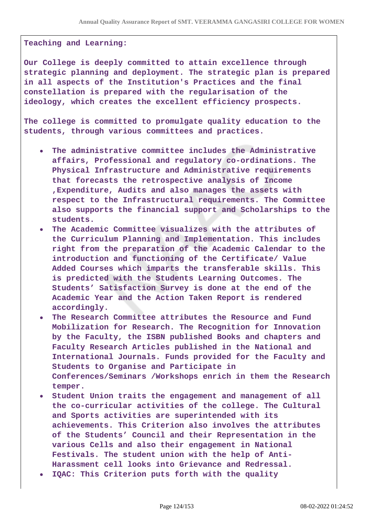#### **Teaching and Learning:**

**Our College is deeply committed to attain excellence through strategic planning and deployment. The strategic plan is prepared in all aspects of the Institution's Practices and the final constellation is prepared with the regularisation of the ideology, which creates the excellent efficiency prospects.**

**The college is committed to promulgate quality education to the students, through various committees and practices.**

- **The administrative committee includes the Administrative affairs, Professional and regulatory co-ordinations. The Physical Infrastructure and Administrative requirements that forecasts the retrospective analysis of Income ,Expenditure, Audits and also manages the assets with respect to the Infrastructural requirements. The Committee also supports the financial support and Scholarships to the students.**
- **The Academic Committee visualizes with the attributes of the Curriculum Planning and Implementation. This includes right from the preparation of the Academic Calendar to the introduction and functioning of the Certificate/ Value Added Courses which imparts the transferable skills. This is predicted with the Students Learning Outcomes. The Students' Satisfaction Survey is done at the end of the Academic Year and the Action Taken Report is rendered accordingly.**
- **The Research Committee attributes the Resource and Fund Mobilization for Research. The Recognition for Innovation by the Faculty, the ISBN published Books and chapters and Faculty Research Articles published in the National and International Journals. Funds provided for the Faculty and Students to Organise and Participate in Conferences/Seminars /Workshops enrich in them the Research temper.**
- **Student Union traits the engagement and management of all the co-curricular activities of the college. The Cultural and Sports activities are superintended with its achievements. This Criterion also involves the attributes of the Students' Council and their Representation in the various Cells and also their engagement in National Festivals. The student union with the help of Anti-Harassment cell looks into Grievance and Redressal.**
- **IQAC: This Criterion puts forth with the quality**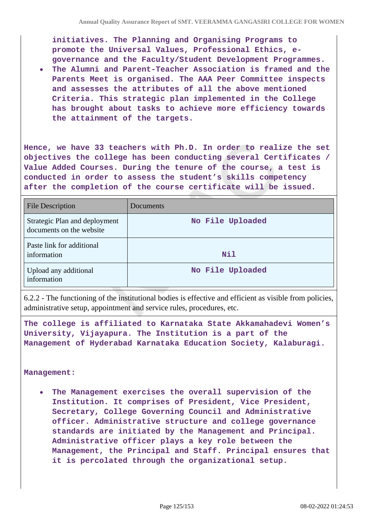**initiatives. The Planning and Organising Programs to promote the Universal Values, Professional Ethics, egovernance and the Faculty/Student Development Programmes.**

**The Alumni and Parent-Teacher Association is framed and the Parents Meet is organised. The AAA Peer Committee inspects and assesses the attributes of all the above mentioned Criteria. This strategic plan implemented in the College has brought about tasks to achieve more efficiency towards the attainment of the targets.**

**Hence, we have 33 teachers with Ph.D. In order to realize the set objectives the college has been conducting several Certificates / Value Added Courses. During the tenure of the course, a test is conducted in order to assess the student's skills competency after the completion of the course certificate will be issued.**

| File Description                                          | Documents        |
|-----------------------------------------------------------|------------------|
| Strategic Plan and deployment<br>documents on the website | No File Uploaded |
| Paste link for additional<br>information                  | Nil              |
| Upload any additional<br>information                      | No File Uploaded |

6.2.2 - The functioning of the institutional bodies is effective and efficient as visible from policies, administrative setup, appointment and service rules, procedures, etc.

**The college is affiliated to Karnataka State Akkamahadevi Women's University, Vijayapura. The Institution is a part of the Management of Hyderabad Karnataka Education Society, Kalaburagi.**

#### **Management:**

**The Management exercises the overall supervision of the Institution. It comprises of President, Vice President, Secretary, College Governing Council and Administrative officer. Administrative structure and college governance standards are initiated by the Management and Principal. Administrative officer plays a key role between the Management, the Principal and Staff. Principal ensures that it is percolated through the organizational setup.**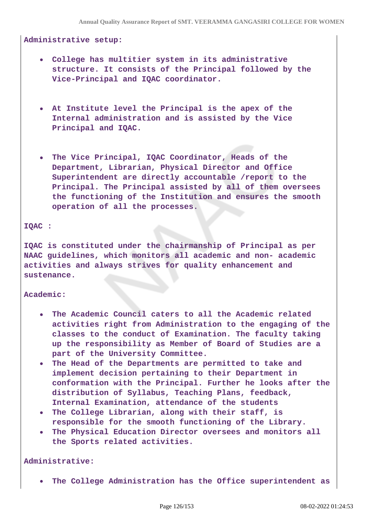#### **Administrative setup:**

- **College has multitier system in its administrative structure. It consists of the Principal followed by the Vice-Principal and IQAC coordinator.**
- **At Institute level the Principal is the apex of the Internal administration and is assisted by the Vice Principal and IQAC.**
- **The Vice Principal, IQAC Coordinator, Heads of the Department, Librarian, Physical Director and Office Superintendent are directly accountable /report to the Principal. The Principal assisted by all of them oversees the functioning of the Institution and ensures the smooth operation of all the processes.**

#### **IQAC :**

**IQAC is constituted under the chairmanship of Principal as per NAAC guidelines, which monitors all academic and non- academic activities and always strives for quality enhancement and sustenance.**

#### **Academic:**

- **The Academic Council caters to all the Academic related activities right from Administration to the engaging of the classes to the conduct of Examination. The faculty taking up the responsibility as Member of Board of Studies are a part of the University Committee.**
- **The Head of the Departments are permitted to take and implement decision pertaining to their Department in conformation with the Principal. Further he looks after the distribution of Syllabus, Teaching Plans, feedback, Internal Examination, attendance of the students**
- **The College Librarian, along with their staff, is responsible for the smooth functioning of the Library.**
- **The Physical Education Director oversees and monitors all the Sports related activities.**

#### **Administrative:**

**The College Administration has the Office superintendent as**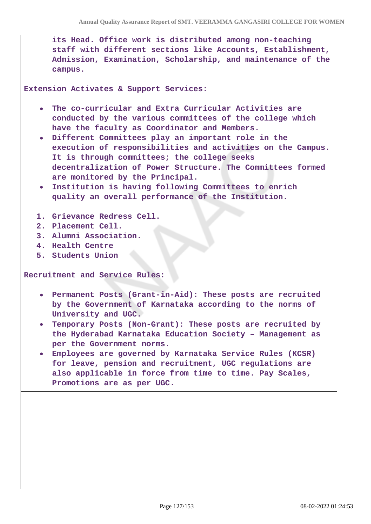**its Head. Office work is distributed among non-teaching staff with different sections like Accounts, Establishment, Admission, Examination, Scholarship, and maintenance of the campus.**

**Extension Activates & Support Services:** 

- **The co-curricular and Extra Curricular Activities are conducted by the various committees of the college which have the faculty as Coordinator and Members.**
- **Different Committees play an important role in the execution of responsibilities and activities on the Campus. It is through committees; the college seeks decentralization of Power Structure. The Committees formed are monitored by the Principal.**
- **Institution is having following Committees to enrich quality an overall performance of the Institution.**
- **1. Grievance Redress Cell.**
- **2. Placement Cell.**
- **3. Alumni Association.**
- **4. Health Centre**
- **5. Students Union**

**Recruitment and Service Rules:**

- **Permanent Posts (Grant-in-Aid): These posts are recruited by the Government of Karnataka according to the norms of University and UGC.**
- **Temporary Posts (Non-Grant): These posts are recruited by the Hyderabad Karnataka Education Society – Management as per the Government norms.**
- **Employees are governed by Karnataka Service Rules (KCSR) for leave, pension and recruitment, UGC regulations are also applicable in force from time to time. Pay Scales, Promotions are as per UGC.**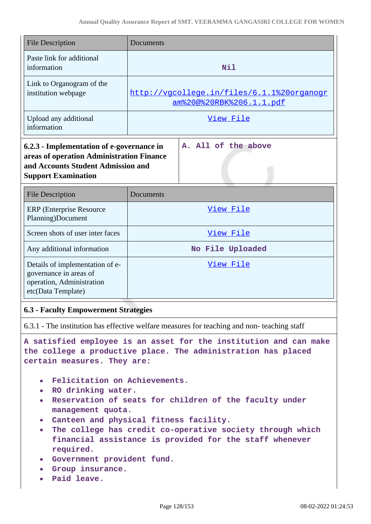| <b>File Description</b>                                                                                                                                                           | Documents                                                              |  |
|-----------------------------------------------------------------------------------------------------------------------------------------------------------------------------------|------------------------------------------------------------------------|--|
| Paste link for additional<br>information                                                                                                                                          | <b>Nil</b>                                                             |  |
| Link to Organogram of the<br>institution webpage                                                                                                                                  | http://vgcollege.in/files/6.1.1%20organogr<br>am%20@%20RBK%206.1.1.pdf |  |
| Upload any additional<br>information                                                                                                                                              | View File                                                              |  |
| A. All of the above<br>6.2.3 - Implementation of e-governance in<br>areas of operation Administration Finance<br>and Accounts Student Admission and<br><b>Support Examination</b> |                                                                        |  |
| <b>File Description</b>                                                                                                                                                           | Documents                                                              |  |
| <b>ERP</b> (Enterprise Resource<br>Planning)Document                                                                                                                              | View File                                                              |  |
| Screen shots of user inter faces                                                                                                                                                  | View File                                                              |  |
| Any additional information                                                                                                                                                        | No File Uploaded                                                       |  |
| Details of implementation of e-<br>governance in areas of<br>operation, Administration<br>etc(Data Template)                                                                      | View File                                                              |  |

## **6.3 - Faculty Empowerment Strategies**

6.3.1 - The institution has effective welfare measures for teaching and non- teaching staff

**A satisfied employee is an asset for the institution and can make the college a productive place. The administration has placed certain measures. They are:**

- **Felicitation on Achievements.**
- **RO drinking water.**
- **Reservation of seats for children of the faculty under management quota.**
- **Canteen and physical fitness facility.**
- **The college has credit co-operative society through which financial assistance is provided for the staff whenever required.**
- **Government provident fund.**
- **Group insurance.**
- **Paid leave.**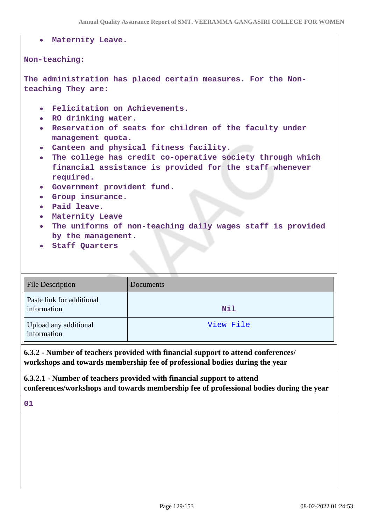|                                                                 | Annual Quality Assurance Report of SMT. VEERAMINA GANGASIRI COLLEGE FOR WOM                                                                                                                                                                                                                                                                                                                                                                                                                                                    |
|-----------------------------------------------------------------|--------------------------------------------------------------------------------------------------------------------------------------------------------------------------------------------------------------------------------------------------------------------------------------------------------------------------------------------------------------------------------------------------------------------------------------------------------------------------------------------------------------------------------|
|                                                                 | • Maternity Leave.                                                                                                                                                                                                                                                                                                                                                                                                                                                                                                             |
| Non-teaching:                                                   |                                                                                                                                                                                                                                                                                                                                                                                                                                                                                                                                |
|                                                                 | The administration has placed certain measures. For the Non-<br>teaching They are:                                                                                                                                                                                                                                                                                                                                                                                                                                             |
| $\bullet$<br>$\bullet$ .<br>$\bullet$<br>$\bullet$<br>$\bullet$ | • Felicitation on Achievements.<br>• RO drinking water.<br>Reservation of seats for children of the faculty under<br>management quota.<br>. Canteen and physical fitness facility.<br>The college has credit co-operative society through which<br>financial assistance is provided for the staff whenever<br>required.<br>• Government provident fund.<br>• Group insurance.<br>Paid leave.<br>• Maternity Leave<br>The uniforms of non-teaching daily wages staff is provided<br>by the management.<br><b>Staff Quarters</b> |

| <b>File Description</b>                  | Documents |
|------------------------------------------|-----------|
| Paste link for additional<br>information | Nil       |
| Upload any additional<br>information     | View File |

**6.3.2 - Number of teachers provided with financial support to attend conferences/ workshops and towards membership fee of professional bodies during the year**

**6.3.2.1 - Number of teachers provided with financial support to attend conferences/workshops and towards membership fee of professional bodies during the year**

**01**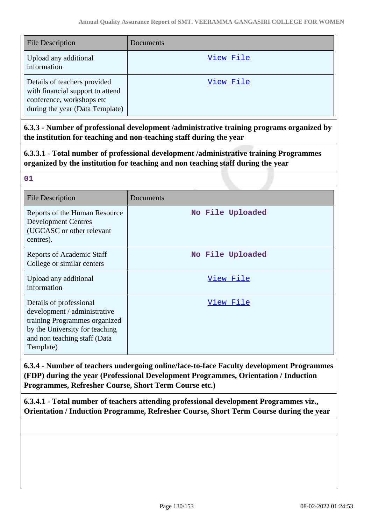| File Description                                                                                                                 | Documents |
|----------------------------------------------------------------------------------------------------------------------------------|-----------|
| Upload any additional<br>information                                                                                             | View File |
| Details of teachers provided<br>with financial support to attend<br>conference, workshops etc<br>during the year (Data Template) | View File |

**6.3.3 - Number of professional development /administrative training programs organized by the institution for teaching and non-teaching staff during the year**

**6.3.3.1 - Total number of professional development /administrative training Programmes organized by the institution for teaching and non teaching staff during the year**

| w                             | . . |
|-------------------------------|-----|
|                               |     |
| I<br>$\overline{\phantom{a}}$ |     |
|                               |     |

| <b>File Description</b>                                                                                                                                                 | Documents        |
|-------------------------------------------------------------------------------------------------------------------------------------------------------------------------|------------------|
| Reports of the Human Resource<br><b>Development Centres</b><br>(UGCASC or other relevant<br>centres).                                                                   | No File Uploaded |
| <b>Reports of Academic Staff</b><br>College or similar centers                                                                                                          | No File Uploaded |
| Upload any additional<br>information                                                                                                                                    | <u>View File</u> |
| Details of professional<br>development / administrative<br>training Programmes organized<br>by the University for teaching<br>and non teaching staff (Data<br>Template) | <u>View File</u> |

**6.3.4 - Number of teachers undergoing online/face-to-face Faculty development Programmes (FDP) during the year (Professional Development Programmes, Orientation / Induction Programmes, Refresher Course, Short Term Course etc.)**

**6.3.4.1 - Total number of teachers attending professional development Programmes viz., Orientation / Induction Programme, Refresher Course, Short Term Course during the year**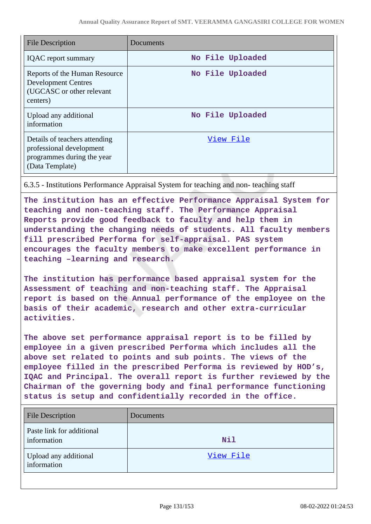| <b>File Description</b>                                                                                    | Documents        |
|------------------------------------------------------------------------------------------------------------|------------------|
| <b>IQAC</b> report summary                                                                                 | No File Uploaded |
| Reports of the Human Resource<br><b>Development Centres</b><br>(UGCASC or other relevant<br>centers)       | No File Uploaded |
| Upload any additional<br>information                                                                       | No File Uploaded |
| Details of teachers attending<br>professional development<br>programmes during the year<br>(Data Template) | View File        |

6.3.5 - Institutions Performance Appraisal System for teaching and non- teaching staff

**The institution has an effective Performance Appraisal System for teaching and non-teaching staff. The Performance Appraisal Reports provide good feedback to faculty and help them in understanding the changing needs of students. All faculty members fill prescribed Performa for self-appraisal. PAS system encourages the faculty members to make excellent performance in teaching –learning and research.**

**The institution has performance based appraisal system for the Assessment of teaching and non-teaching staff. The Appraisal report is based on the Annual performance of the employee on the basis of their academic, research and other extra-curricular activities.** 

**The above set performance appraisal report is to be filled by employee in a given prescribed Performa which includes all the above set related to points and sub points. The views of the employee filled in the prescribed Performa is reviewed by HOD's, IQAC and Principal. The overall report is further reviewed by the Chairman of the governing body and final performance functioning status is setup and confidentially recorded in the office.**

| <b>File Description</b>                  | Documents |
|------------------------------------------|-----------|
| Paste link for additional<br>information | Nil       |
| Upload any additional<br>information     | View File |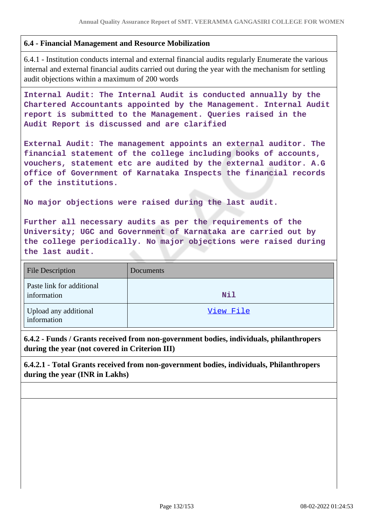## **6.4 - Financial Management and Resource Mobilization**

6.4.1 - Institution conducts internal and external financial audits regularly Enumerate the various internal and external financial audits carried out during the year with the mechanism for settling audit objections within a maximum of 200 words

**Internal Audit: The Internal Audit is conducted annually by the Chartered Accountants appointed by the Management. Internal Audit report is submitted to the Management. Queries raised in the Audit Report is discussed and are clarified**

**External Audit: The management appoints an external auditor. The financial statement of the college including books of accounts, vouchers, statement etc are audited by the external auditor. A.G office of Government of Karnataka Inspects the financial records of the institutions.**

**No major objections were raised during the last audit.**

**Further all necessary audits as per the requirements of the University; UGC and Government of Karnataka are carried out by the college periodically. No major objections were raised during the last audit.**

| <b>File Description</b>                  | Documents  |
|------------------------------------------|------------|
| Paste link for additional<br>information | <b>Nil</b> |
| Upload any additional<br>information     | View File  |

**6.4.2 - Funds / Grants received from non-government bodies, individuals, philanthropers during the year (not covered in Criterion III)**

**6.4.2.1 - Total Grants received from non-government bodies, individuals, Philanthropers during the year (INR in Lakhs)**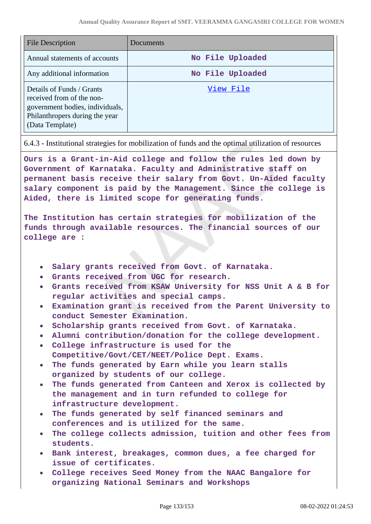| <b>File Description</b>                                                                                                                        | Documents        |
|------------------------------------------------------------------------------------------------------------------------------------------------|------------------|
| Annual statements of accounts                                                                                                                  | No File Uploaded |
| Any additional information                                                                                                                     | No File Uploaded |
| Details of Funds / Grants<br>received from of the non-<br>government bodies, individuals,<br>Philanthropers during the year<br>(Data Template) | View File        |

6.4.3 - Institutional strategies for mobilization of funds and the optimal utilization of resources

**Ours is a Grant-in-Aid college and follow the rules led down by Government of Karnataka. Faculty and Administrative staff on permanent basis receive their salary from Govt. Un-Aided faculty salary component is paid by the Management. Since the college is Aided, there is limited scope for generating funds.**

**The Institution has certain strategies for mobilization of the funds through available resources. The financial sources of our college are :**

- **Salary grants received from Govt. of Karnataka.**
- **Grants received from UGC for research.**
- **Grants received from KSAW University for NSS Unit A & B for regular activities and special camps.**
- **Examination grant is received from the Parent University to conduct Semester Examination.**
- **Scholarship grants received from Govt. of Karnataka.**
- **Alumni contribution/donation for the college development.**
- **College infrastructure is used for the Competitive/Govt/CET/NEET/Police Dept. Exams.**
- **The funds generated by Earn while you learn stalls organized by students of our college.**
- **The funds generated from Canteen and Xerox is collected by the management and in turn refunded to college for infrastructure development.**
- **The funds generated by self financed seminars and conferences and is utilized for the same.**
- **The college collects admission, tuition and other fees from students.**
- **Bank interest, breakages, common dues, a fee charged for issue of certificates.**
- **College receives Seed Money from the NAAC Bangalore for organizing National Seminars and Workshops**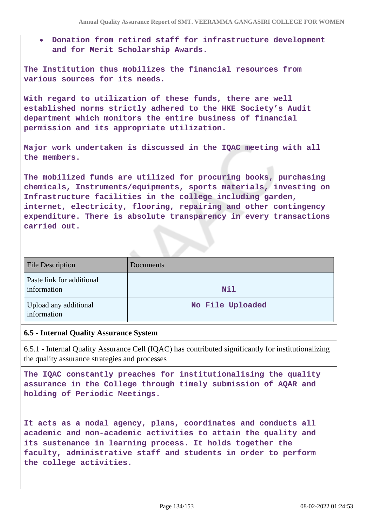**Donation from retired staff for infrastructure development and for Merit Scholarship Awards.**

**The Institution thus mobilizes the financial resources from various sources for its needs.**

**With regard to utilization of these funds, there are well established norms strictly adhered to the HKE Society's Audit department which monitors the entire business of financial permission and its appropriate utilization.**

**Major work undertaken is discussed in the IQAC meeting with all the members.**

**The mobilized funds are utilized for procuring books, purchasing chemicals, Instruments/equipments, sports materials, investing on Infrastructure facilities in the college including garden, internet, electricity, flooring, repairing and other contingency expenditure. There is absolute transparency in every transactions carried out.**

| <b>File Description</b>                  | Documents        |
|------------------------------------------|------------------|
| Paste link for additional<br>information | Nil              |
| Upload any additional<br>information     | No File Uploaded |

#### **6.5 - Internal Quality Assurance System**

6.5.1 - Internal Quality Assurance Cell (IQAC) has contributed significantly for institutionalizing the quality assurance strategies and processes

**The IQAC constantly preaches for institutionalising the quality assurance in the College through timely submission of AQAR and holding of Periodic Meetings.**

**It acts as a nodal agency, plans, coordinates and conducts all academic and non-academic activities to attain the quality and its sustenance in learning process. It holds together the faculty, administrative staff and students in order to perform the college activities.**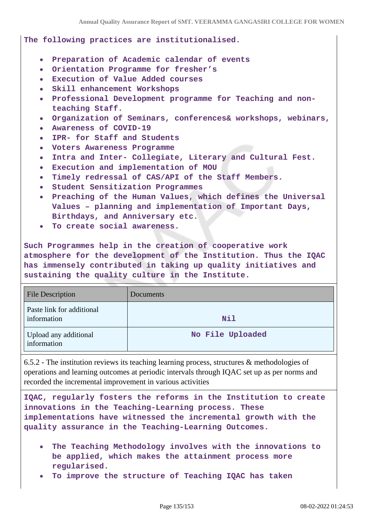**The following practices are institutionalised.**

- **Preparation of Academic calendar of events**
- **Orientation Programme for fresher's**
- **Execution of Value Added courses**
- **Skill enhancement Workshops**
- **Professional Development programme for Teaching and nonteaching Staff.**
- **Organization of Seminars, conferences& workshops, webinars,**
- **Awareness of COVID-19**
- **IPR- for Staff and Students**
- **Voters Awareness Programme**
- **Intra and Inter- Collegiate, Literary and Cultural Fest.**  $\bullet$
- **Execution and implementation of MOU**
- **Timely redressal of CAS/API of the Staff Members.**
- **Student Sensitization Programmes**
- **Preaching of the Human Values, which defines the Universal Values – planning and implementation of Important Days, Birthdays, and Anniversary etc.**
- **To create social awareness.**

**Such Programmes help in the creation of cooperative work atmosphere for the development of the Institution. Thus the IQAC has immensely contributed in taking up quality initiatives and sustaining the quality culture in the Institute.**

| <b>File Description</b>                  | Documents        |
|------------------------------------------|------------------|
| Paste link for additional<br>information | Nil              |
| Upload any additional<br>information     | No File Uploaded |

6.5.2 - The institution reviews its teaching learning process, structures & methodologies of operations and learning outcomes at periodic intervals through IQAC set up as per norms and recorded the incremental improvement in various activities

**IQAC, regularly fosters the reforms in the Institution to create innovations in the Teaching-Learning process. These implementations have witnessed the incremental growth with the quality assurance in the Teaching-Learning Outcomes.**

- **The Teaching Methodology involves with the innovations to be applied, which makes the attainment process more regularised.**
- **To improve the structure of Teaching IQAC has taken**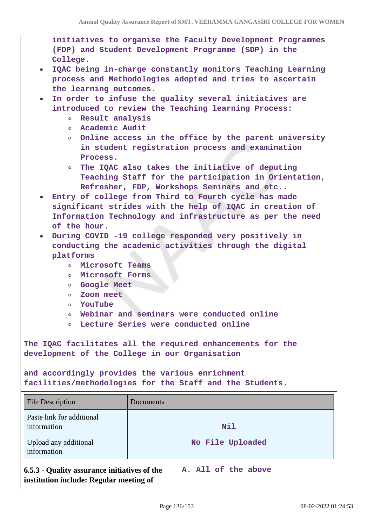**initiatives to organise the Faculty Development Programmes (FDP) and Student Development Programme (SDP) in the College.**

- **IQAC being in-charge constantly monitors Teaching Learning process and Methodologies adopted and tries to ascertain the learning outcomes.**
- **In order to infuse the quality several initiatives are introduced to review the Teaching learning Process:**
	- **Result analysis**
	- **Academic Audit**
	- **Online access in the office by the parent university in student registration process and examination Process.**
	- **The IQAC also takes the initiative of deputing Teaching Staff for the participation in Orientation, Refresher, FDP, Workshops Seminars and etc..**
- **Entry of college from Third to Fourth cycle has made significant strides with the help of IQAC in creation of Information Technology and infrastructure as per the need of the hour.**
- **During COVID -19 college responded very positively in conducting the academic activities through the digital platforms**
	- **Microsoft Teams**  $\circ$
	- **Microsoft Forms**  $\circ$
	- **Google Meet**
	- $\circ$ **Zoom meet**
	- **YouTube**  $\circ$
	- **Webinar and seminars were conducted online**  $\circ$
	- **Lecture Series were conducted online**  $\circ$

**The IQAC facilitates all the required enhancements for the development of the College in our Organisation**

**and accordingly provides the various enrichment facilities/methodologies for the Staff and the Students.**

| <b>File Description</b>                      | Documents           |
|----------------------------------------------|---------------------|
| Paste link for additional<br>information     | Nil                 |
| Upload any additional<br>information         | No File Uploaded    |
| 6.5.3 - Quality assurance initiatives of the | A. All of the above |

**institution include: Regular meeting of**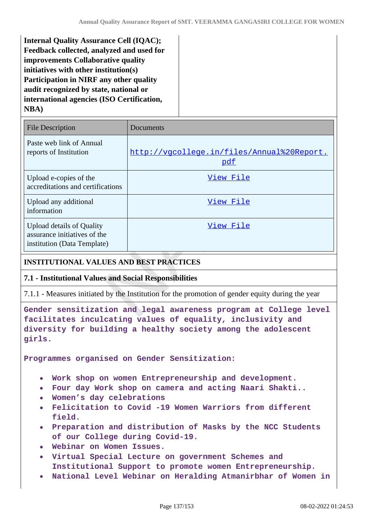**Internal Quality Assurance Cell (IQAC); Feedback collected, analyzed and used for improvements Collaborative quality initiatives with other institution(s) Participation in NIRF any other quality audit recognized by state, national or international agencies (ISO Certification, NBA)**

| <b>File Description</b>                                                                         | Documents                                         |
|-------------------------------------------------------------------------------------------------|---------------------------------------------------|
| Paste web link of Annual<br>reports of Institution                                              | http://vgcollege.in/files/Annual%20Report.<br>pdf |
| Upload e-copies of the<br>accreditations and certifications                                     | View File                                         |
| Upload any additional<br>information                                                            | View File                                         |
| <b>Upload details of Quality</b><br>assurance initiatives of the<br>institution (Data Template) | View File                                         |

## **INSTITUTIONAL VALUES AND BEST PRACTICES**

#### **7.1 - Institutional Values and Social Responsibilities**

7.1.1 - Measures initiated by the Institution for the promotion of gender equity during the year

**Gender sensitization and legal awareness program at College level facilitates inculcating values of equality, inclusivity and diversity for building a healthy society among the adolescent girls.**

**Programmes organised on Gender Sensitization:**

- **Work shop on women Entrepreneurship and development.**
- **Four day Work shop on camera and acting Naari Shakti..**
- **Women's day celebrations**
- **Felicitation to Covid -19 Women Warriors from different field.**
- **Preparation and distribution of Masks by the NCC Students of our College during Covid-19.**
- **Webinar on Women Issues.**
- **Virtual Special Lecture on government Schemes and Institutional Support to promote women Entrepreneurship.**
- **National Level Webinar on Heralding Atmanirbhar of Women in**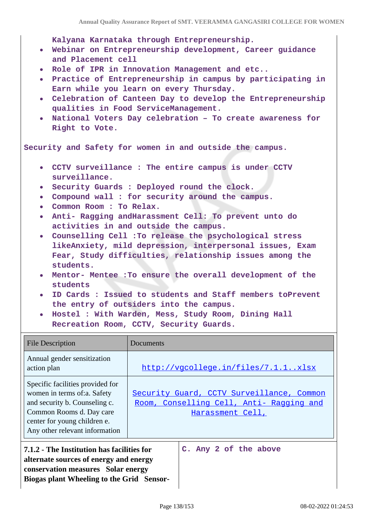**Kalyana Karnataka through Entrepreneurship.**

- **Webinar on Entrepreneurship development, Career guidance and Placement cell**
- **Role of IPR in Innovation Management and etc..**
- **Practice of Entrepreneurship in campus by participating in Earn while you learn on every Thursday.**
- **Celebration of Canteen Day to develop the Entrepreneurship qualities in Food ServiceManagement.**
- **National Voters Day celebration To create awareness for Right to Vote.**

**Security and Safety for women in and outside the campus.**

- **CCTV surveillance : The entire campus is under CCTV surveillance.**
- **Security Guards : Deployed round the clock.**
- **Compound wall : for security around the campus.**
- **Common Room : To Relax.**

**Biogas plant Wheeling to the Grid Sensor-**

- **Anti- Ragging andHarassment Cell: To prevent unto do activities in and outside the campus.**
- **Counselling Cell :To release the psychological stress likeAnxiety, mild depression, interpersonal issues, Exam Fear, Study difficulties, relationship issues among the students.**
- **Mentor- Mentee :To ensure the overall development of the students**
- **ID Cards : Issued to students and Staff members toPrevent the entry of outsiders into the campus.**
- **Hostel : With Warden, Mess, Study Room, Dining Hall Recreation Room, CCTV, Security Guards.**

| <b>File Description</b>                                                                                                                                                                        | Documents                                                                                                 |
|------------------------------------------------------------------------------------------------------------------------------------------------------------------------------------------------|-----------------------------------------------------------------------------------------------------------|
| Annual gender sensitization<br>action plan                                                                                                                                                     | http://vqcollege.in/files/7.1.1xlsx                                                                       |
| Specific facilities provided for<br>women in terms of:a. Safety<br>and security b. Counseling c.<br>Common Rooms d. Day care<br>center for young children e.<br>Any other relevant information | Security Guard, CCTV Surveillance, Common<br>Room, Conselling Cell, Anti- Ragging and<br>Harassment Cell, |
| 7.1.2 - The Institution has facilities for<br>C. Any 2 of the above<br>alternate sources of energy and energy<br>conservation measures Solar energy                                            |                                                                                                           |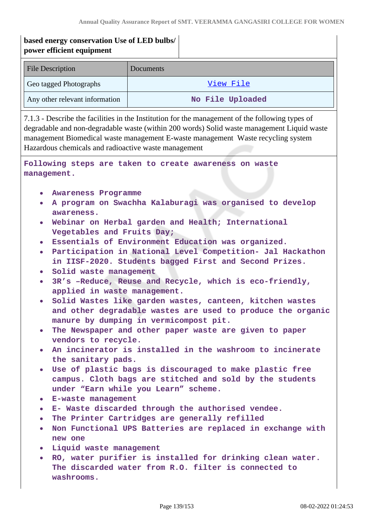# **based energy conservation Use of LED bulbs/ power efficient equipment**  File Description Documents Geo tagged Photographs The Contract of the [View File](https://assessmentonline.naac.gov.in/storage/app/public/aqar/12588/12588_177_432.pdf?1644306888) Any other relevant information **No File Uploaded** 7.1.3 - Describe the facilities in the Institution for the management of the following types of degradable and non-degradable waste (within 200 words) Solid waste management Liquid waste management Biomedical waste management E-waste management Waste recycling system Hazardous chemicals and radioactive waste management **Following steps are taken to create awareness on waste management. Awareness Programme A program on Swachha Kalaburagi was organised to develop awareness. Webinar on Herbal garden and Health; International Vegetables and Fruits Day; Essentials of Environment Education was organized. Participation in National Level Competition- Jal Hackathon in IISF-2020. Students bagged First and Second Prizes. Solid waste management 3R's –Reduce, Reuse and Recycle, which is eco-friendly, applied in waste management. Solid Wastes like garden wastes, canteen, kitchen wastes and other degradable wastes are used to produce the organic manure by dumping in vermicompost pit. The Newspaper and other paper waste are given to paper vendors to recycle. An incinerator is installed in the washroom to incinerate the sanitary pads. Use of plastic bags is discouraged to make plastic free campus. Cloth bags are stitched and sold by the students under "Earn while you Learn" scheme. E-waste management E- Waste discarded through the authorised vendee. The Printer Cartridges are generally refilled Non Functional UPS Batteries are replaced in exchange with new one Liquid waste management RO, water purifier is installed for drinking clean water. The discarded water from R.O. filter is connected to washrooms.**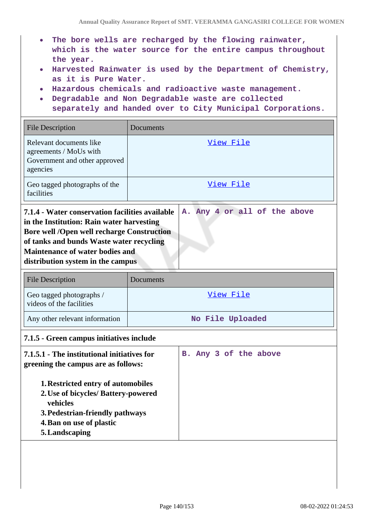- **The bore wells are recharged by the flowing rainwater, which is the water source for the entire campus throughout the year.**
- **Harvested Rainwater is used by the Department of Chemistry, as it is Pure Water.**
- **Hazardous chemicals and radioactive waste management.**
- **Degradable and Non Degradable waste are collected**
- **separately and handed over to City Municipal Corporations.**

| View File                                                                                                                                                                                                                                                                                                    |  |  |
|--------------------------------------------------------------------------------------------------------------------------------------------------------------------------------------------------------------------------------------------------------------------------------------------------------------|--|--|
| View File                                                                                                                                                                                                                                                                                                    |  |  |
| 7.1.4 - Water conservation facilities available<br>A. Any 4 or all of the above<br>in the Institution: Rain water harvesting<br><b>Bore well /Open well recharge Construction</b><br>of tanks and bunds Waste water recycling<br><b>Maintenance of water bodies and</b><br>distribution system in the campus |  |  |
| Documents                                                                                                                                                                                                                                                                                                    |  |  |
| View File                                                                                                                                                                                                                                                                                                    |  |  |
| No File Uploaded                                                                                                                                                                                                                                                                                             |  |  |
| 7.1.5 - Green campus initiatives include                                                                                                                                                                                                                                                                     |  |  |
| 7.1.5.1 - The institutional initiatives for<br>B. Any 3 of the above<br>greening the campus are as follows:<br><b>1. Restricted entry of automobiles</b><br>2. Use of bicycles/ Battery-powered<br>3. Pedestrian-friendly pathways                                                                           |  |  |
|                                                                                                                                                                                                                                                                                                              |  |  |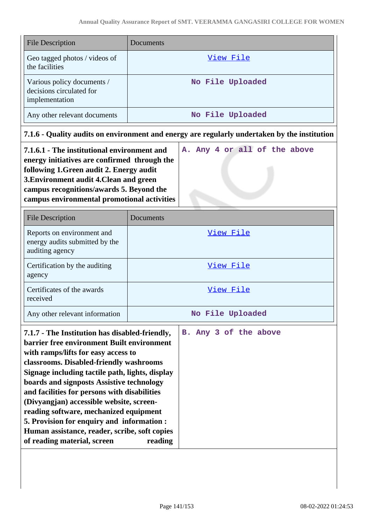| <b>File Description</b>                                                                                                                                                                                                                                                                                                                                                                                                                                                                                                                            | Documents                        |  |
|----------------------------------------------------------------------------------------------------------------------------------------------------------------------------------------------------------------------------------------------------------------------------------------------------------------------------------------------------------------------------------------------------------------------------------------------------------------------------------------------------------------------------------------------------|----------------------------------|--|
| Geo tagged photos / videos of<br>the facilities                                                                                                                                                                                                                                                                                                                                                                                                                                                                                                    | View File                        |  |
| Various policy documents /<br>decisions circulated for<br>implementation                                                                                                                                                                                                                                                                                                                                                                                                                                                                           | No File Uploaded                 |  |
| Any other relevant documents                                                                                                                                                                                                                                                                                                                                                                                                                                                                                                                       | No File Uploaded                 |  |
| 7.1.6 - Quality audits on environment and energy are regularly undertaken by the institution                                                                                                                                                                                                                                                                                                                                                                                                                                                       |                                  |  |
| A. Any 4 or all of the above<br>7.1.6.1 - The institutional environment and<br>energy initiatives are confirmed through the<br>following 1. Green audit 2. Energy audit<br>3. Environment audit 4. Clean and green<br>campus recognitions/awards 5. Beyond the<br>campus environmental promotional activities                                                                                                                                                                                                                                      |                                  |  |
| <b>File Description</b>                                                                                                                                                                                                                                                                                                                                                                                                                                                                                                                            | Documents                        |  |
| Reports on environment and<br>energy audits submitted by the<br>auditing agency                                                                                                                                                                                                                                                                                                                                                                                                                                                                    | <u>View File</u>                 |  |
| Certification by the auditing<br>agency                                                                                                                                                                                                                                                                                                                                                                                                                                                                                                            | View File                        |  |
| Certificates of the awards<br>received                                                                                                                                                                                                                                                                                                                                                                                                                                                                                                             | <u>View File</u>                 |  |
| Any other relevant information                                                                                                                                                                                                                                                                                                                                                                                                                                                                                                                     | No File Uploaded                 |  |
| 7.1.7 - The Institution has disabled-friendly,<br>barrier free environment Built environment<br>with ramps/lifts for easy access to<br>classrooms. Disabled-friendly washrooms<br>Signage including tactile path, lights, display<br>boards and signposts Assistive technology<br>and facilities for persons with disabilities<br>(Divyangjan) accessible website, screen-<br>reading software, mechanized equipment<br>5. Provision for enquiry and information :<br>Human assistance, reader, scribe, soft copies<br>of reading material, screen | B. Any 3 of the above<br>reading |  |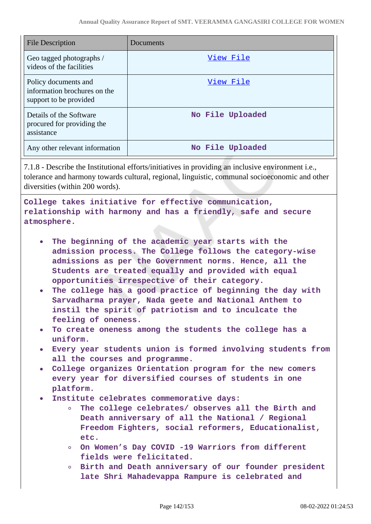| <b>File Description</b>                                                        | Documents        |
|--------------------------------------------------------------------------------|------------------|
| Geo tagged photographs /<br>videos of the facilities                           | View File        |
| Policy documents and<br>information brochures on the<br>support to be provided | View File        |
| Details of the Software<br>procured for providing the<br>assistance            | No File Uploaded |
| Any other relevant information                                                 | No File Uploaded |

7.1.8 - Describe the Institutional efforts/initiatives in providing an inclusive environment i.e., tolerance and harmony towards cultural, regional, linguistic, communal socioeconomic and other diversities (within 200 words).

**College takes initiative for effective communication, relationship with harmony and has a friendly, safe and secure atmosphere.**

- **The beginning of the academic year starts with the admission process. The College follows the category-wise admissions as per the Government norms. Hence, all the Students are treated equally and provided with equal opportunities irrespective of their category.**
- **The college has a good practice of beginning the day with Sarvadharma prayer, Nada geete and National Anthem to instil the spirit of patriotism and to inculcate the feeling of oneness.**
- **To create oneness among the students the college has a uniform.**
- **Every year students union is formed involving students from all the courses and programme.**
- **College organizes Orientation program for the new comers every year for diversified courses of students in one platform.**
- **Institute celebrates commemorative days:**
	- $\circ$ **The college celebrates/ observes all the Birth and Death anniversary of all the National / Regional Freedom Fighters, social reformers, Educationalist, etc.**
	- **On Women's Day COVID -19 Warriors from different fields were felicitated.**
	- **Birth and Death anniversary of our founder president late Shri Mahadevappa Rampure is celebrated and**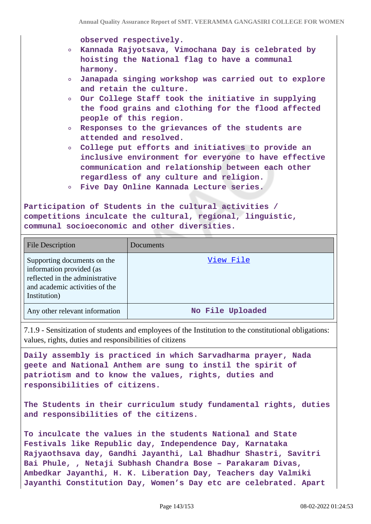**observed respectively.**

- **Kannada Rajyotsava, Vimochana Day is celebrated by hoisting the National flag to have a communal harmony.**
- **Janapada singing workshop was carried out to explore and retain the culture.**
- **Our College Staff took the initiative in supplying the food grains and clothing for the flood affected people of this region.**
- **Responses to the grievances of the students are attended and resolved.**
- **College put efforts and initiatives to provide an inclusive environment for everyone to have effective communication and relationship between each other regardless of any culture and religion.**
- **Five Day Online Kannada Lecture series.**

**Participation of Students in the cultural activities / competitions inculcate the cultural, regional, linguistic, communal socioeconomic and other diversities.**

| <b>File Description</b>                                                                                                                      | Documents        |
|----------------------------------------------------------------------------------------------------------------------------------------------|------------------|
| Supporting documents on the<br>information provided (as<br>reflected in the administrative<br>and academic activities of the<br>Institution) | View File        |
| Any other relevant information                                                                                                               | No File Uploaded |

7.1.9 - Sensitization of students and employees of the Institution to the constitutional obligations: values, rights, duties and responsibilities of citizens

**Daily assembly is practiced in which Sarvadharma prayer, Nada geete and National Anthem are sung to instil the spirit of patriotism and to know the values, rights, duties and responsibilities of citizens.**

**The Students in their curriculum study fundamental rights, duties and responsibilities of the citizens.**

**To inculcate the values in the students National and State Festivals like Republic day, Independence Day, Karnataka Rajyaothsava day, Gandhi Jayanthi, Lal Bhadhur Shastri, Savitri Bai Phule, , Netaji Subhash Chandra Bose – Parakaram Divas, Ambedkar Jayanthi, H. K. Liberation Day, Teachers day Valmiki Jayanthi Constitution Day, Women's Day etc are celebrated. Apart**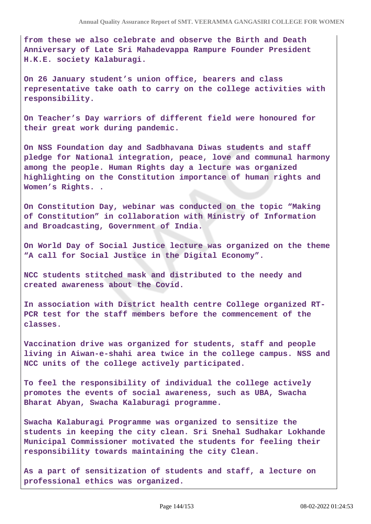**from these we also celebrate and observe the Birth and Death Anniversary of Late Sri Mahadevappa Rampure Founder President H.K.E. society Kalaburagi.**

**On 26 January student's union office, bearers and class representative take oath to carry on the college activities with responsibility.**

**On Teacher's Day warriors of different field were honoured for their great work during pandemic.**

**On NSS Foundation day and Sadbhavana Diwas students and staff pledge for National integration, peace, love and communal harmony among the people. Human Rights day a lecture was organized highlighting on the Constitution importance of human rights and Women's Rights. .**

**On Constitution Day, webinar was conducted on the topic "Making of Constitution" in collaboration with Ministry of Information and Broadcasting, Government of India.**

**On World Day of Social Justice lecture was organized on the theme "A call for Social Justice in the Digital Economy".**

**NCC students stitched mask and distributed to the needy and created awareness about the Covid.**

**In association with District health centre College organized RT-PCR test for the staff members before the commencement of the classes.**

**Vaccination drive was organized for students, staff and people living in Aiwan-e-shahi area twice in the college campus. NSS and NCC units of the college actively participated.**

**To feel the responsibility of individual the college actively promotes the events of social awareness, such as UBA, Swacha Bharat Abyan, Swacha Kalaburagi programme.**

**Swacha Kalaburagi Programme was organized to sensitize the students in keeping the city clean. Sri Snehal Sudhakar Lokhande Municipal Commissioner motivated the students for feeling their responsibility towards maintaining the city Clean.**

**As a part of sensitization of students and staff, a lecture on professional ethics was organized.**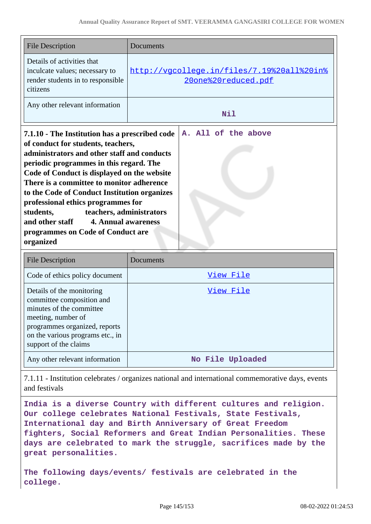| <b>File Description</b>                                                                                                                                                                                                                                                                                                                                                                                                                                                                                      | Documents                                                         |
|--------------------------------------------------------------------------------------------------------------------------------------------------------------------------------------------------------------------------------------------------------------------------------------------------------------------------------------------------------------------------------------------------------------------------------------------------------------------------------------------------------------|-------------------------------------------------------------------|
| Details of activities that<br>inculcate values; necessary to<br>render students in to responsible<br>citizens                                                                                                                                                                                                                                                                                                                                                                                                | http://vqcolleqe.in/files/7.19%20all%20in%<br>20one%20reduced.pdf |
| Any other relevant information                                                                                                                                                                                                                                                                                                                                                                                                                                                                               | Nil                                                               |
| 7.1.10 - The Institution has a prescribed code<br>of conduct for students, teachers,<br>administrators and other staff and conducts<br>periodic programmes in this regard. The<br>Code of Conduct is displayed on the website<br>There is a committee to monitor adherence<br>to the Code of Conduct Institution organizes<br>professional ethics programmes for<br>teachers, administrators<br>students,<br><b>4. Annual awareness</b><br>and other staff<br>programmes on Code of Conduct are<br>organized | A. All of the above                                               |
| <b>File Description</b>                                                                                                                                                                                                                                                                                                                                                                                                                                                                                      | Documents                                                         |

| <b>File Description</b>                                                                                                                                                                                | Documents        |
|--------------------------------------------------------------------------------------------------------------------------------------------------------------------------------------------------------|------------------|
| Code of ethics policy document                                                                                                                                                                         | View File        |
| Details of the monitoring<br>committee composition and<br>minutes of the committee<br>meeting, number of<br>programmes organized, reports<br>on the various programs etc., in<br>support of the claims | <u>View File</u> |
| Any other relevant information                                                                                                                                                                         | No File Uploaded |

7.1.11 - Institution celebrates / organizes national and international commemorative days, events and festivals

**India is a diverse Country with different cultures and religion. Our college celebrates National Festivals, State Festivals, International day and Birth Anniversary of Great Freedom fighters, Social Reformers and Great Indian Personalities. These days are celebrated to mark the struggle, sacrifices made by the great personalities.**

**The following days/events/ festivals are celebrated in the college.**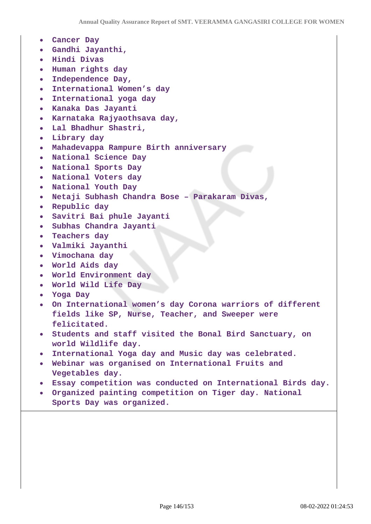- **Cancer Day**
- **Gandhi Jayanthi,**
- **Hindi Divas**
- **Human rights day**
- **Independence Day,**
- **International Women's day**
- **International yoga day**
- **Kanaka Das Jayanti**
- **Karnataka Rajyaothsava day,**
- **Lal Bhadhur Shastri,**
- **Library day**
- **Mahadevappa Rampure Birth anniversary**
- **National Science Day**
- **National Sports Day**
- **National Voters day**
- **National Youth Day**
- **Netaji Subhash Chandra Bose Parakaram Divas,**
- **Republic day**
- **Savitri Bai phule Jayanti**
- **Subhas Chandra Jayanti**
- **Teachers day**
- **Valmiki Jayanthi**
- **Vimochana day**
- **World Aids day**
- **World Environment day**
- **World Wild Life Day**
- **Yoga Day**
- **On International women's day Corona warriors of different fields like SP, Nurse, Teacher, and Sweeper were felicitated.**
- **Students and staff visited the Bonal Bird Sanctuary, on world Wildlife day.**
- **International Yoga day and Music day was celebrated.**
- **Webinar was organised on International Fruits and Vegetables day.**
- **Essay competition was conducted on International Birds day.**
- **Organized painting competition on Tiger day. National Sports Day was organized.**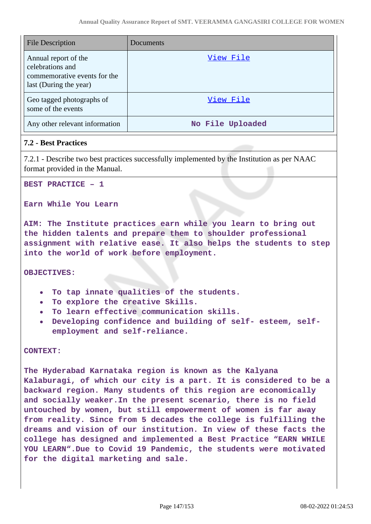| <b>File Description</b>                                                                            | Documents        |
|----------------------------------------------------------------------------------------------------|------------------|
| Annual report of the<br>celebrations and<br>commemorative events for the<br>last (During the year) | View File        |
| Geo tagged photographs of<br>some of the events                                                    | View File        |
| Any other relevant information                                                                     | No File Uploaded |

# **7.2 - Best Practices**

7.2.1 - Describe two best practices successfully implemented by the Institution as per NAAC format provided in the Manual.

**BEST PRACTICE – 1** 

### **Earn While You Learn**

**AIM: The Institute practices earn while you learn to bring out the hidden talents and prepare them to shoulder professional assignment with relative ease. It also helps the students to step into the world of work before employment.**

**OBJECTIVES:**

- **To tap innate qualities of the students.**
- **To explore the creative Skills.**
- **To learn effective communication skills.**
- **Developing confidence and building of self- esteem, selfemployment and self-reliance.**

**CONTEXT:**

**The Hyderabad Karnataka region is known as the Kalyana Kalaburagi, of which our city is a part. It is considered to be a backward region. Many students of this region are economically and socially weaker.In the present scenario, there is no field untouched by women, but still empowerment of women is far away from reality. Since from 5 decades the college is fulfilling the dreams and vision of our institution. In view of these facts the college has designed and implemented a Best Practice "EARN WHILE YOU LEARN".Due to Covid 19 Pandemic, the students were motivated for the digital marketing and sale.**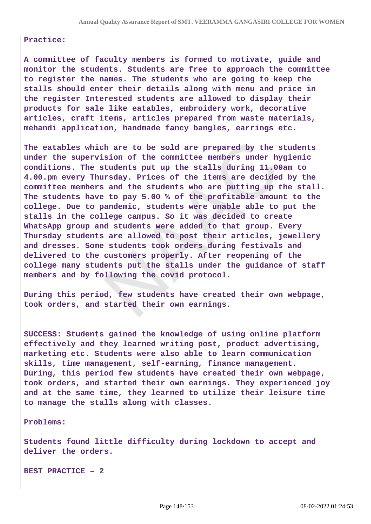### **Practice:**

**A committee of faculty members is formed to motivate, guide and monitor the students. Students are free to approach the committee to register the names. The students who are going to keep the stalls should enter their details along with menu and price in the register Interested students are allowed to display their products for sale like eatables, embroidery work, decorative articles, craft items, articles prepared from waste materials, mehandi application, handmade fancy bangles, earrings etc.**

**The eatables which are to be sold are prepared by the students under the supervision of the committee members under hygienic conditions. The students put up the stalls during 11.00am to 4.00.pm every Thursday. Prices of the items are decided by the committee members and the students who are putting up the stall. The students have to pay 5.00 % of the profitable amount to the college. Due to pandemic, students were unable able to put the stalls in the college campus. So it was decided to create WhatsApp group and students were added to that group. Every Thursday students are allowed to post their articles, jewellery and dresses. Some students took orders during festivals and delivered to the customers properly. After reopening of the college many students put the stalls under the guidance of staff members and by following the covid protocol.**

**During this period, few students have created their own webpage, took orders, and started their own earnings.**

**SUCCESS: Students gained the knowledge of using online platform effectively and they learned writing post, product advertising, marketing etc. Students were also able to learn communication skills, time management, self-earning, finance management. During, this period few students have created their own webpage, took orders, and started their own earnings. They experienced joy and at the same time, they learned to utilize their leisure time to manage the stalls along with classes.**

**Problems:** 

**Students found little difficulty during lockdown to accept and deliver the orders.**

**BEST PRACTICE – 2**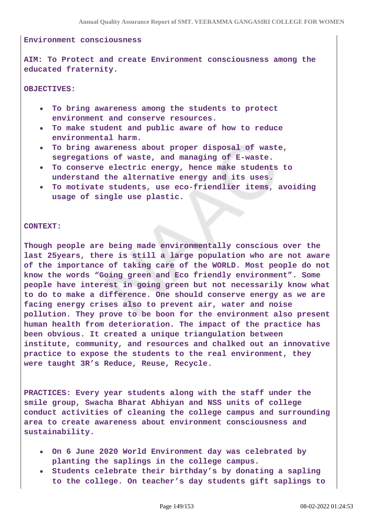#### **Environment consciousness**

**AIM: To Protect and create Environment consciousness among the educated fraternity.**

**OBJECTIVES:** 

- **To bring awareness among the students to protect environment and conserve resources.**
- **To make student and public aware of how to reduce environmental harm.**
- **To bring awareness about proper disposal of waste, segregations of waste, and managing of E-waste.**
- **To conserve electric energy, hence make students to understand the alternative energy and its uses.**
- **To motivate students, use eco-friendlier items, avoiding usage of single use plastic.**

#### **CONTEXT:**

**Though people are being made environmentally conscious over the last 25years, there is still a large population who are not aware of the importance of taking care of the WORLD. Most people do not know the words "Going green and Eco friendly environment". Some people have interest in going green but not necessarily know what to do to make a difference. One should conserve energy as we are facing energy crises also to prevent air, water and noise pollution. They prove to be boon for the environment also present human health from deterioration. The impact of the practice has been obvious. It created a unique triangulation between institute, community, and resources and chalked out an innovative practice to expose the students to the real environment, they were taught 3R's Reduce, Reuse, Recycle.**

**PRACTICES: Every year students along with the staff under the smile group, Swacha Bharat Abhiyan and NSS units of college conduct activities of cleaning the college campus and surrounding area to create awareness about environment consciousness and sustainability.**

- **On 6 June 2020 World Environment day was celebrated by planting the saplings in the college campus.**
- **Students celebrate their birthday's by donating a sapling to the college. On teacher's day students gift saplings to**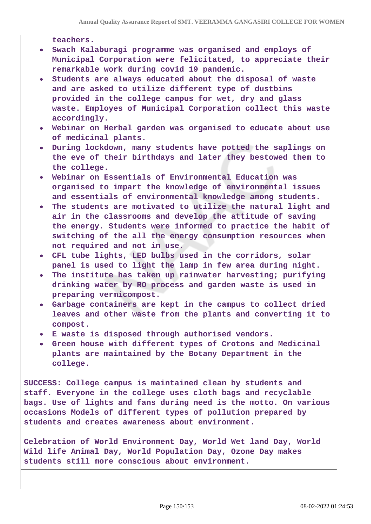**teachers.**

- **Swach Kalaburagi programme was organised and employs of Municipal Corporation were felicitated, to appreciate their remarkable work during covid 19 pandemic.**
- **Students are always educated about the disposal of waste and are asked to utilize different type of dustbins provided in the college campus for wet, dry and glass waste. Employes of Municipal Corporation collect this waste accordingly.**
- **Webinar on Herbal garden was organised to educate about use of medicinal plants.**
- **During lockdown, many students have potted the saplings on the eve of their birthdays and later they bestowed them to the college.**
- **Webinar on Essentials of Environmental Education was organised to impart the knowledge of environmental issues and essentials of environmental knowledge among students.**
- **The students are motivated to utilize the natural light and air in the classrooms and develop the attitude of saving the energy. Students were informed to practice the habit of switching of the all the energy consumption resources when not required and not in use.**
- **CFL tube lights, LED bulbs used in the corridors, solar panel is used to light the lamp in few area during night.**
- **The institute has taken up rainwater harvesting; purifying drinking water by RO process and garden waste is used in preparing vermicompost.**
- **Garbage containers are kept in the campus to collect dried leaves and other waste from the plants and converting it to compost.**
- **E waste is disposed through authorised vendors.**
- **Green house with different types of Crotons and Medicinal plants are maintained by the Botany Department in the college.**

**SUCCESS: College campus is maintained clean by students and staff. Everyone in the college uses cloth bags and recyclable bags. Use of lights and fans during need is the motto. On various occasions Models of different types of pollution prepared by students and creates awareness about environment.**

**Celebration of World Environment Day, World Wet land Day, World Wild life Animal Day, World Population Day, Ozone Day makes students still more conscious about environment.**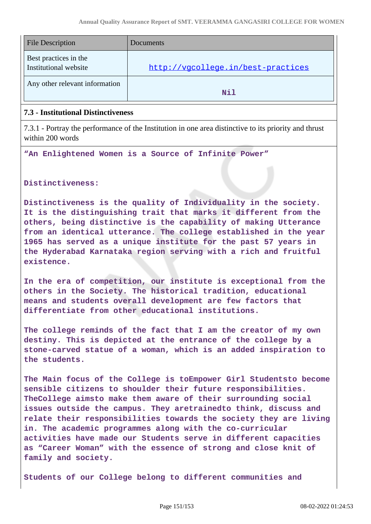| <b>File Description</b>                        | Documents                          |
|------------------------------------------------|------------------------------------|
| Best practices in the<br>Institutional website | http://vgcollege.in/best-practices |
| Any other relevant information                 | Nil                                |

## **7.3 - Institutional Distinctiveness**

7.3.1 - Portray the performance of the Institution in one area distinctive to its priority and thrust within 200 words

**"An Enlightened Women is a Source of Infinite Power"** 

**Distinctiveness:**

**Distinctiveness is the quality of Individuality in the society. It is the distinguishing trait that marks it different from the others, being distinctive is the capability of making Utterance from an identical utterance. The college established in the year 1965 has served as a unique institute for the past 57 years in the Hyderabad Karnataka region serving with a rich and fruitful existence.**

**In the era of competition, our institute is exceptional from the others in the Society. The historical tradition, educational means and students overall development are few factors that differentiate from other educational institutions.**

**The college reminds of the fact that I am the creator of my own destiny. This is depicted at the entrance of the college by a stone-carved statue of a woman, which is an added inspiration to the students.**

**The Main focus of the College is toEmpower Girl Studentsto become sensible citizens to shoulder their future responsibilities. TheCollege aimsto make them aware of their surrounding social issues outside the campus. They aretrainedto think, discuss and relate their responsibilities towards the society they are living in. The academic programmes along with the co-curricular activities have made our Students serve in different capacities as "Career Woman" with the essence of strong and close knit of family and society.**

**Students of our College belong to different communities and**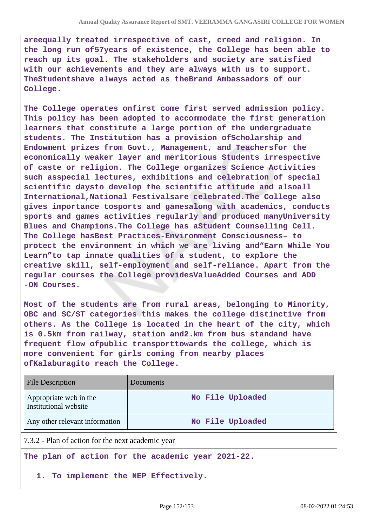**areequally treated irrespective of cast, creed and religion. In the long run of57years of existence, the College has been able to reach up its goal. The stakeholders and society are satisfied with our achievements and they are always with us to support. TheStudentshave always acted as theBrand Ambassadors of our College.**

**The College operates onfirst come first served admission policy. This policy has been adopted to accommodate the first generation learners that constitute a large portion of the undergraduate students. The Institution has a provision ofScholarship and Endowment prizes from Govt., Management, and Teachersfor the economically weaker layer and meritorious Students irrespective of caste or religion. The College organizes Science Activities such asspecial lectures, exhibitions and celebration of special scientific daysto develop the scientific attitude and alsoall International,National Festivalsare celebrated.The College also gives importance tosports and gamesalong with academics, conducts sports and games activities regularly and produced manyUniversity Blues and Champions.The College has aStudent Counselling Cell. The College hasBest Practices-Environment Consciousness– to protect the environment in which we are living and"Earn While You Learn"to tap innate qualities of a student, to explore the creative skill, self-employment and self-reliance. Apart from the regular courses the College providesValueAdded Courses and ADD -ON Courses.**

**Most of the students are from rural areas, belonging to Minority, OBC and SC/ST categories this makes the college distinctive from others. As the College is located in the heart of the city, which is 0.5km from railway, station and2.km from bus standand have frequent flow ofpublic transporttowards the college, which is more convenient for girls coming from nearby places ofKalaburagito reach the College.**

| <b>File Description</b>                         | Documents        |
|-------------------------------------------------|------------------|
| Appropriate web in the<br>Institutional website | No File Uploaded |
| Any other relevant information                  | No File Uploaded |

7.3.2 - Plan of action for the next academic year

**The plan of action for the academic year 2021-22.** 

**1. To implement the NEP Effectively.**